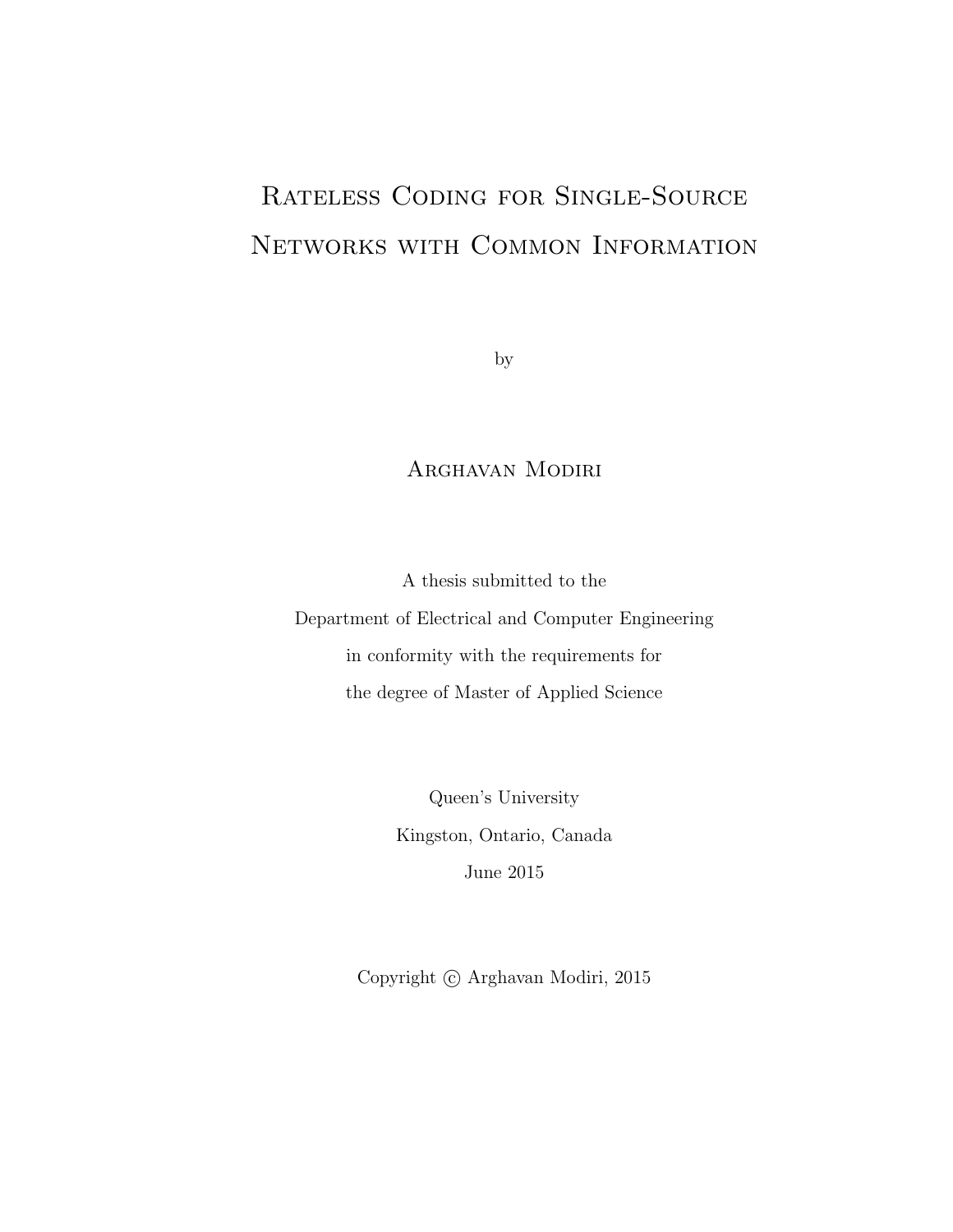## Rateless Coding for Single-Source Networks with Common Information

by

## Arghavan Modiri

A thesis submitted to the Department of Electrical and Computer Engineering in conformity with the requirements for the degree of Master of Applied Science

> Queen's University Kingston, Ontario, Canada June 2015

Copyright  $\odot$  Arghavan Modiri, 2015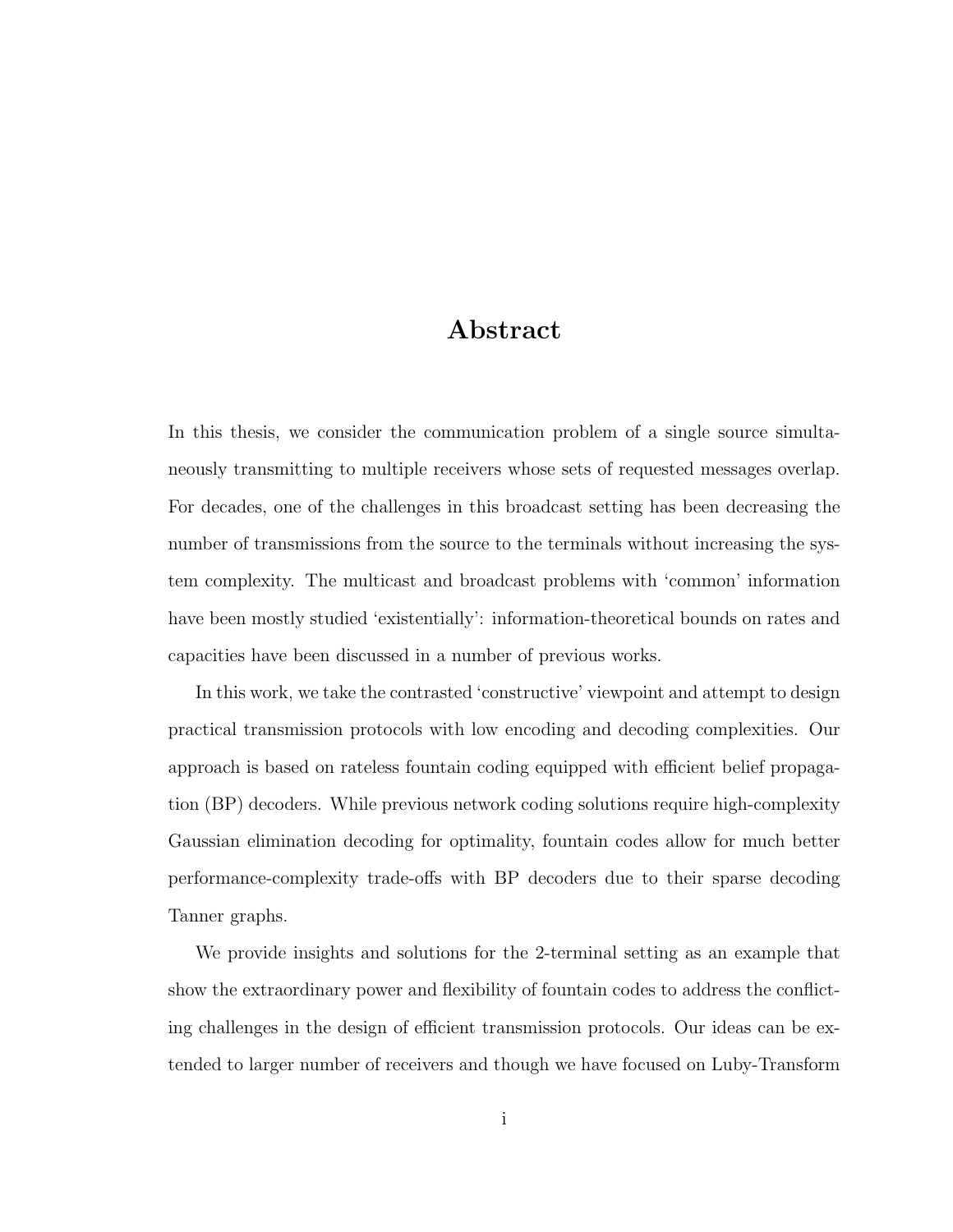### Abstract

In this thesis, we consider the communication problem of a single source simultaneously transmitting to multiple receivers whose sets of requested messages overlap. For decades, one of the challenges in this broadcast setting has been decreasing the number of transmissions from the source to the terminals without increasing the system complexity. The multicast and broadcast problems with 'common' information have been mostly studied 'existentially': information-theoretical bounds on rates and capacities have been discussed in a number of previous works.

In this work, we take the contrasted 'constructive' viewpoint and attempt to design practical transmission protocols with low encoding and decoding complexities. Our approach is based on rateless fountain coding equipped with efficient belief propagation (BP) decoders. While previous network coding solutions require high-complexity Gaussian elimination decoding for optimality, fountain codes allow for much better performance-complexity trade-offs with BP decoders due to their sparse decoding Tanner graphs.

We provide insights and solutions for the 2-terminal setting as an example that show the extraordinary power and flexibility of fountain codes to address the conflicting challenges in the design of efficient transmission protocols. Our ideas can be extended to larger number of receivers and though we have focused on Luby-Transform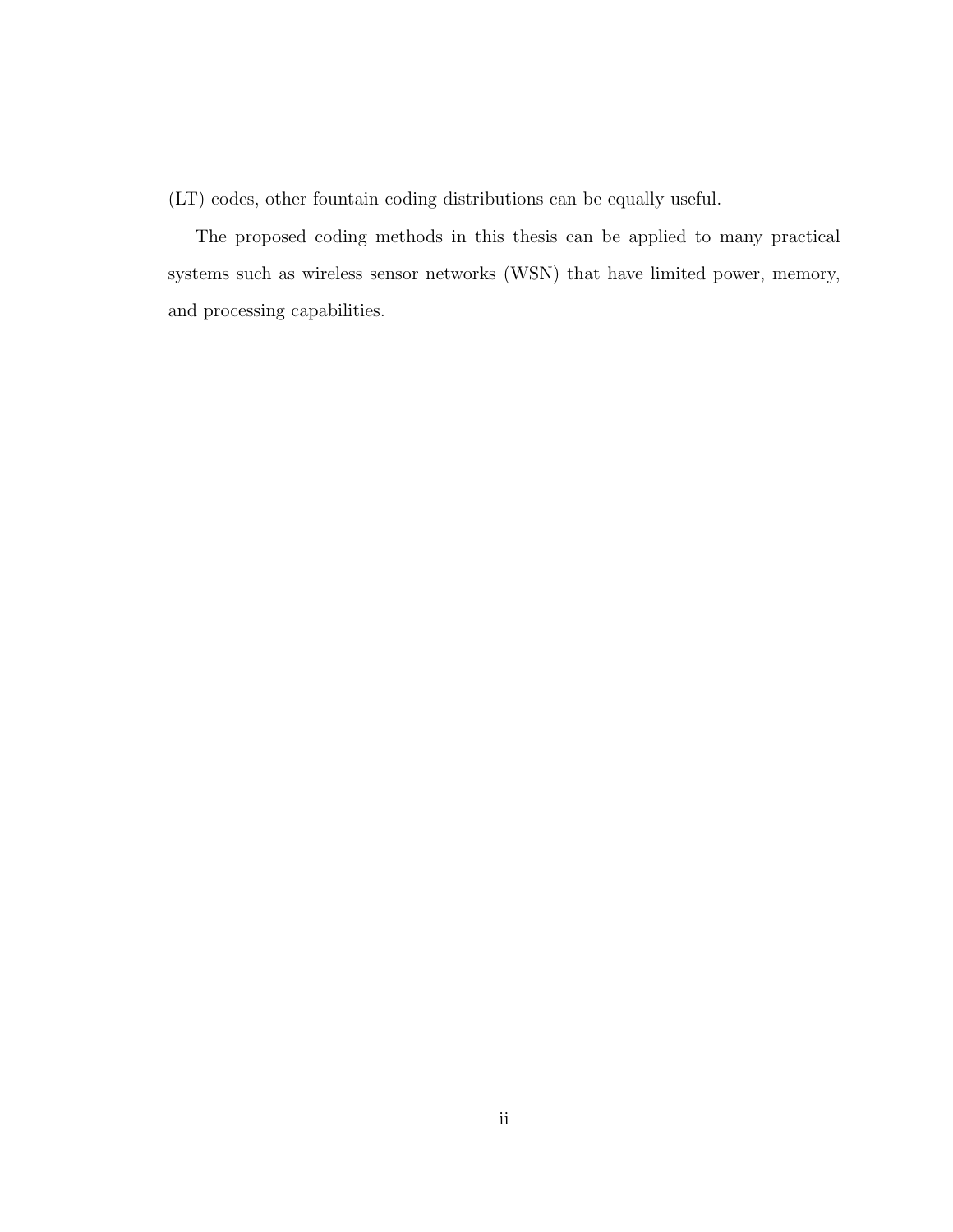(LT) codes, other fountain coding distributions can be equally useful.

The proposed coding methods in this thesis can be applied to many practical systems such as wireless sensor networks (WSN) that have limited power, memory, and processing capabilities.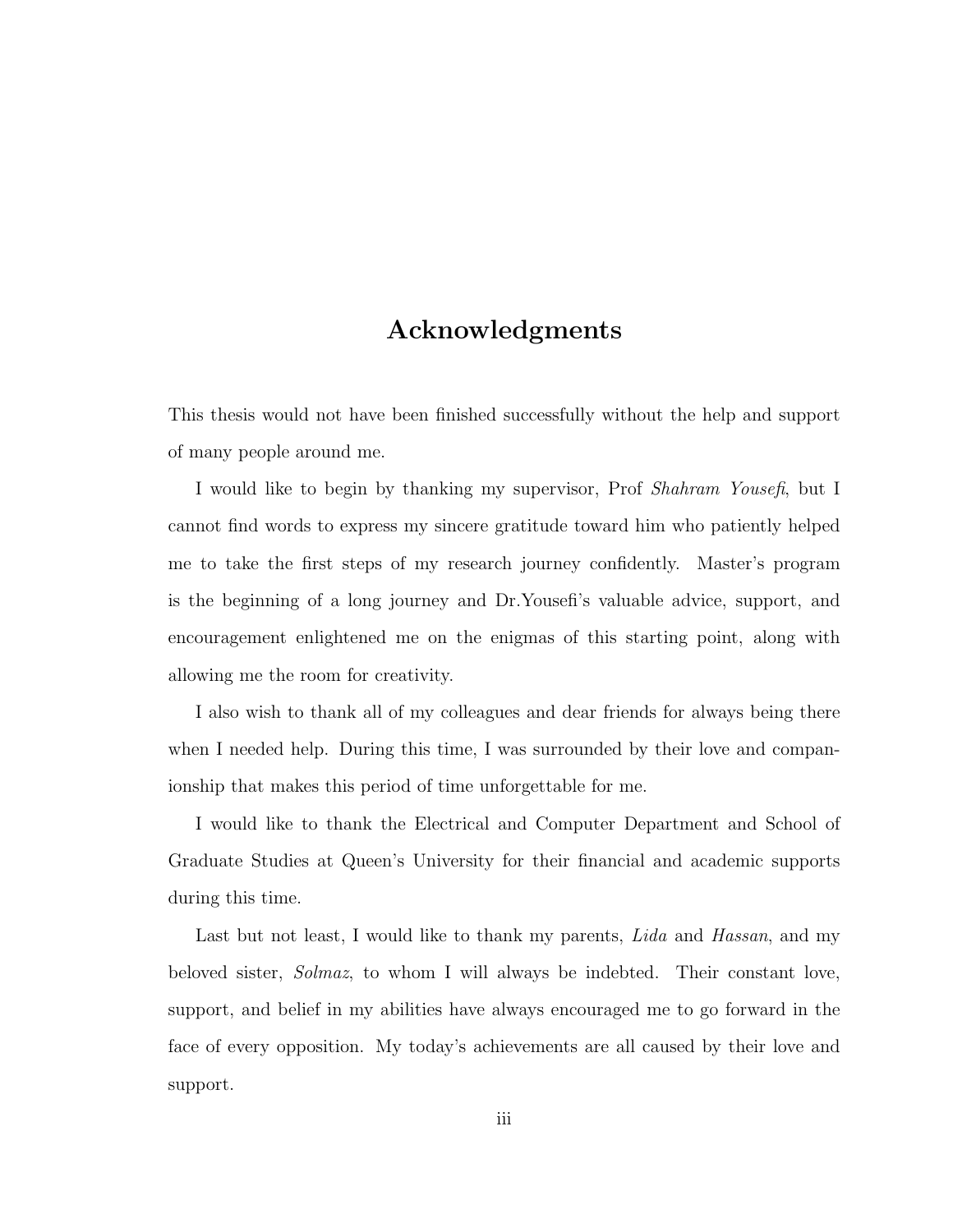### Acknowledgments

This thesis would not have been finished successfully without the help and support of many people around me.

I would like to begin by thanking my supervisor, Prof Shahram Yousefi, but I cannot find words to express my sincere gratitude toward him who patiently helped me to take the first steps of my research journey confidently. Master's program is the beginning of a long journey and Dr.Yousefi's valuable advice, support, and encouragement enlightened me on the enigmas of this starting point, along with allowing me the room for creativity.

I also wish to thank all of my colleagues and dear friends for always being there when I needed help. During this time, I was surrounded by their love and companionship that makes this period of time unforgettable for me.

I would like to thank the Electrical and Computer Department and School of Graduate Studies at Queen's University for their financial and academic supports during this time.

Last but not least, I would like to thank my parents, Lida and Hassan, and my beloved sister, Solmaz, to whom I will always be indebted. Their constant love, support, and belief in my abilities have always encouraged me to go forward in the face of every opposition. My today's achievements are all caused by their love and support.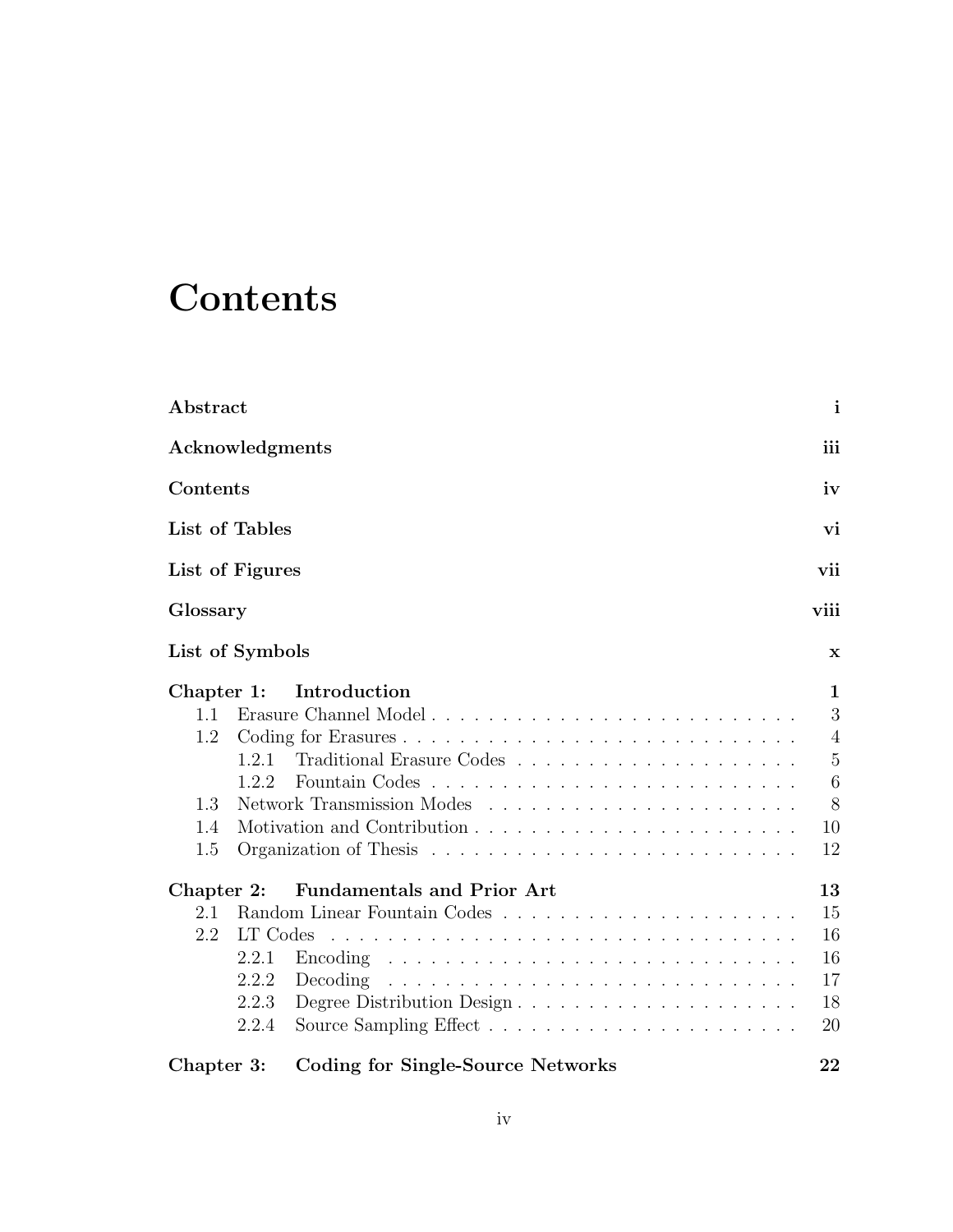## **Contents**

| Abstract                                      |                                              |                                                                             | $\mathbf{i}$                                                  |
|-----------------------------------------------|----------------------------------------------|-----------------------------------------------------------------------------|---------------------------------------------------------------|
| Acknowledgments                               |                                              |                                                                             | iii                                                           |
| Contents                                      |                                              |                                                                             | iv                                                            |
| List of Tables                                |                                              |                                                                             | vi                                                            |
| List of Figures                               |                                              |                                                                             | vii                                                           |
| Glossary                                      |                                              |                                                                             | viii                                                          |
| List of Symbols                               |                                              |                                                                             | $\mathbf x$                                                   |
| Chapter 1:<br>1.1<br>1.2<br>1.3<br>1.4<br>1.5 | 1.2.1<br>1.2.2                               | Introduction                                                                | 1<br>3<br>$\overline{4}$<br>$\mathbf 5$<br>6<br>8<br>10<br>12 |
| Chapter 2:<br>2.1<br>2.2                      | LT Codes<br>2.2.1<br>2.2.2<br>2.2.3<br>2.2.4 | <b>Fundamentals and Prior Art</b><br>Decoding<br>Degree Distribution Design | 13<br>15<br>16<br>16<br>17<br>18<br>20                        |
| Chapter 3:                                    |                                              | Coding for Single-Source Networks                                           | 22                                                            |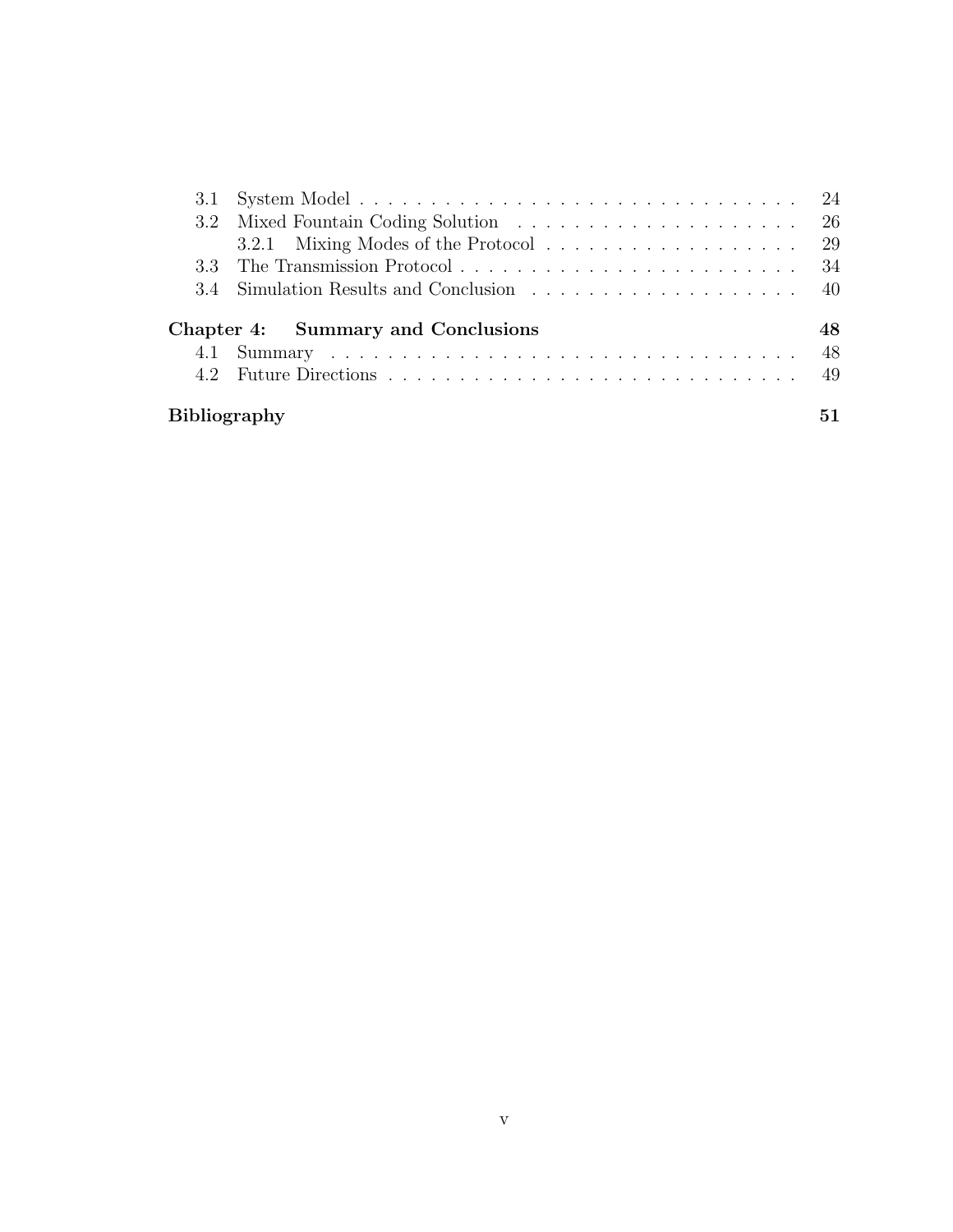| 3.4 Simulation Results and Conclusion 40 |    |
|------------------------------------------|----|
| Chapter 4: Summary and Conclusions       | 48 |
|                                          |    |
|                                          |    |
|                                          |    |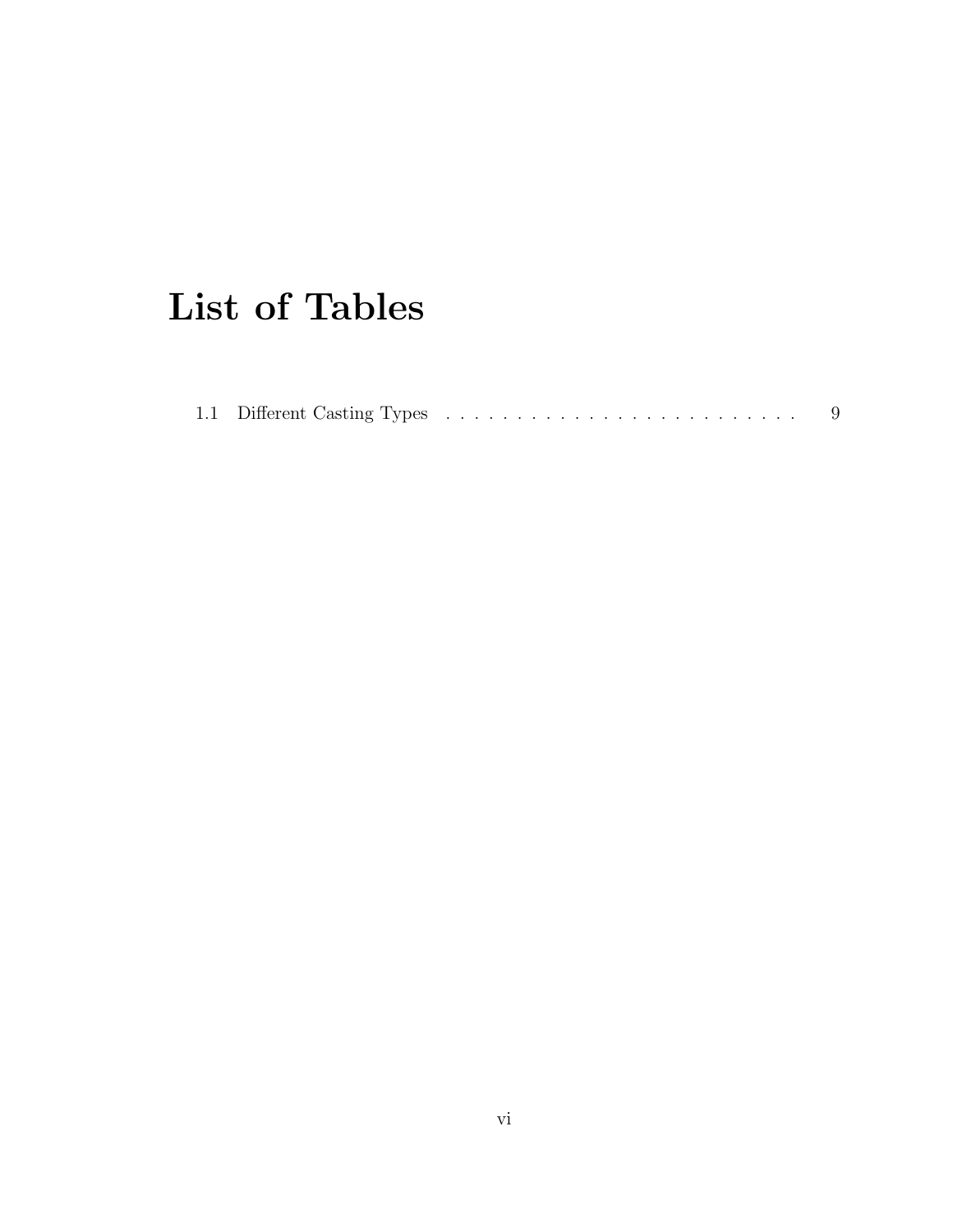## List of Tables

|--|--|--|--|--|--|--|--|--|--|--|--|--|--|--|--|--|--|--|--|--|--|--|--|--|--|--|--|--|--|--|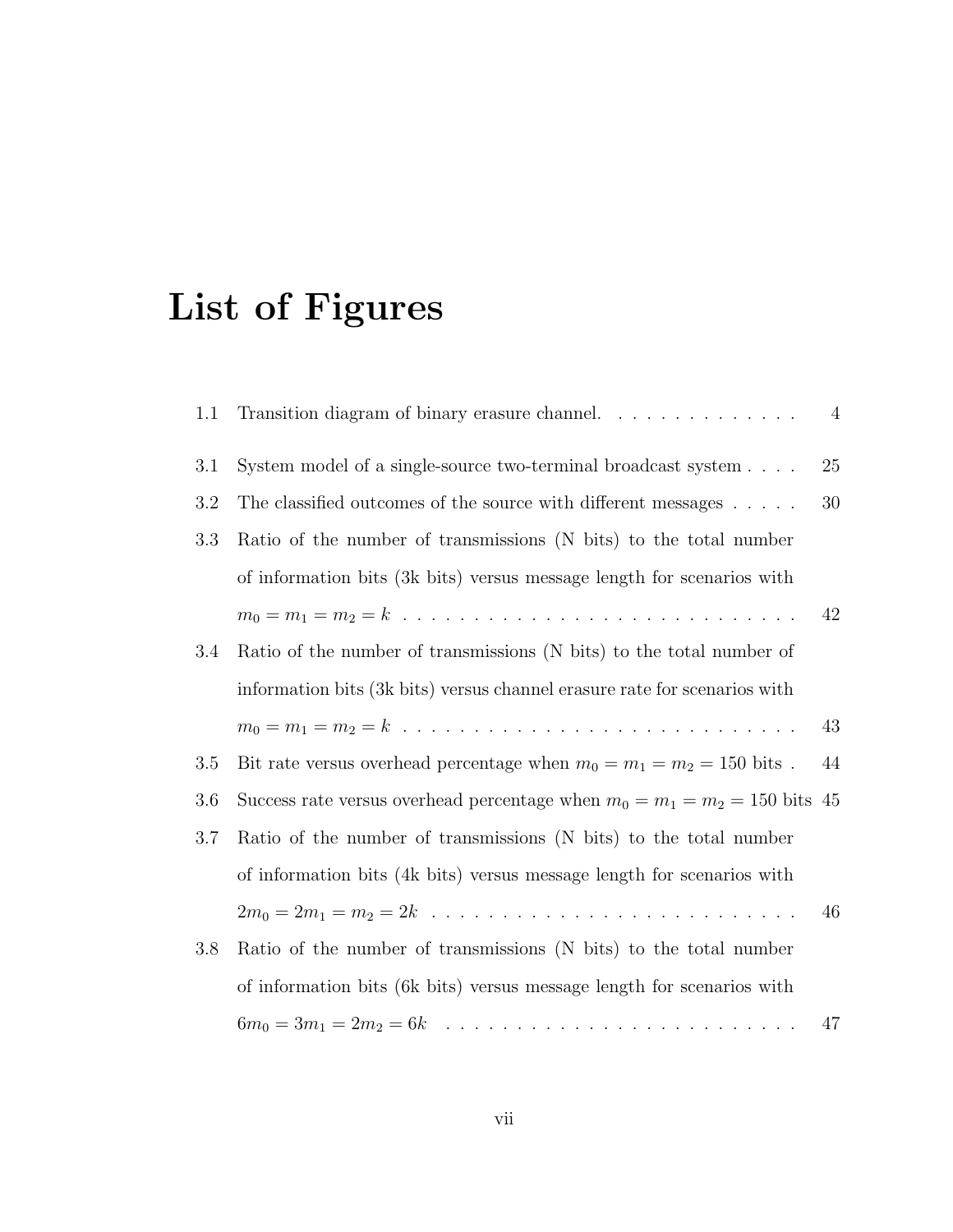# List of Figures

| 1.1 | Transition diagram of binary erasure channel.                                | $\overline{4}$ |
|-----|------------------------------------------------------------------------------|----------------|
| 3.1 | System model of a single-source two-terminal broadcast system                | 25             |
| 3.2 | The classified outcomes of the source with different messages                | 30             |
| 3.3 | Ratio of the number of transmissions (N bits) to the total number            |                |
|     | of information bits (3k bits) versus message length for scenarios with       |                |
|     |                                                                              | 42             |
| 3.4 | Ratio of the number of transmissions (N bits) to the total number of         |                |
|     | information bits (3k bits) versus channel erasure rate for scenarios with    |                |
|     |                                                                              | 43             |
| 3.5 | Bit rate versus overhead percentage when $m_0 = m_1 = m_2 = 150$ bits.       | 44             |
| 3.6 | Success rate versus overhead percentage when $m_0 = m_1 = m_2 = 150$ bits 45 |                |
| 3.7 | Ratio of the number of transmissions (N bits) to the total number            |                |
|     | of information bits (4k bits) versus message length for scenarios with       |                |
|     |                                                                              | 46             |
| 3.8 | Ratio of the number of transmissions (N bits) to the total number            |                |
|     | of information bits (6k bits) versus message length for scenarios with       |                |
|     |                                                                              | 47             |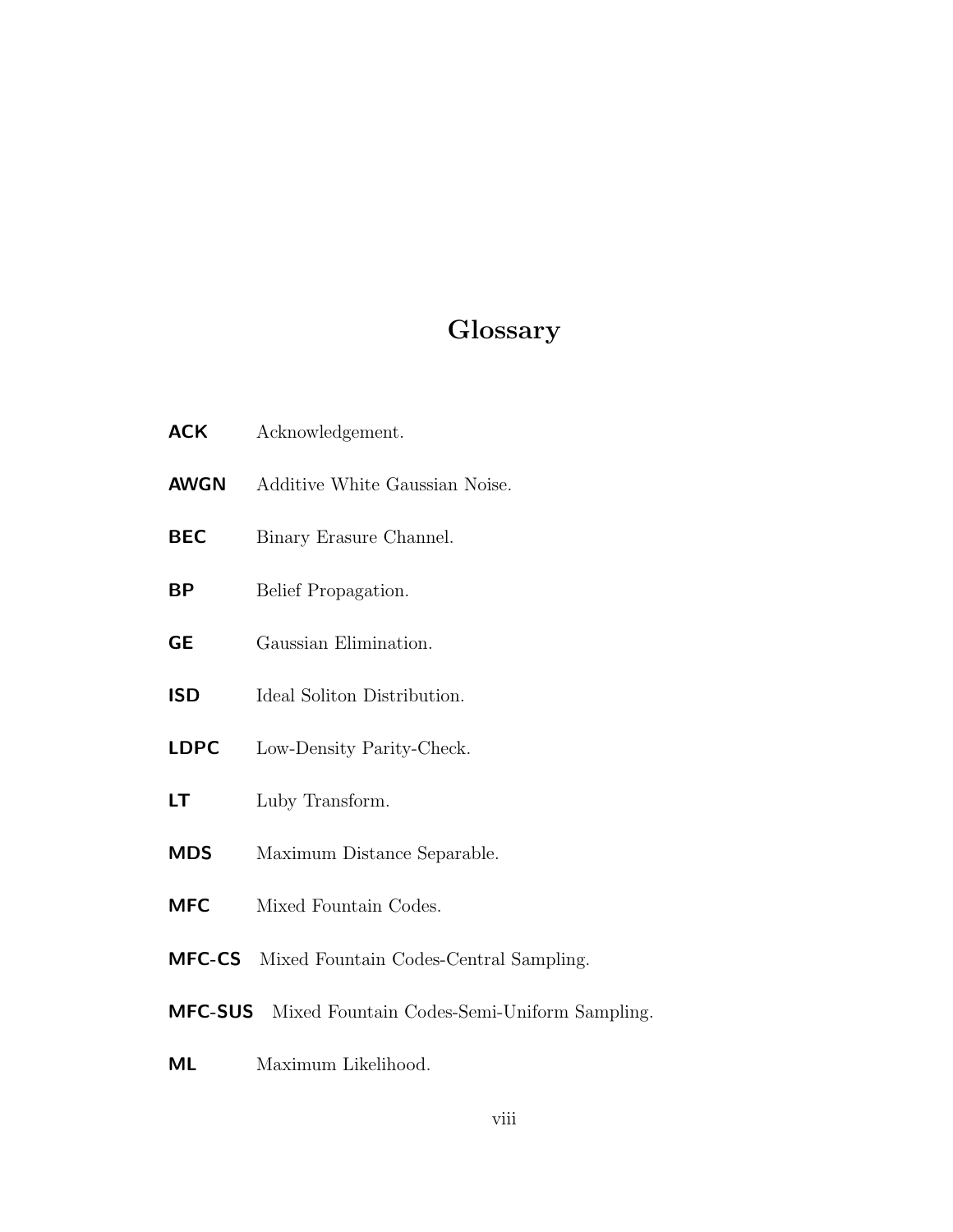## Glossary

| <b>ACK</b>    | Acknowledgement.                                    |
|---------------|-----------------------------------------------------|
| <b>AWGN</b>   | Additive White Gaussian Noise.                      |
| <b>BEC</b>    | Binary Erasure Channel.                             |
| ΒP            | Belief Propagation.                                 |
| <b>GE</b>     | Gaussian Elimination.                               |
| <b>ISD</b>    | Ideal Soliton Distribution.                         |
| <b>LDPC</b>   | Low-Density Parity-Check.                           |
| LT            | Luby Transform.                                     |
| <b>MDS</b>    | Maximum Distance Separable.                         |
| <b>MFC</b>    | Mixed Fountain Codes.                               |
| <b>MFC-CS</b> | Mixed Fountain Codes-Central Sampling.              |
|               | MFC-SUS Mixed Fountain Codes-Semi-Uniform Sampling. |

ML Maximum Likelihood.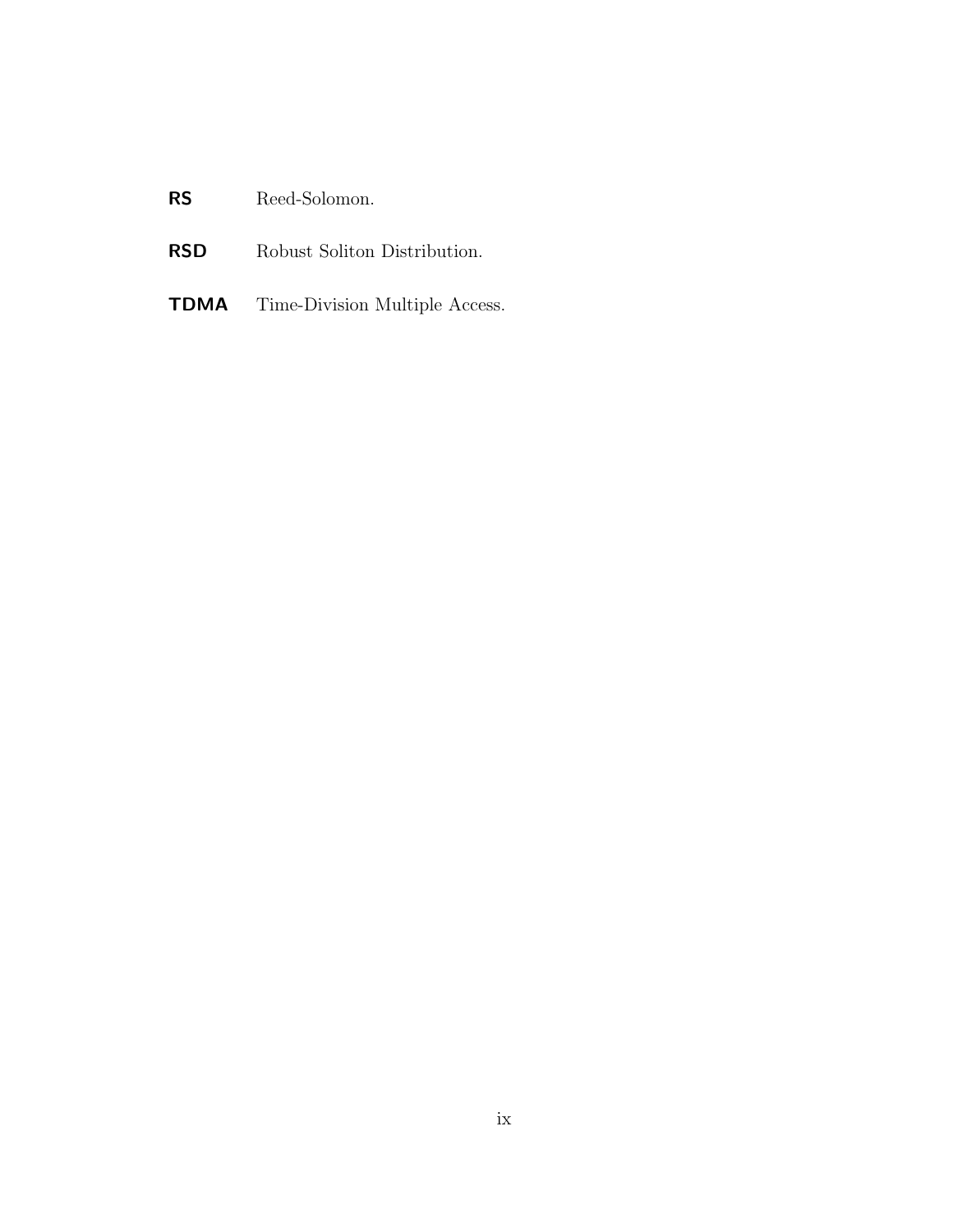### RS Reed-Solomon.

- RSD Robust Soliton Distribution.
- TDMA Time-Division Multiple Access.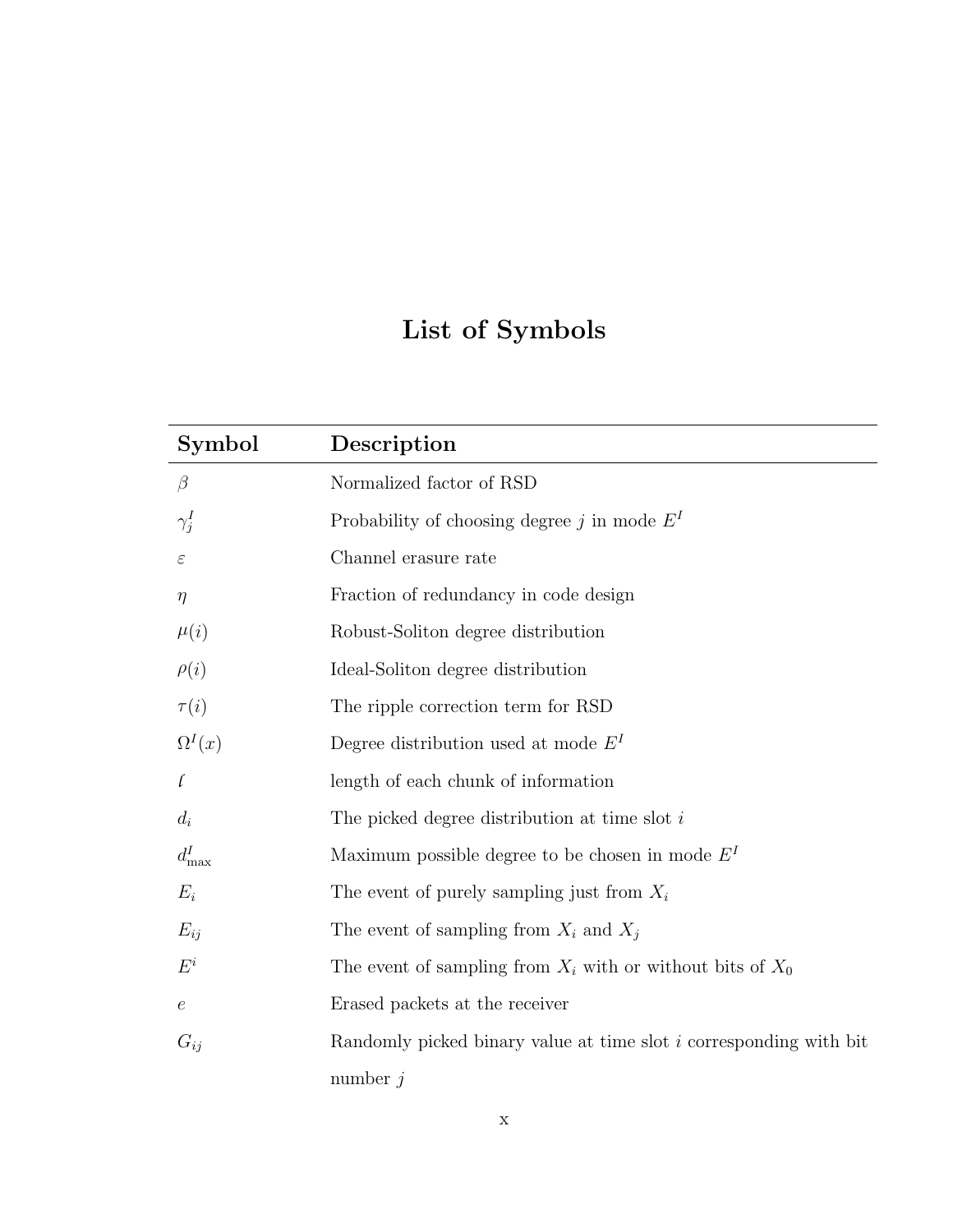## List of Symbols

| Symbol        | Description                                                               |
|---------------|---------------------------------------------------------------------------|
| $\beta$       | Normalized factor of RSD                                                  |
| $\gamma_j^I$  | Probability of choosing degree $j$ in mode $E^I$                          |
| $\varepsilon$ | Channel erasure rate                                                      |
| $\eta$        | Fraction of redundancy in code design                                     |
| $\mu(i)$      | Robust-Soliton degree distribution                                        |
| $\rho(i)$     | Ideal-Soliton degree distribution                                         |
| $\tau(i)$     | The ripple correction term for RSD                                        |
| $\Omega^I(x)$ | Degree distribution used at mode $E^I$                                    |
| $\iota$       | length of each chunk of information                                       |
| $d_i$         | The picked degree distribution at time slot $i$                           |
| $d_{\max}^I$  | Maximum possible degree to be chosen in mode $EI$                         |
| $E_i$         | The event of purely sampling just from $X_i$                              |
| $E_{ij}$      | The event of sampling from $X_i$ and $X_j$                                |
| $E^i$         | The event of sampling from $X_i$ with or without bits of $X_0$            |
| $\epsilon$    | Erased packets at the receiver                                            |
| $G_{ij}$      | Randomly picked binary value at time slot <i>i</i> corresponding with bit |
|               | number $j$                                                                |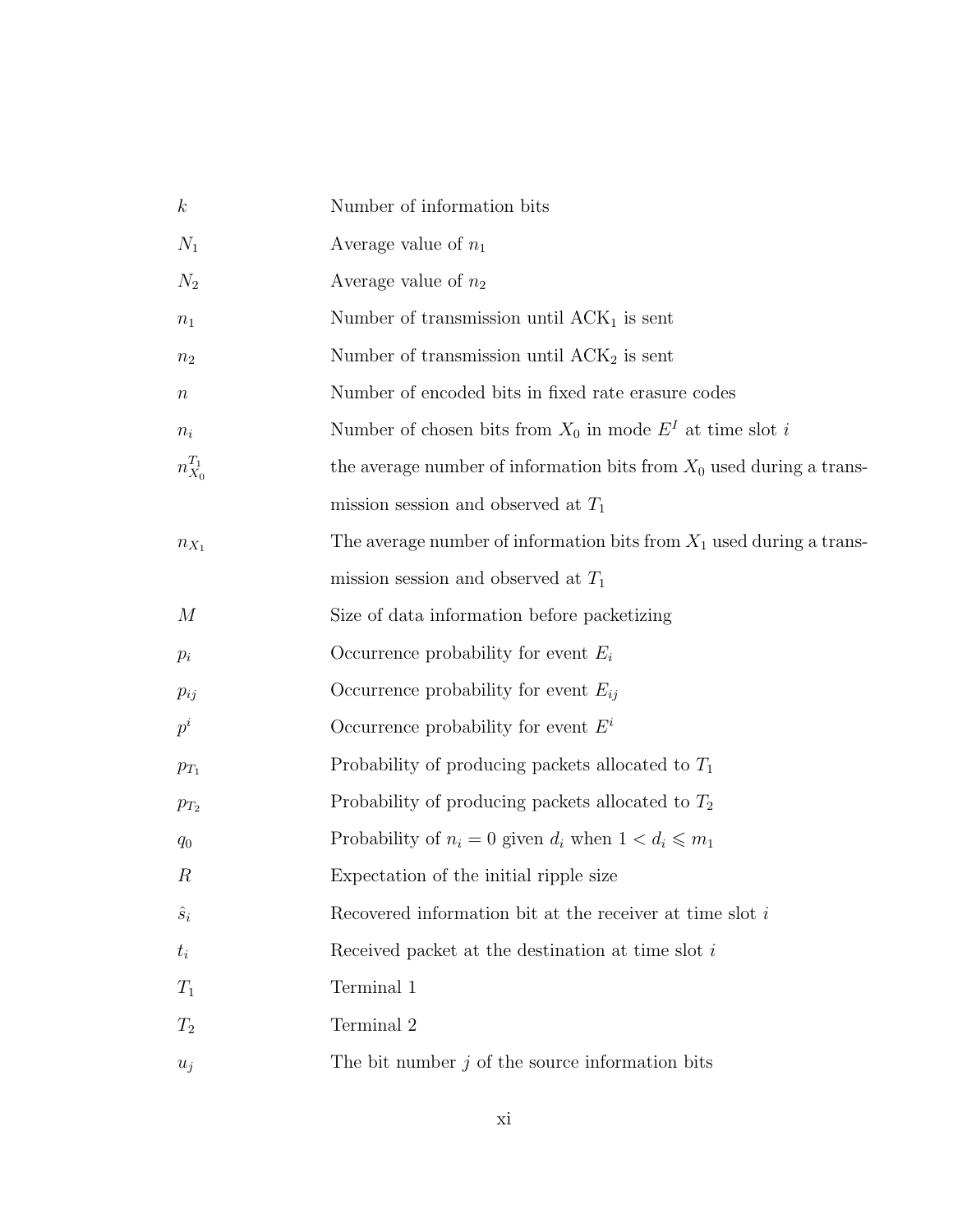| $\boldsymbol{k}$ | Number of information bits                                             |
|------------------|------------------------------------------------------------------------|
| $N_1$            | Average value of $n_1$                                                 |
| $N_2$            | Average value of $n_2$                                                 |
| $n_1$            | Number of transmission until $ACK1$ is sent                            |
| n <sub>2</sub>   | Number of transmission until $ACK2$ is sent                            |
| $\, n$           | Number of encoded bits in fixed rate erasure codes                     |
| $n_i$            | Number of chosen bits from $X_0$ in mode $E^I$ at time slot i          |
| $n_{X_0}^{T_1}$  | the average number of information bits from $X_0$ used during a trans- |
|                  | mission session and observed at $T_1$                                  |
| $n_{X_1}$        | The average number of information bits from $X_1$ used during a trans- |
|                  | mission session and observed at $T_1$                                  |
| $\boldsymbol{M}$ | Size of data information before packetizing                            |
| $p_i$            | Occurrence probability for event $E_i$                                 |
| $p_{ij}$         | Occurrence probability for event $E_{ii}$                              |
| $p^i$            | Occurrence probability for event $E^i$                                 |
| $p_{T_1}$        | Probability of producing packets allocated to $T_1$                    |
| $p_{T_2}$        | Probability of producing packets allocated to $T_2$                    |
| $q_0$            | Probability of $n_i = 0$ given $d_i$ when $1 < d_i \leq m_1$           |
| $\boldsymbol{R}$ | Expectation of the initial ripple size                                 |
| $\hat{s}_i$      | Recovered information bit at the receiver at time slot i               |
| $t_i$            | Received packet at the destination at time slot $i$                    |
| $T_1$            | Terminal 1                                                             |
| $T_2$            | Terminal 2                                                             |
| $u_i$            | The bit number $j$ of the source information bits                      |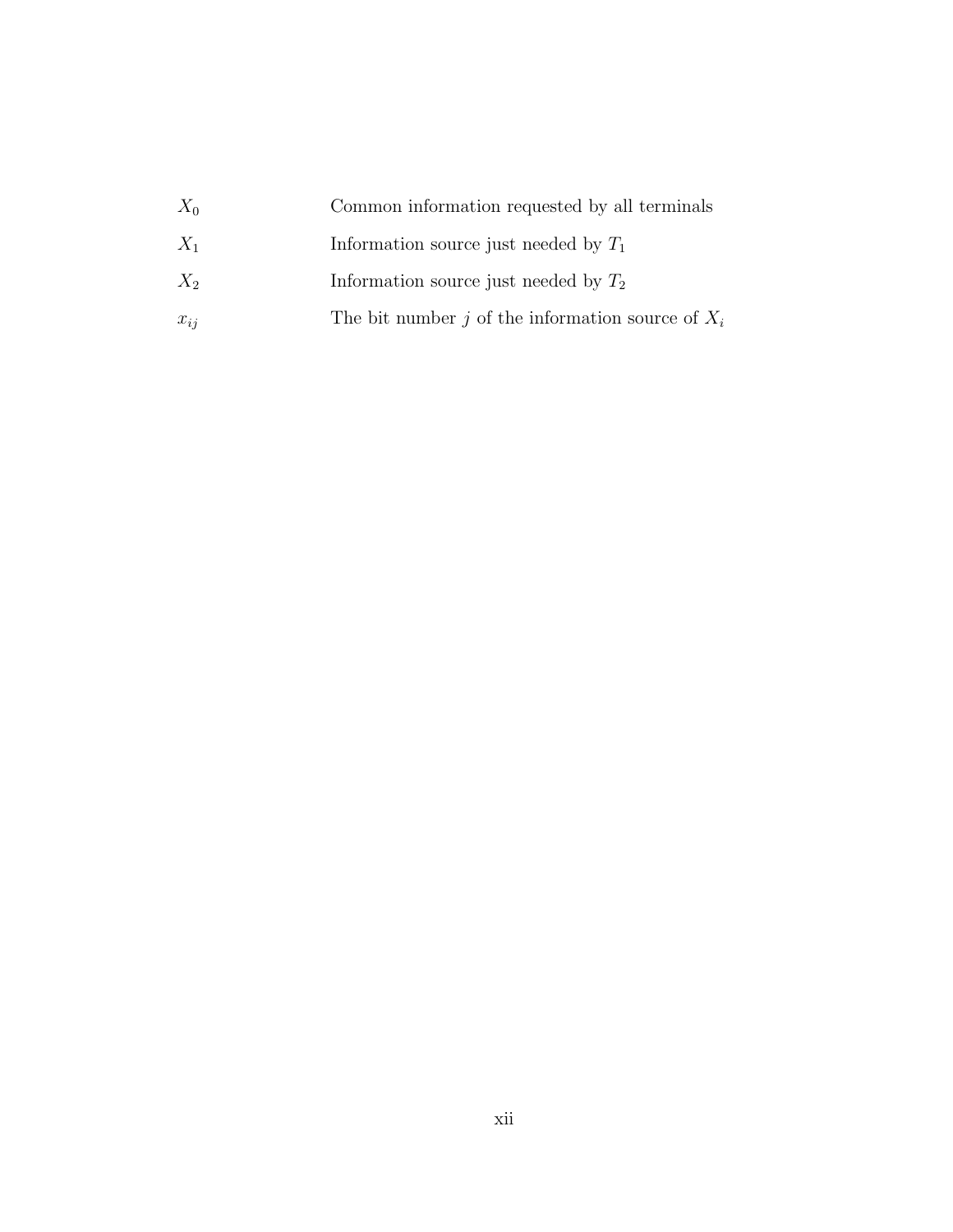| $X_0$    | Common information requested by all terminals       |
|----------|-----------------------------------------------------|
| $X_1$    | Information source just needed by $T_1$             |
| $X_2$    | Information source just needed by $T_2$             |
| $x_{ii}$ | The bit number j of the information source of $X_i$ |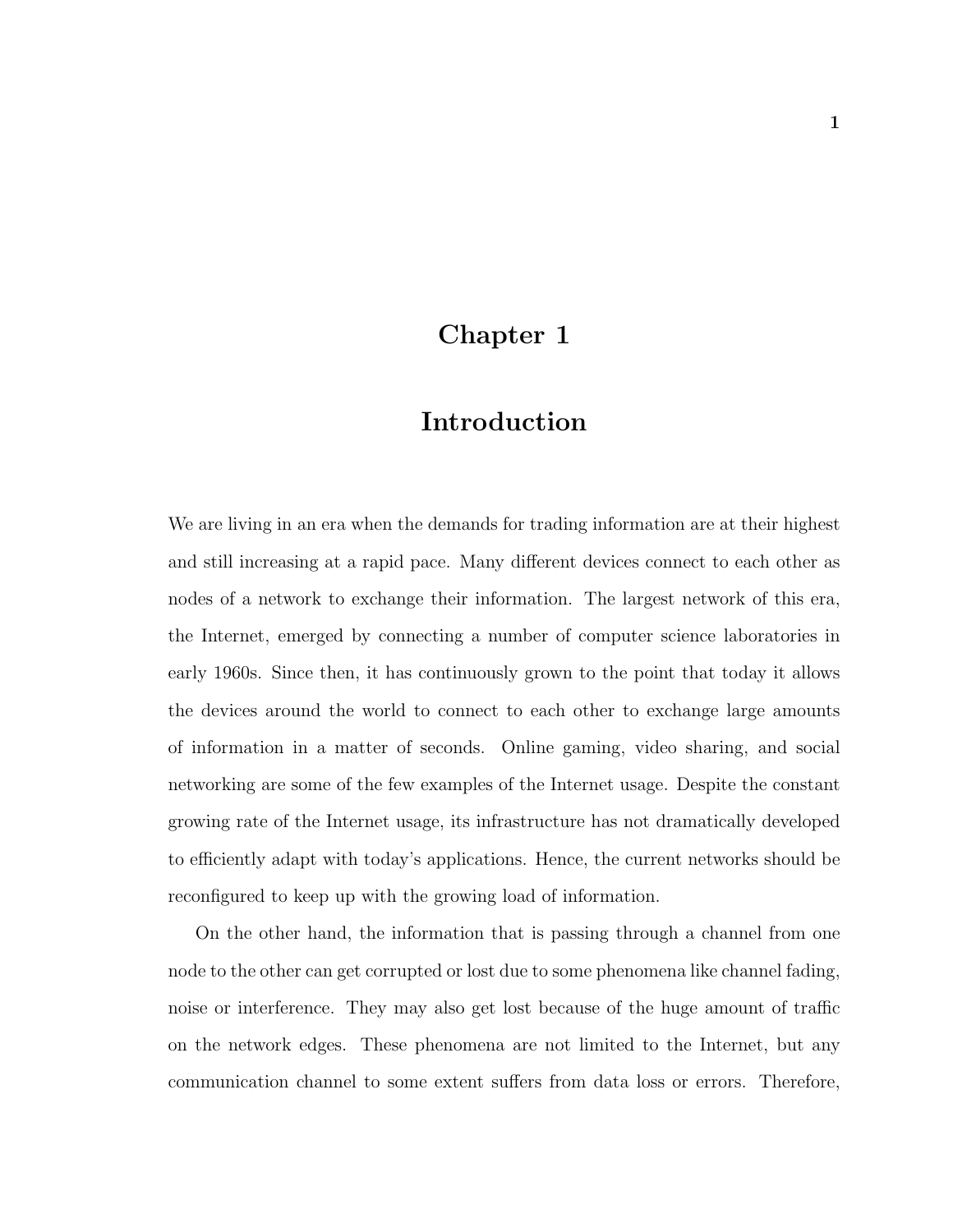### Chapter 1

### Introduction

We are living in an era when the demands for trading information are at their highest and still increasing at a rapid pace. Many different devices connect to each other as nodes of a network to exchange their information. The largest network of this era, the Internet, emerged by connecting a number of computer science laboratories in early 1960s. Since then, it has continuously grown to the point that today it allows the devices around the world to connect to each other to exchange large amounts of information in a matter of seconds. Online gaming, video sharing, and social networking are some of the few examples of the Internet usage. Despite the constant growing rate of the Internet usage, its infrastructure has not dramatically developed to efficiently adapt with today's applications. Hence, the current networks should be reconfigured to keep up with the growing load of information.

On the other hand, the information that is passing through a channel from one node to the other can get corrupted or lost due to some phenomena like channel fading, noise or interference. They may also get lost because of the huge amount of traffic on the network edges. These phenomena are not limited to the Internet, but any communication channel to some extent suffers from data loss or errors. Therefore,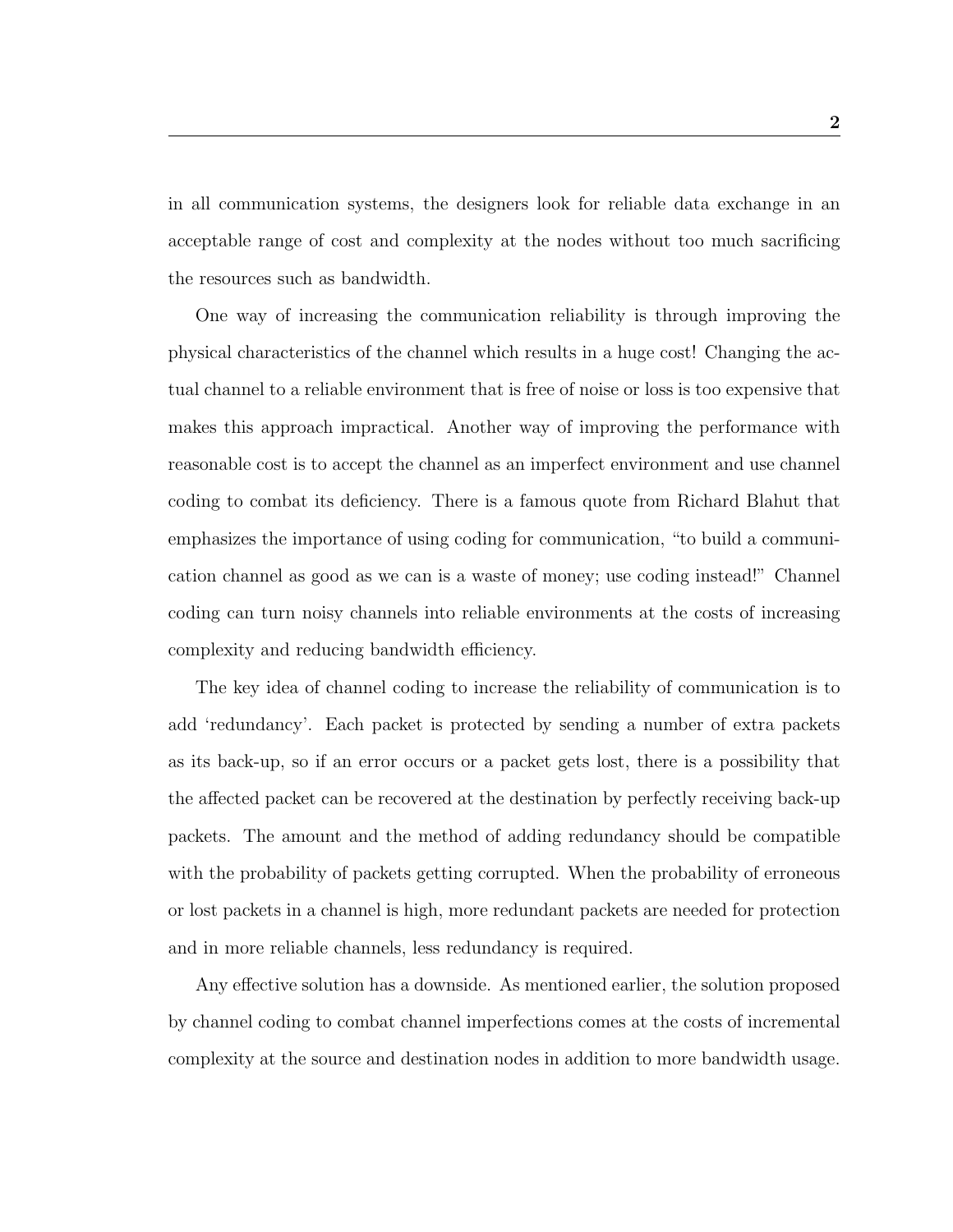in all communication systems, the designers look for reliable data exchange in an acceptable range of cost and complexity at the nodes without too much sacrificing the resources such as bandwidth.

One way of increasing the communication reliability is through improving the physical characteristics of the channel which results in a huge cost! Changing the actual channel to a reliable environment that is free of noise or loss is too expensive that makes this approach impractical. Another way of improving the performance with reasonable cost is to accept the channel as an imperfect environment and use channel coding to combat its deficiency. There is a famous quote from Richard Blahut that emphasizes the importance of using coding for communication, "to build a communication channel as good as we can is a waste of money; use coding instead!" Channel coding can turn noisy channels into reliable environments at the costs of increasing complexity and reducing bandwidth efficiency.

The key idea of channel coding to increase the reliability of communication is to add 'redundancy'. Each packet is protected by sending a number of extra packets as its back-up, so if an error occurs or a packet gets lost, there is a possibility that the affected packet can be recovered at the destination by perfectly receiving back-up packets. The amount and the method of adding redundancy should be compatible with the probability of packets getting corrupted. When the probability of erroneous or lost packets in a channel is high, more redundant packets are needed for protection and in more reliable channels, less redundancy is required.

Any effective solution has a downside. As mentioned earlier, the solution proposed by channel coding to combat channel imperfections comes at the costs of incremental complexity at the source and destination nodes in addition to more bandwidth usage.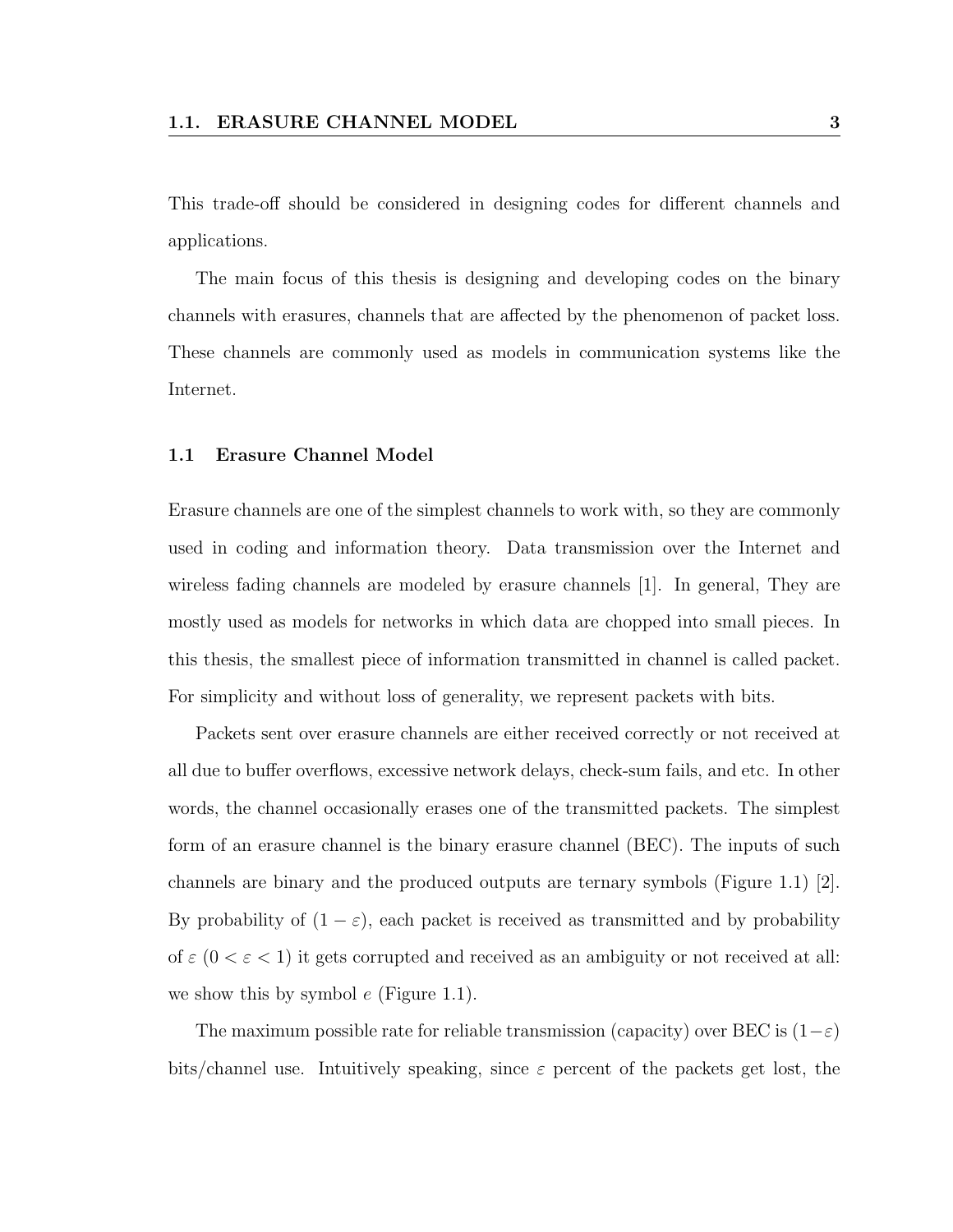This trade-off should be considered in designing codes for different channels and applications.

The main focus of this thesis is designing and developing codes on the binary channels with erasures, channels that are affected by the phenomenon of packet loss. These channels are commonly used as models in communication systems like the Internet.

#### 1.1 Erasure Channel Model

Erasure channels are one of the simplest channels to work with, so they are commonly used in coding and information theory. Data transmission over the Internet and wireless fading channels are modeled by erasure channels [1]. In general, They are mostly used as models for networks in which data are chopped into small pieces. In this thesis, the smallest piece of information transmitted in channel is called packet. For simplicity and without loss of generality, we represent packets with bits.

Packets sent over erasure channels are either received correctly or not received at all due to buffer overflows, excessive network delays, check-sum fails, and etc. In other words, the channel occasionally erases one of the transmitted packets. The simplest form of an erasure channel is the binary erasure channel (BEC). The inputs of such channels are binary and the produced outputs are ternary symbols (Figure 1.1) [2]. By probability of  $(1 - \varepsilon)$ , each packet is received as transmitted and by probability of  $\varepsilon$  ( $0 < \varepsilon < 1$ ) it gets corrupted and received as an ambiguity or not received at all: we show this by symbol  $e$  (Figure 1.1).

The maximum possible rate for reliable transmission (capacity) over BEC is  $(1-\varepsilon)$ bits/channel use. Intuitively speaking, since  $\varepsilon$  percent of the packets get lost, the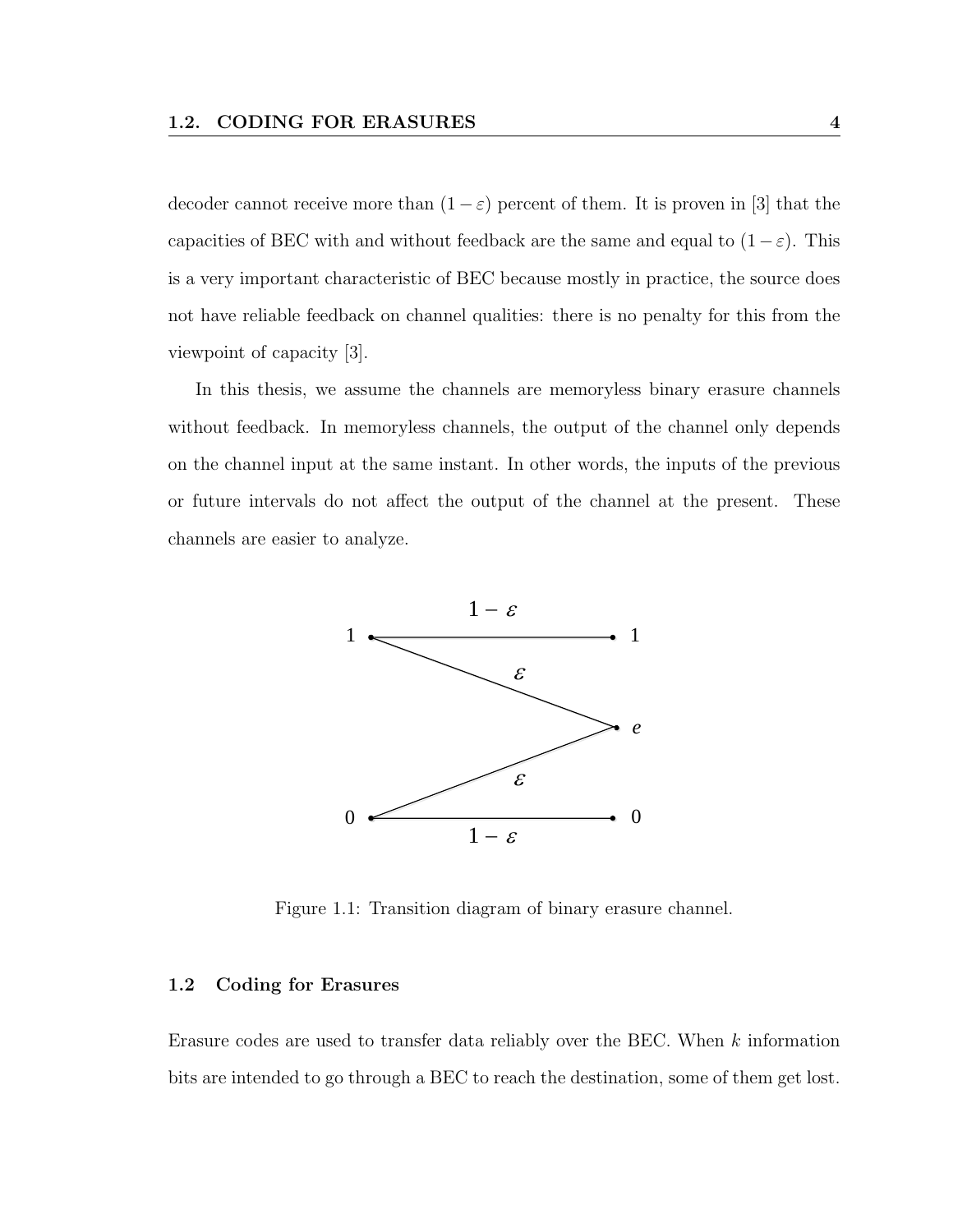decoder cannot receive more than  $(1 - \varepsilon)$  percent of them. It is proven in [3] that the capacities of BEC with and without feedback are the same and equal to  $(1 - \varepsilon)$ . This is a very important characteristic of BEC because mostly in practice, the source does not have reliable feedback on channel qualities: there is no penalty for this from the viewpoint of capacity [3].

In this thesis, we assume the channels are memoryless binary erasure channels without feedback. In memoryless channels, the output of the channel only depends on the channel input at the same instant. In other words, the inputs of the previous or future intervals do not affect the output of the channel at the present. These channels are easier to analyze.



Figure 1.1: Transition diagram of binary erasure channel.

#### 1.2 Coding for Erasures

Erasure codes are used to transfer data reliably over the BEC. When k information bits are intended to go through a BEC to reach the destination, some of them get lost.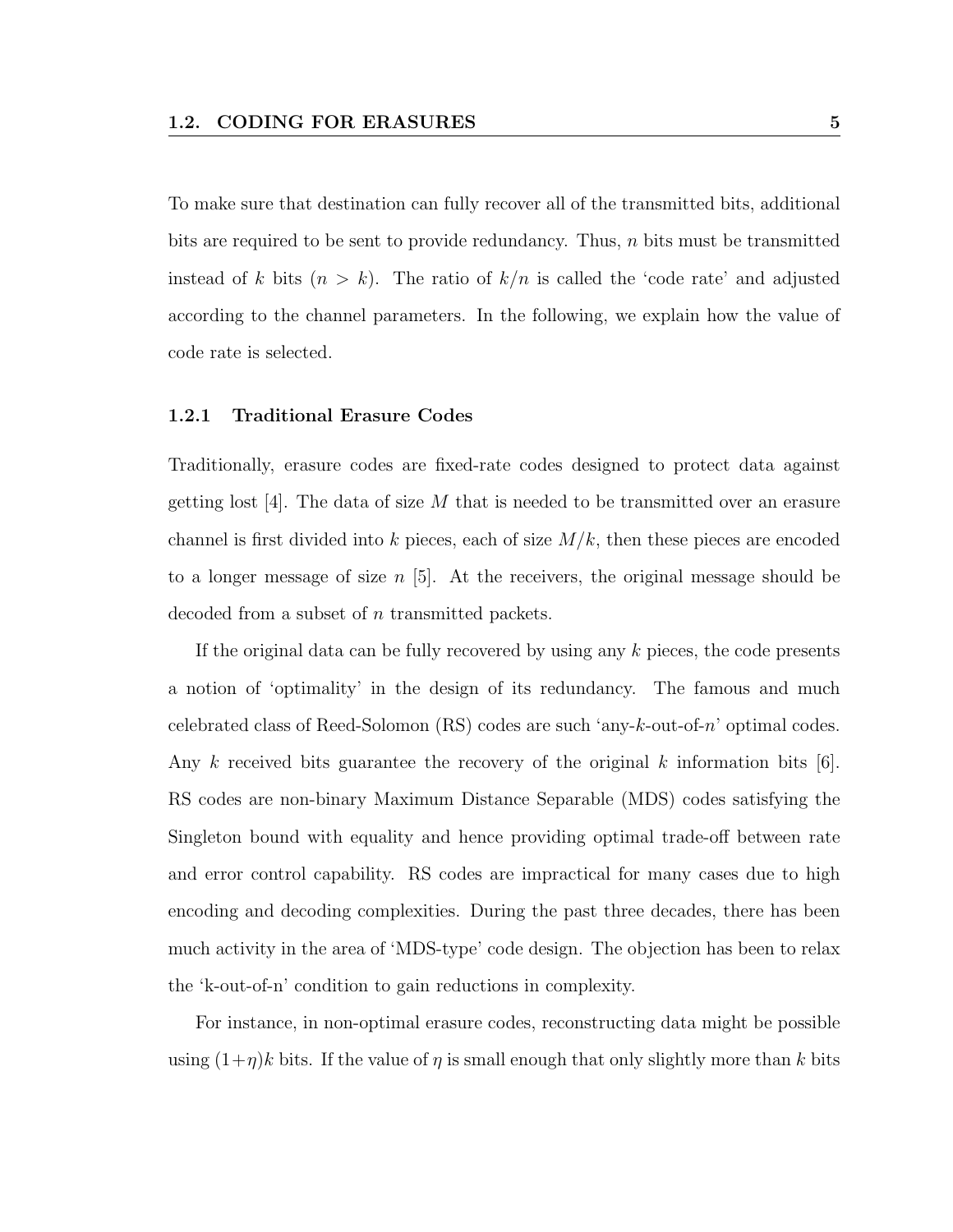To make sure that destination can fully recover all of the transmitted bits, additional bits are required to be sent to provide redundancy. Thus, n bits must be transmitted instead of k bits  $(n > k)$ . The ratio of  $k/n$  is called the 'code rate' and adjusted according to the channel parameters. In the following, we explain how the value of code rate is selected.

#### 1.2.1 Traditional Erasure Codes

Traditionally, erasure codes are fixed-rate codes designed to protect data against getting lost  $[4]$ . The data of size M that is needed to be transmitted over an erasure channel is first divided into k pieces, each of size  $M/k$ , then these pieces are encoded to a longer message of size  $n \geq 5$ . At the receivers, the original message should be decoded from a subset of n transmitted packets.

If the original data can be fully recovered by using any k pieces, the code presents a notion of 'optimality' in the design of its redundancy. The famous and much celebrated class of Reed-Solomon (RS) codes are such 'any-k-out-of-n' optimal codes. Any k received bits guarantee the recovery of the original k information bits  $[6]$ . RS codes are non-binary Maximum Distance Separable (MDS) codes satisfying the Singleton bound with equality and hence providing optimal trade-off between rate and error control capability. RS codes are impractical for many cases due to high encoding and decoding complexities. During the past three decades, there has been much activity in the area of 'MDS-type' code design. The objection has been to relax the 'k-out-of-n' condition to gain reductions in complexity.

For instance, in non-optimal erasure codes, reconstructing data might be possible using  $(1+\eta)k$  bits. If the value of  $\eta$  is small enough that only slightly more than k bits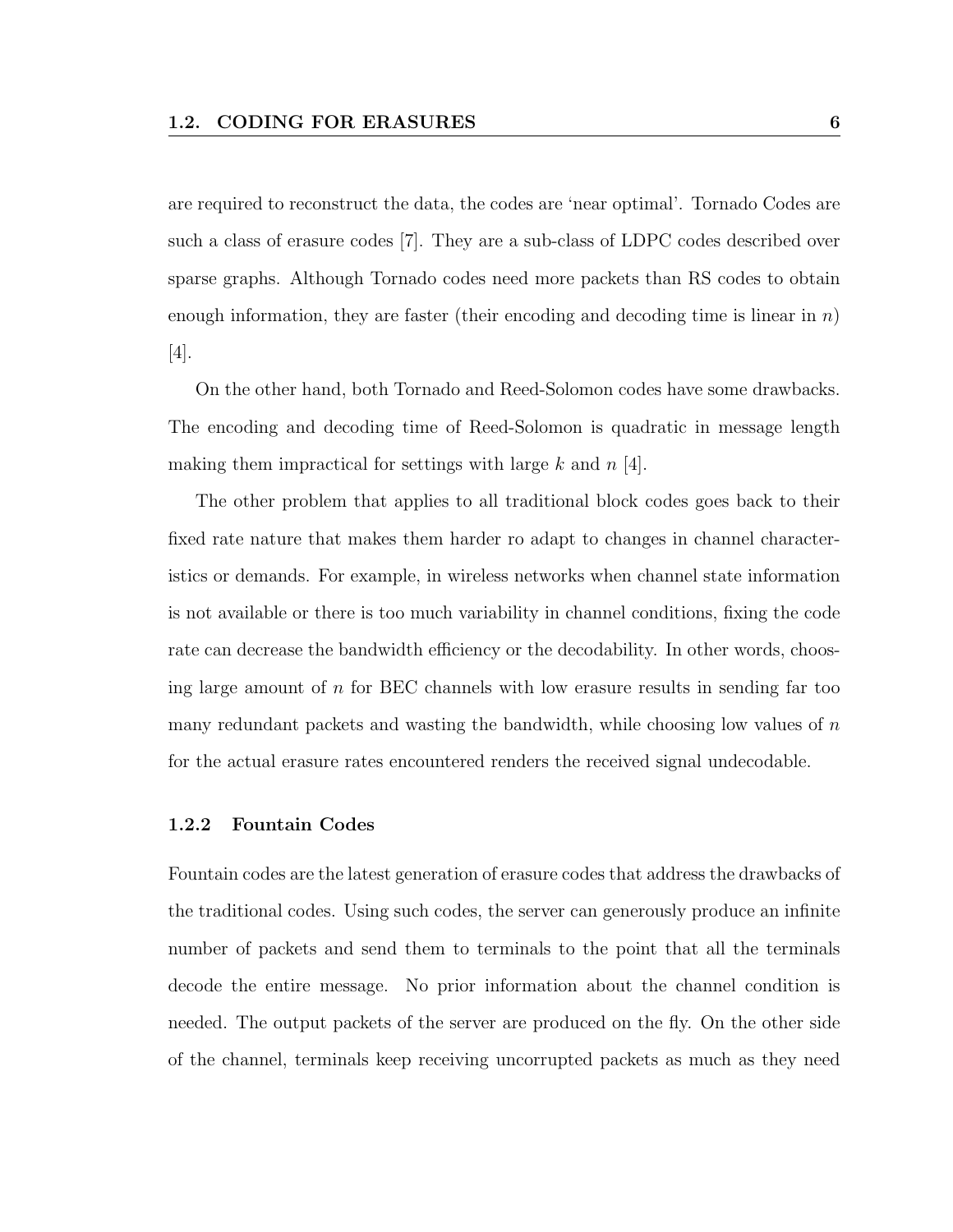are required to reconstruct the data, the codes are 'near optimal'. Tornado Codes are such a class of erasure codes [7]. They are a sub-class of LDPC codes described over sparse graphs. Although Tornado codes need more packets than RS codes to obtain enough information, they are faster (their encoding and decoding time is linear in  $n$ ) [4].

On the other hand, both Tornado and Reed-Solomon codes have some drawbacks. The encoding and decoding time of Reed-Solomon is quadratic in message length making them impractical for settings with large  $k$  and  $n \neq 1$ .

The other problem that applies to all traditional block codes goes back to their fixed rate nature that makes them harder ro adapt to changes in channel characteristics or demands. For example, in wireless networks when channel state information is not available or there is too much variability in channel conditions, fixing the code rate can decrease the bandwidth efficiency or the decodability. In other words, choosing large amount of  $n$  for BEC channels with low erasure results in sending far too many redundant packets and wasting the bandwidth, while choosing low values of  $n$ for the actual erasure rates encountered renders the received signal undecodable.

#### 1.2.2 Fountain Codes

Fountain codes are the latest generation of erasure codes that address the drawbacks of the traditional codes. Using such codes, the server can generously produce an infinite number of packets and send them to terminals to the point that all the terminals decode the entire message. No prior information about the channel condition is needed. The output packets of the server are produced on the fly. On the other side of the channel, terminals keep receiving uncorrupted packets as much as they need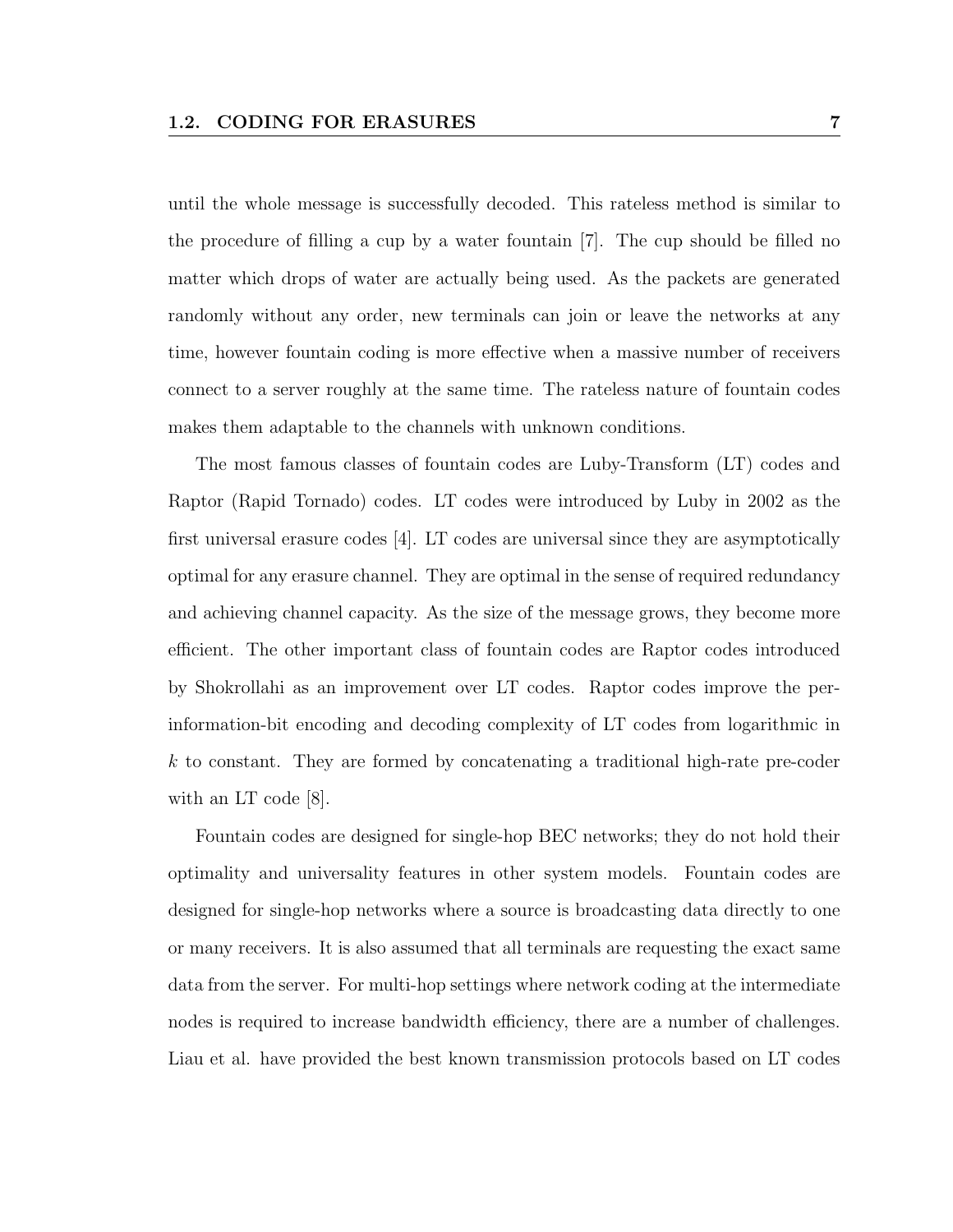until the whole message is successfully decoded. This rateless method is similar to the procedure of filling a cup by a water fountain [7]. The cup should be filled no matter which drops of water are actually being used. As the packets are generated randomly without any order, new terminals can join or leave the networks at any time, however fountain coding is more effective when a massive number of receivers connect to a server roughly at the same time. The rateless nature of fountain codes makes them adaptable to the channels with unknown conditions.

The most famous classes of fountain codes are Luby-Transform (LT) codes and Raptor (Rapid Tornado) codes. LT codes were introduced by Luby in 2002 as the first universal erasure codes [4]. LT codes are universal since they are asymptotically optimal for any erasure channel. They are optimal in the sense of required redundancy and achieving channel capacity. As the size of the message grows, they become more efficient. The other important class of fountain codes are Raptor codes introduced by Shokrollahi as an improvement over LT codes. Raptor codes improve the perinformation-bit encoding and decoding complexity of LT codes from logarithmic in k to constant. They are formed by concatenating a traditional high-rate pre-coder with an LT code [8].

Fountain codes are designed for single-hop BEC networks; they do not hold their optimality and universality features in other system models. Fountain codes are designed for single-hop networks where a source is broadcasting data directly to one or many receivers. It is also assumed that all terminals are requesting the exact same data from the server. For multi-hop settings where network coding at the intermediate nodes is required to increase bandwidth efficiency, there are a number of challenges. Liau et al. have provided the best known transmission protocols based on LT codes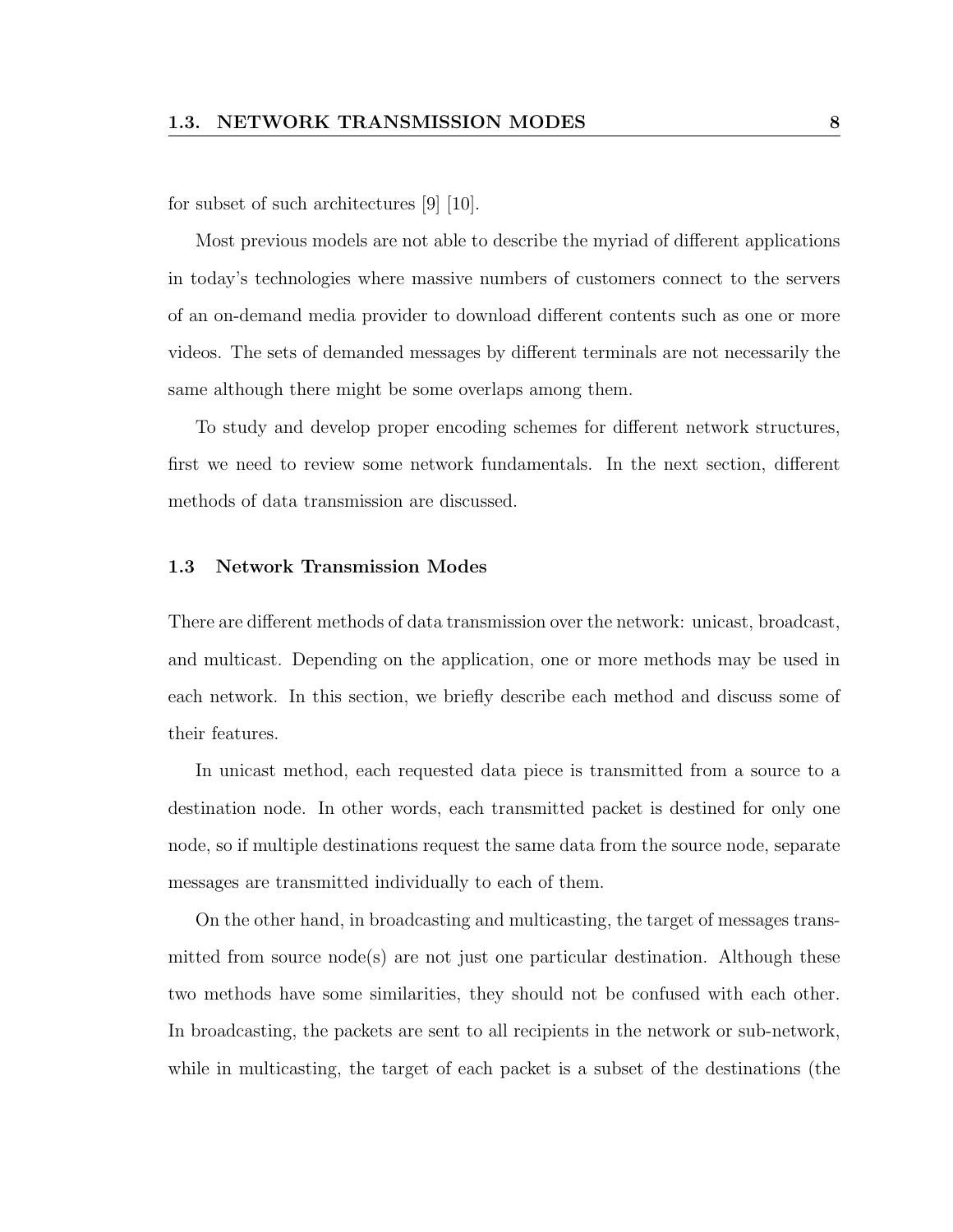for subset of such architectures [9] [10].

Most previous models are not able to describe the myriad of different applications in today's technologies where massive numbers of customers connect to the servers of an on-demand media provider to download different contents such as one or more videos. The sets of demanded messages by different terminals are not necessarily the same although there might be some overlaps among them.

To study and develop proper encoding schemes for different network structures, first we need to review some network fundamentals. In the next section, different methods of data transmission are discussed.

#### 1.3 Network Transmission Modes

There are different methods of data transmission over the network: unicast, broadcast, and multicast. Depending on the application, one or more methods may be used in each network. In this section, we briefly describe each method and discuss some of their features.

In unicast method, each requested data piece is transmitted from a source to a destination node. In other words, each transmitted packet is destined for only one node, so if multiple destinations request the same data from the source node, separate messages are transmitted individually to each of them.

On the other hand, in broadcasting and multicasting, the target of messages transmitted from source node(s) are not just one particular destination. Although these two methods have some similarities, they should not be confused with each other. In broadcasting, the packets are sent to all recipients in the network or sub-network, while in multicasting, the target of each packet is a subset of the destinations (the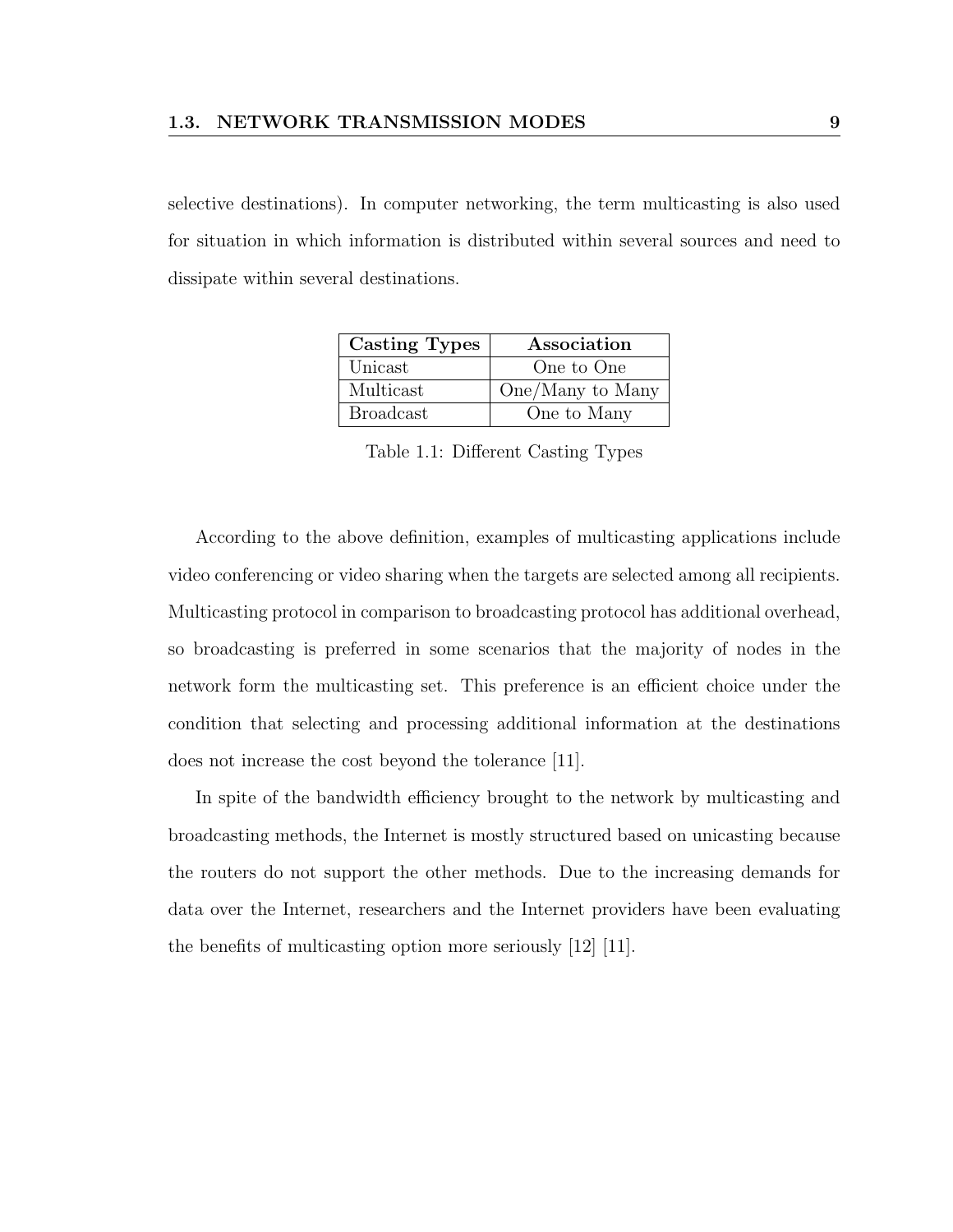selective destinations). In computer networking, the term multicasting is also used for situation in which information is distributed within several sources and need to dissipate within several destinations.

| <b>Casting Types</b> | Association      |
|----------------------|------------------|
| Unicast              | One to One       |
| Multicast            | One/Many to Many |
| <b>Broadcast</b>     | One to Many      |

Table 1.1: Different Casting Types

According to the above definition, examples of multicasting applications include video conferencing or video sharing when the targets are selected among all recipients. Multicasting protocol in comparison to broadcasting protocol has additional overhead, so broadcasting is preferred in some scenarios that the majority of nodes in the network form the multicasting set. This preference is an efficient choice under the condition that selecting and processing additional information at the destinations does not increase the cost beyond the tolerance [11].

In spite of the bandwidth efficiency brought to the network by multicasting and broadcasting methods, the Internet is mostly structured based on unicasting because the routers do not support the other methods. Due to the increasing demands for data over the Internet, researchers and the Internet providers have been evaluating the benefits of multicasting option more seriously [12] [11].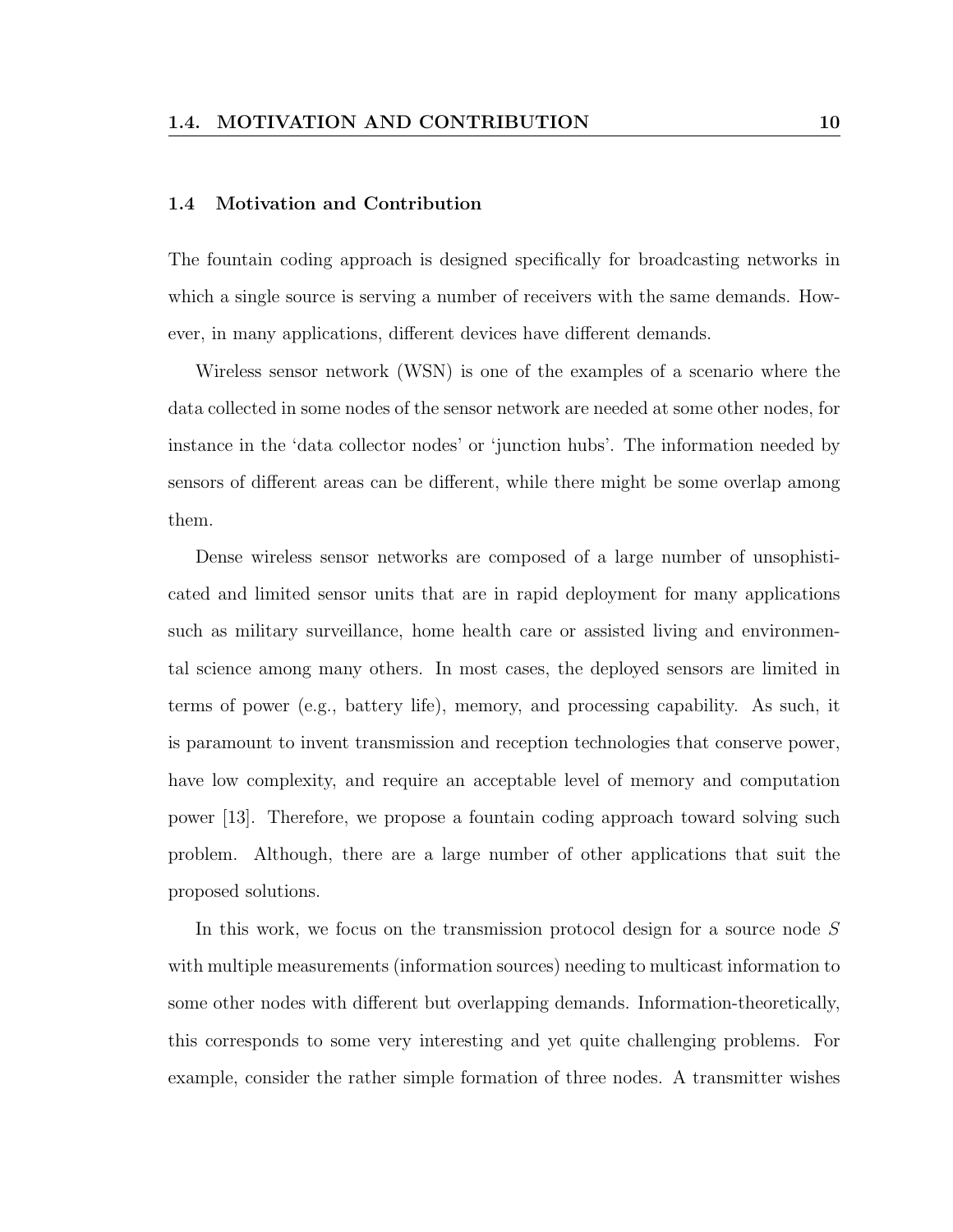#### 1.4 Motivation and Contribution

The fountain coding approach is designed specifically for broadcasting networks in which a single source is serving a number of receivers with the same demands. However, in many applications, different devices have different demands.

Wireless sensor network (WSN) is one of the examples of a scenario where the data collected in some nodes of the sensor network are needed at some other nodes, for instance in the 'data collector nodes' or 'junction hubs'. The information needed by sensors of different areas can be different, while there might be some overlap among them.

Dense wireless sensor networks are composed of a large number of unsophisticated and limited sensor units that are in rapid deployment for many applications such as military surveillance, home health care or assisted living and environmental science among many others. In most cases, the deployed sensors are limited in terms of power (e.g., battery life), memory, and processing capability. As such, it is paramount to invent transmission and reception technologies that conserve power, have low complexity, and require an acceptable level of memory and computation power [13]. Therefore, we propose a fountain coding approach toward solving such problem. Although, there are a large number of other applications that suit the proposed solutions.

In this work, we focus on the transmission protocol design for a source node S with multiple measurements (information sources) needing to multicast information to some other nodes with different but overlapping demands. Information-theoretically, this corresponds to some very interesting and yet quite challenging problems. For example, consider the rather simple formation of three nodes. A transmitter wishes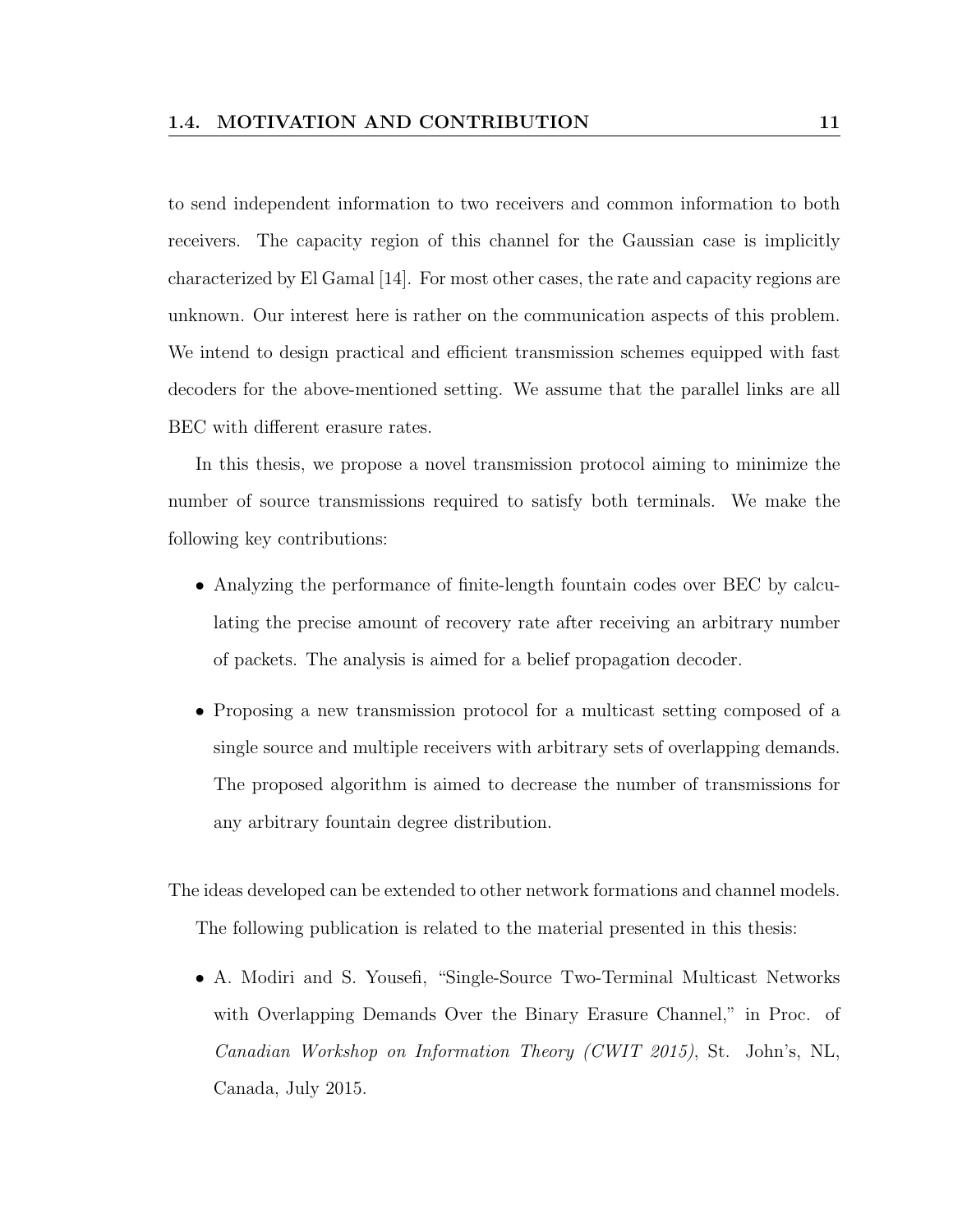to send independent information to two receivers and common information to both receivers. The capacity region of this channel for the Gaussian case is implicitly characterized by El Gamal [14]. For most other cases, the rate and capacity regions are unknown. Our interest here is rather on the communication aspects of this problem. We intend to design practical and efficient transmission schemes equipped with fast decoders for the above-mentioned setting. We assume that the parallel links are all BEC with different erasure rates.

In this thesis, we propose a novel transmission protocol aiming to minimize the number of source transmissions required to satisfy both terminals. We make the following key contributions:

- Analyzing the performance of finite-length fountain codes over BEC by calculating the precise amount of recovery rate after receiving an arbitrary number of packets. The analysis is aimed for a belief propagation decoder.
- Proposing a new transmission protocol for a multicast setting composed of a single source and multiple receivers with arbitrary sets of overlapping demands. The proposed algorithm is aimed to decrease the number of transmissions for any arbitrary fountain degree distribution.

The ideas developed can be extended to other network formations and channel models. The following publication is related to the material presented in this thesis:

• A. Modiri and S. Yousefi, "Single-Source Two-Terminal Multicast Networks with Overlapping Demands Over the Binary Erasure Channel," in Proc. of Canadian Workshop on Information Theory (CWIT 2015), St. John's, NL, Canada, July 2015.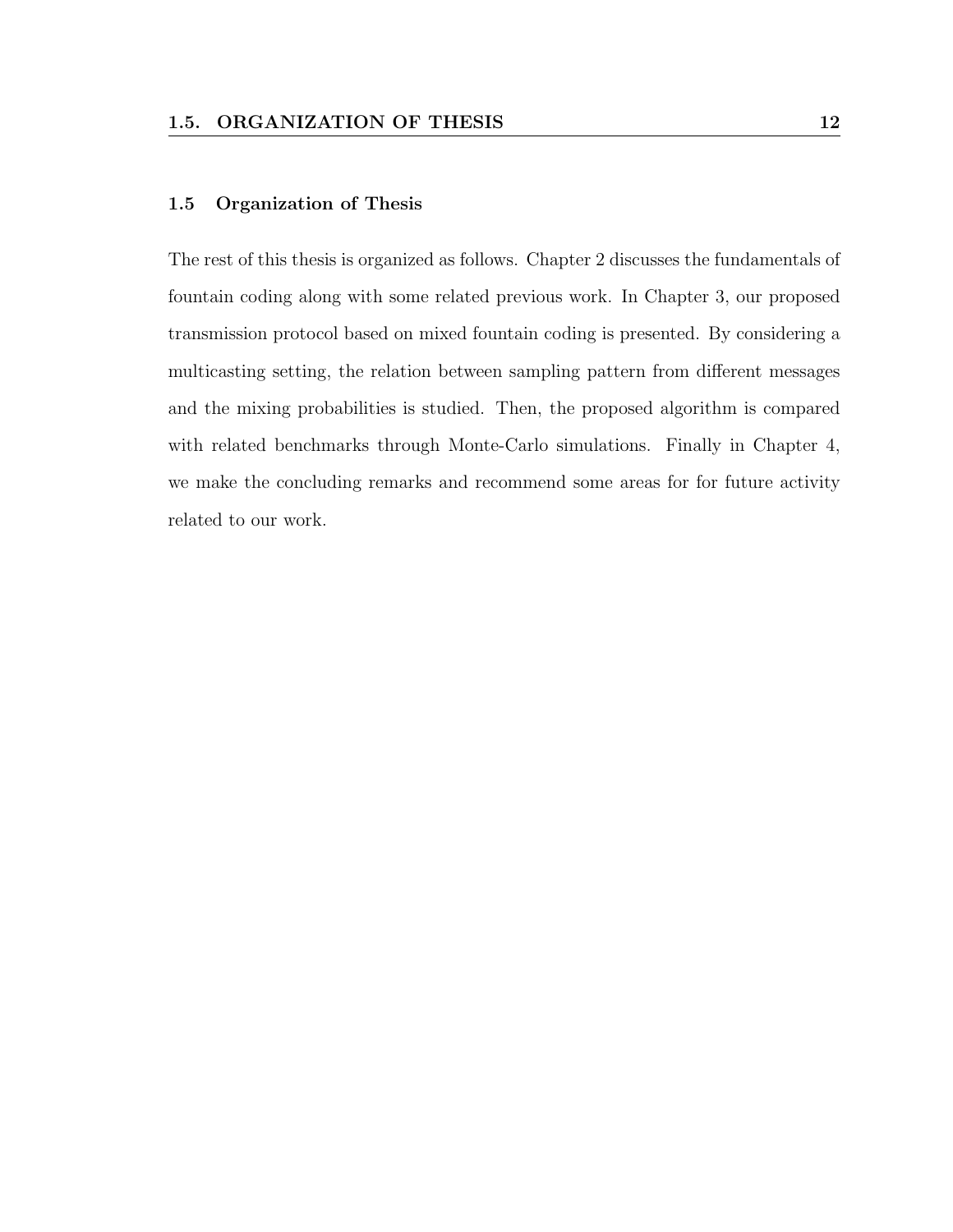#### 1.5 Organization of Thesis

The rest of this thesis is organized as follows. Chapter 2 discusses the fundamentals of fountain coding along with some related previous work. In Chapter 3, our proposed transmission protocol based on mixed fountain coding is presented. By considering a multicasting setting, the relation between sampling pattern from different messages and the mixing probabilities is studied. Then, the proposed algorithm is compared with related benchmarks through Monte-Carlo simulations. Finally in Chapter 4, we make the concluding remarks and recommend some areas for for future activity related to our work.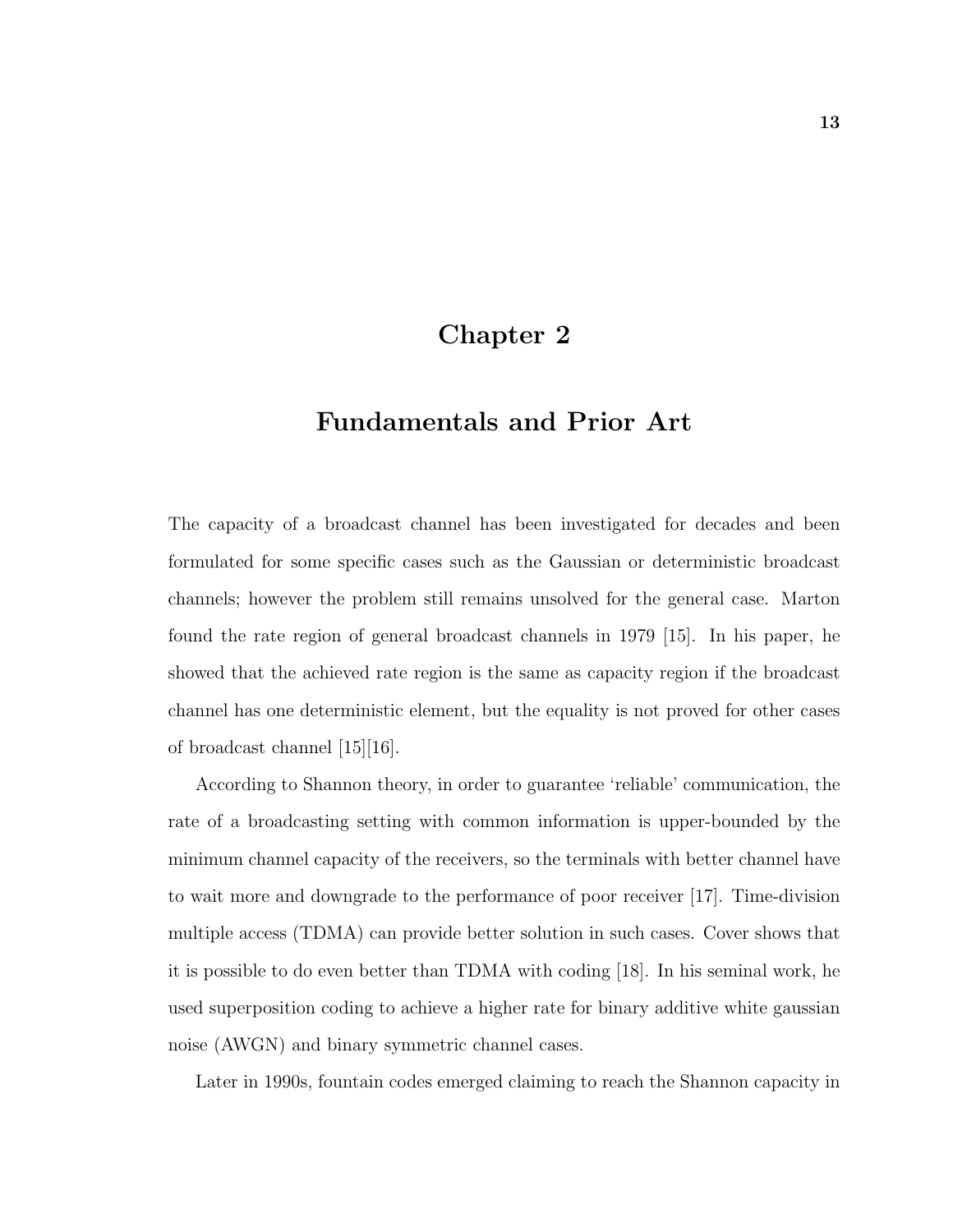## Chapter 2

## Fundamentals and Prior Art

The capacity of a broadcast channel has been investigated for decades and been formulated for some specific cases such as the Gaussian or deterministic broadcast channels; however the problem still remains unsolved for the general case. Marton found the rate region of general broadcast channels in 1979 [15]. In his paper, he showed that the achieved rate region is the same as capacity region if the broadcast channel has one deterministic element, but the equality is not proved for other cases of broadcast channel [15][16].

According to Shannon theory, in order to guarantee 'reliable' communication, the rate of a broadcasting setting with common information is upper-bounded by the minimum channel capacity of the receivers, so the terminals with better channel have to wait more and downgrade to the performance of poor receiver [17]. Time-division multiple access (TDMA) can provide better solution in such cases. Cover shows that it is possible to do even better than TDMA with coding [18]. In his seminal work, he used superposition coding to achieve a higher rate for binary additive white gaussian noise (AWGN) and binary symmetric channel cases.

Later in 1990s, fountain codes emerged claiming to reach the Shannon capacity in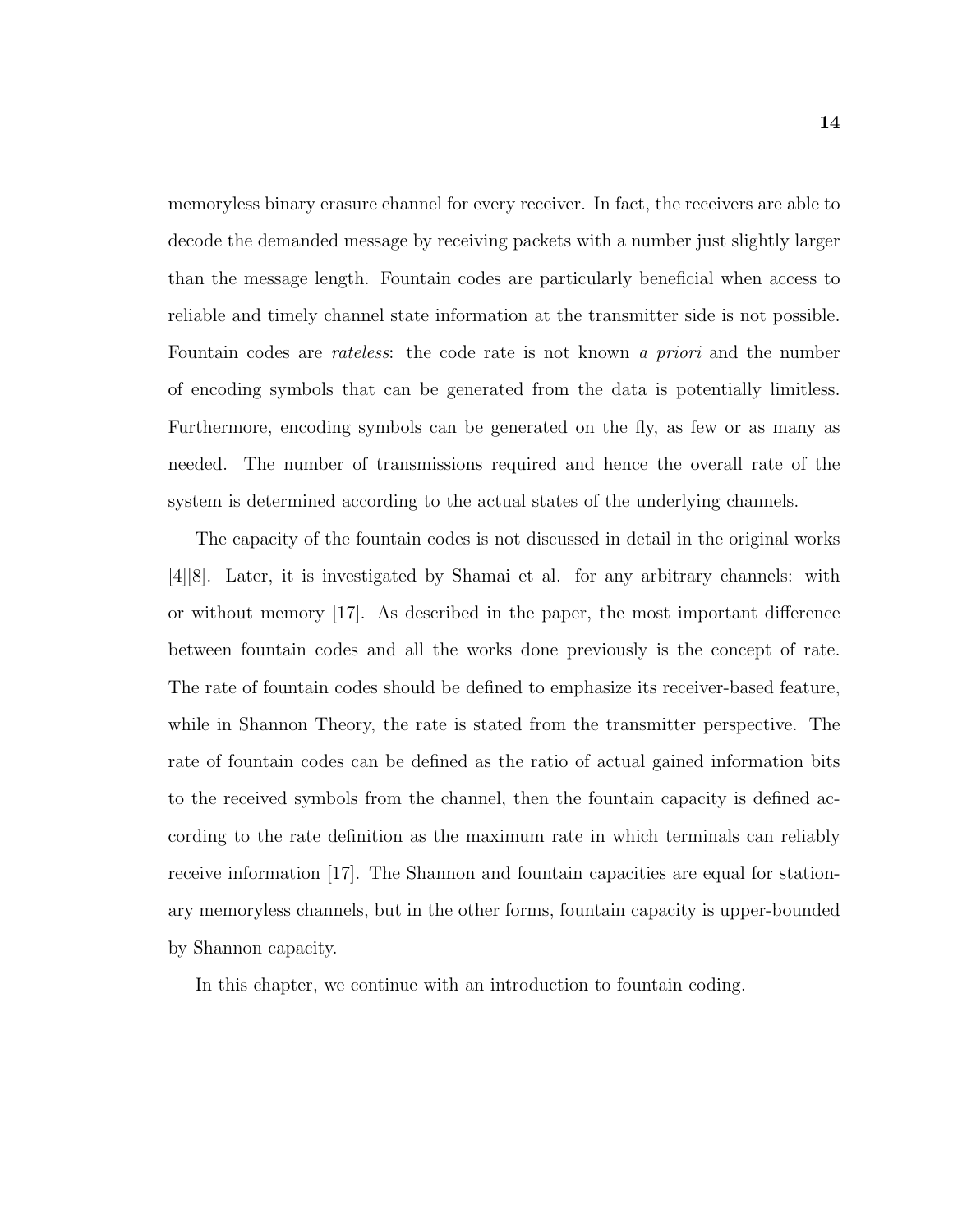memoryless binary erasure channel for every receiver. In fact, the receivers are able to decode the demanded message by receiving packets with a number just slightly larger than the message length. Fountain codes are particularly beneficial when access to reliable and timely channel state information at the transmitter side is not possible. Fountain codes are *rateless*: the code rate is not known a *priori* and the number of encoding symbols that can be generated from the data is potentially limitless. Furthermore, encoding symbols can be generated on the fly, as few or as many as needed. The number of transmissions required and hence the overall rate of the system is determined according to the actual states of the underlying channels.

The capacity of the fountain codes is not discussed in detail in the original works [4][8]. Later, it is investigated by Shamai et al. for any arbitrary channels: with or without memory [17]. As described in the paper, the most important difference between fountain codes and all the works done previously is the concept of rate. The rate of fountain codes should be defined to emphasize its receiver-based feature, while in Shannon Theory, the rate is stated from the transmitter perspective. The rate of fountain codes can be defined as the ratio of actual gained information bits to the received symbols from the channel, then the fountain capacity is defined according to the rate definition as the maximum rate in which terminals can reliably receive information [17]. The Shannon and fountain capacities are equal for stationary memoryless channels, but in the other forms, fountain capacity is upper-bounded by Shannon capacity.

In this chapter, we continue with an introduction to fountain coding.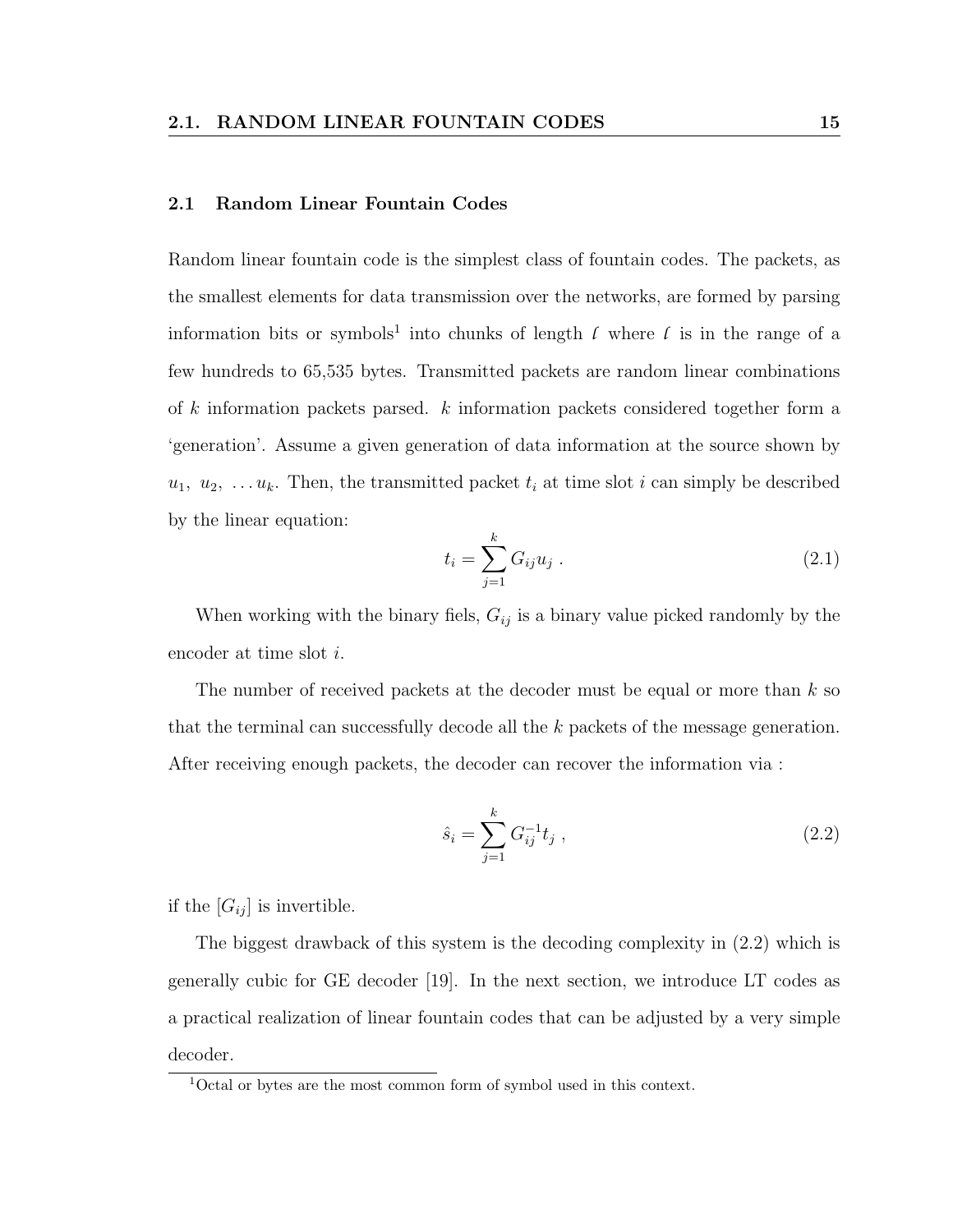#### 2.1 Random Linear Fountain Codes

Random linear fountain code is the simplest class of fountain codes. The packets, as the smallest elements for data transmission over the networks, are formed by parsing information bits or symbols<sup>1</sup> into chunks of length  $\ell$  where  $\ell$  is in the range of a few hundreds to 65,535 bytes. Transmitted packets are random linear combinations of k information packets parsed. k information packets considered together form a 'generation'. Assume a given generation of data information at the source shown by  $u_1, u_2, \ldots u_k$ . Then, the transmitted packet  $t_i$  at time slot i can simply be described by the linear equation:

$$
t_i = \sum_{j=1}^{k} G_{ij} u_j . \tag{2.1}
$$

When working with the binary fiels,  $G_{ij}$  is a binary value picked randomly by the encoder at time slot i.

The number of received packets at the decoder must be equal or more than  $k$  so that the terminal can successfully decode all the k packets of the message generation. After receiving enough packets, the decoder can recover the information via :

$$
\hat{s}_i = \sum_{j=1}^k G_{ij}^{-1} t_j , \qquad (2.2)
$$

if the  $[G_{ij}]$  is invertible.

The biggest drawback of this system is the decoding complexity in (2.2) which is generally cubic for GE decoder [19]. In the next section, we introduce LT codes as a practical realization of linear fountain codes that can be adjusted by a very simple decoder.

<sup>1</sup>Octal or bytes are the most common form of symbol used in this context.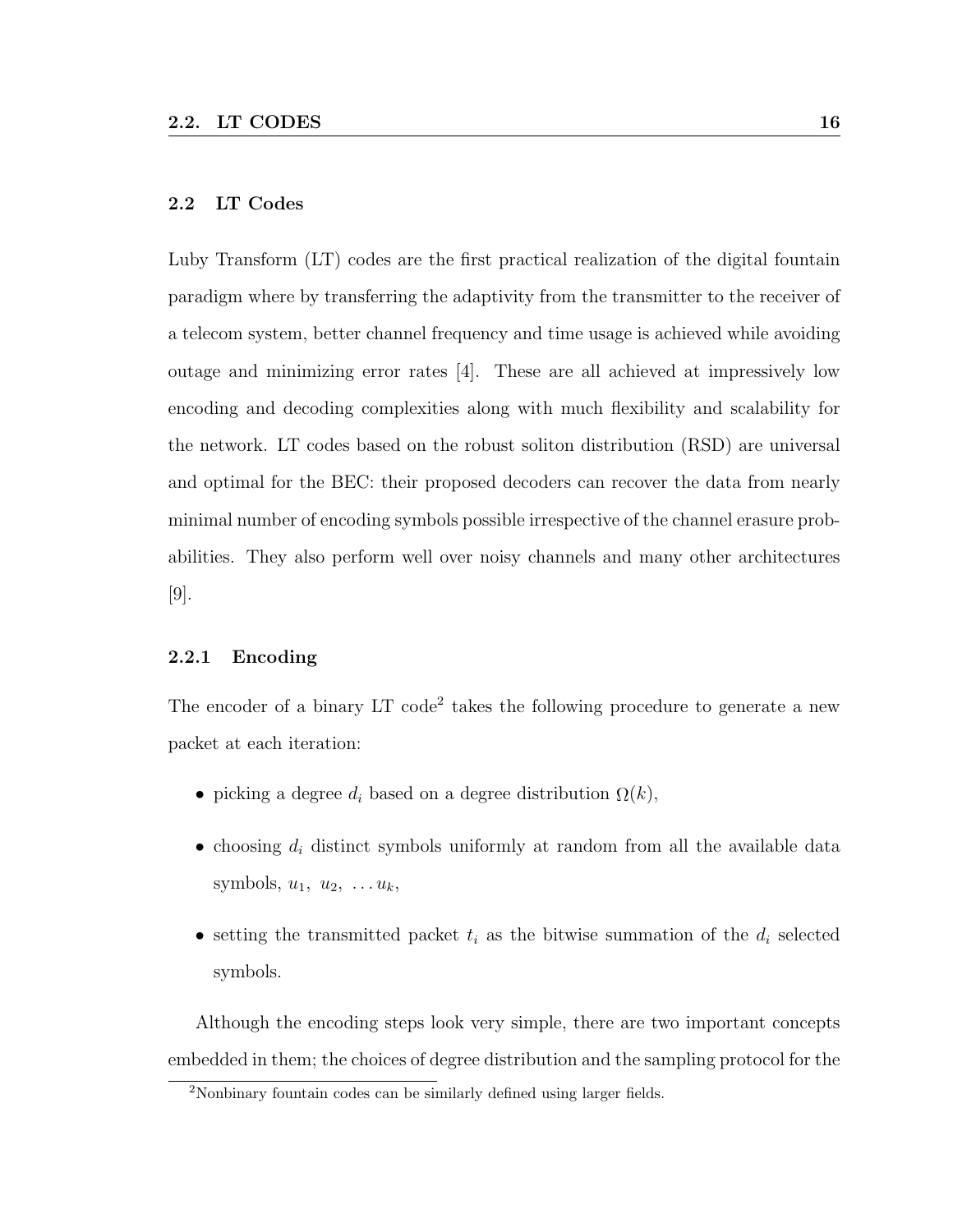#### 2.2 LT Codes

Luby Transform (LT) codes are the first practical realization of the digital fountain paradigm where by transferring the adaptivity from the transmitter to the receiver of a telecom system, better channel frequency and time usage is achieved while avoiding outage and minimizing error rates [4]. These are all achieved at impressively low encoding and decoding complexities along with much flexibility and scalability for the network. LT codes based on the robust soliton distribution (RSD) are universal and optimal for the BEC: their proposed decoders can recover the data from nearly minimal number of encoding symbols possible irrespective of the channel erasure probabilities. They also perform well over noisy channels and many other architectures [9].

#### 2.2.1 Encoding

The encoder of a binary LT code<sup>2</sup> takes the following procedure to generate a new packet at each iteration:

- picking a degree  $d_i$  based on a degree distribution  $\Omega(k)$ ,
- choosing  $d_i$  distinct symbols uniformly at random from all the available data symbols,  $u_1, u_2, \ldots u_k$ ,
- setting the transmitted packet  $t_i$  as the bitwise summation of the  $d_i$  selected symbols.

Although the encoding steps look very simple, there are two important concepts embedded in them; the choices of degree distribution and the sampling protocol for the

<sup>2</sup>Nonbinary fountain codes can be similarly defined using larger fields.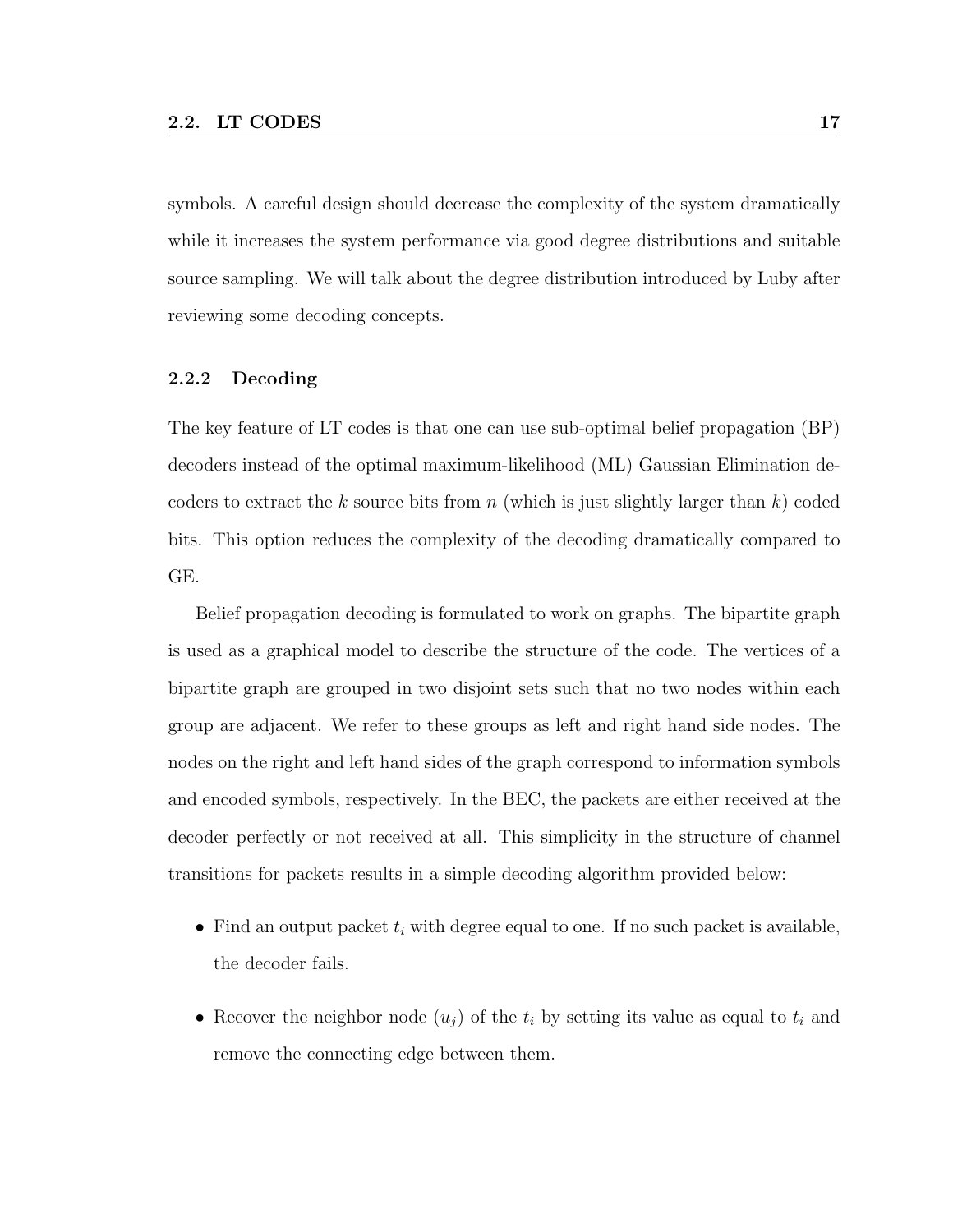symbols. A careful design should decrease the complexity of the system dramatically while it increases the system performance via good degree distributions and suitable source sampling. We will talk about the degree distribution introduced by Luby after reviewing some decoding concepts.

#### 2.2.2 Decoding

The key feature of LT codes is that one can use sub-optimal belief propagation (BP) decoders instead of the optimal maximum-likelihood (ML) Gaussian Elimination decoders to extract the k source bits from n (which is just slightly larger than  $k$ ) coded bits. This option reduces the complexity of the decoding dramatically compared to GE.

Belief propagation decoding is formulated to work on graphs. The bipartite graph is used as a graphical model to describe the structure of the code. The vertices of a bipartite graph are grouped in two disjoint sets such that no two nodes within each group are adjacent. We refer to these groups as left and right hand side nodes. The nodes on the right and left hand sides of the graph correspond to information symbols and encoded symbols, respectively. In the BEC, the packets are either received at the decoder perfectly or not received at all. This simplicity in the structure of channel transitions for packets results in a simple decoding algorithm provided below:

- Find an output packet  $t_i$  with degree equal to one. If no such packet is available, the decoder fails.
- Recover the neighbor node  $(u_i)$  of the  $t_i$  by setting its value as equal to  $t_i$  and remove the connecting edge between them.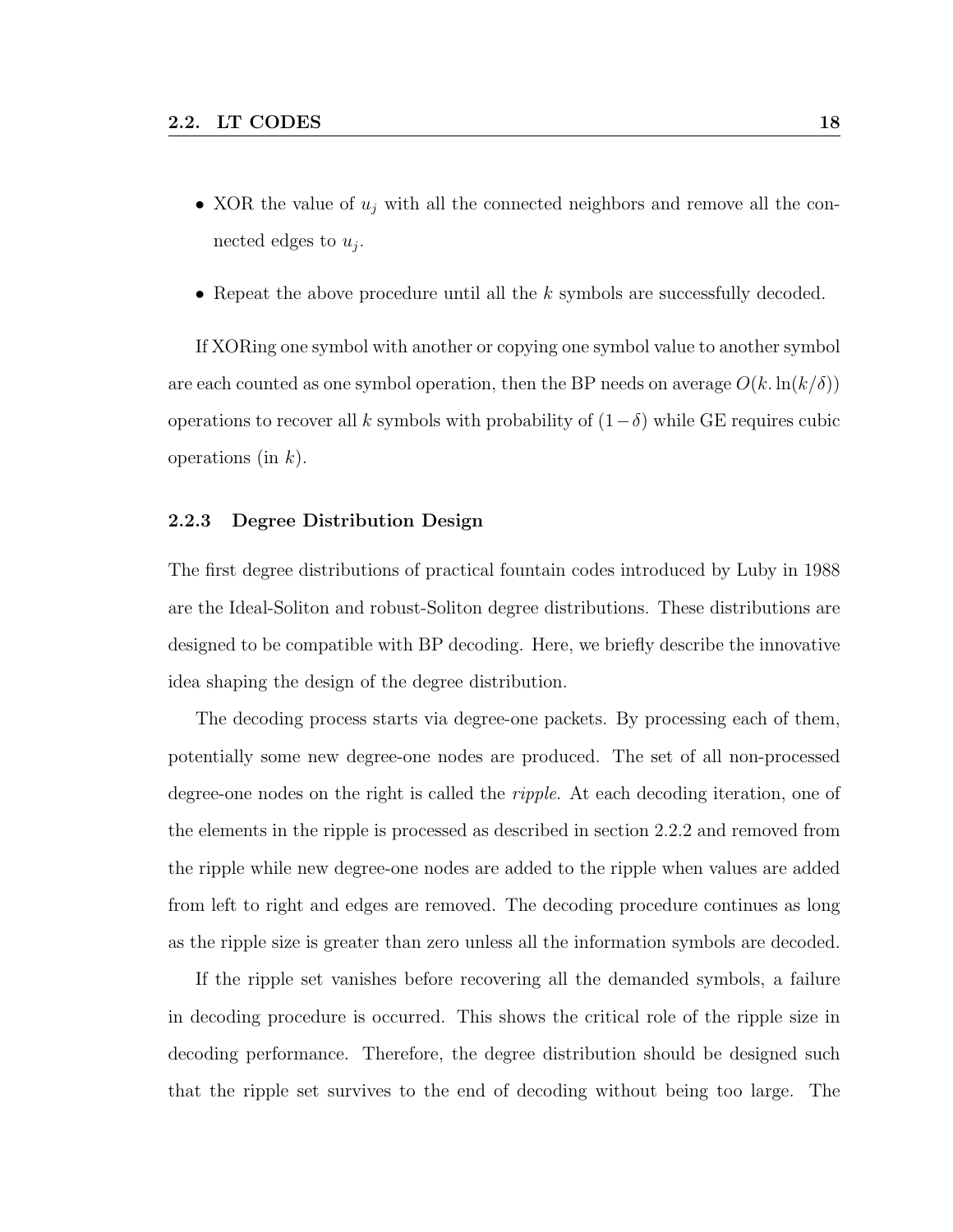- XOR the value of  $u_i$  with all the connected neighbors and remove all the connected edges to  $u_j$ .
- Repeat the above procedure until all the  $k$  symbols are successfully decoded.

If XORing one symbol with another or copying one symbol value to another symbol are each counted as one symbol operation, then the BP needs on average  $O(k \cdot \ln(k/\delta))$ operations to recover all k symbols with probability of  $(1-\delta)$  while GE requires cubic operations (in  $k$ ).

#### 2.2.3 Degree Distribution Design

The first degree distributions of practical fountain codes introduced by Luby in 1988 are the Ideal-Soliton and robust-Soliton degree distributions. These distributions are designed to be compatible with BP decoding. Here, we briefly describe the innovative idea shaping the design of the degree distribution.

The decoding process starts via degree-one packets. By processing each of them, potentially some new degree-one nodes are produced. The set of all non-processed degree-one nodes on the right is called the *ripple*. At each decoding iteration, one of the elements in the ripple is processed as described in section 2.2.2 and removed from the ripple while new degree-one nodes are added to the ripple when values are added from left to right and edges are removed. The decoding procedure continues as long as the ripple size is greater than zero unless all the information symbols are decoded.

If the ripple set vanishes before recovering all the demanded symbols, a failure in decoding procedure is occurred. This shows the critical role of the ripple size in decoding performance. Therefore, the degree distribution should be designed such that the ripple set survives to the end of decoding without being too large. The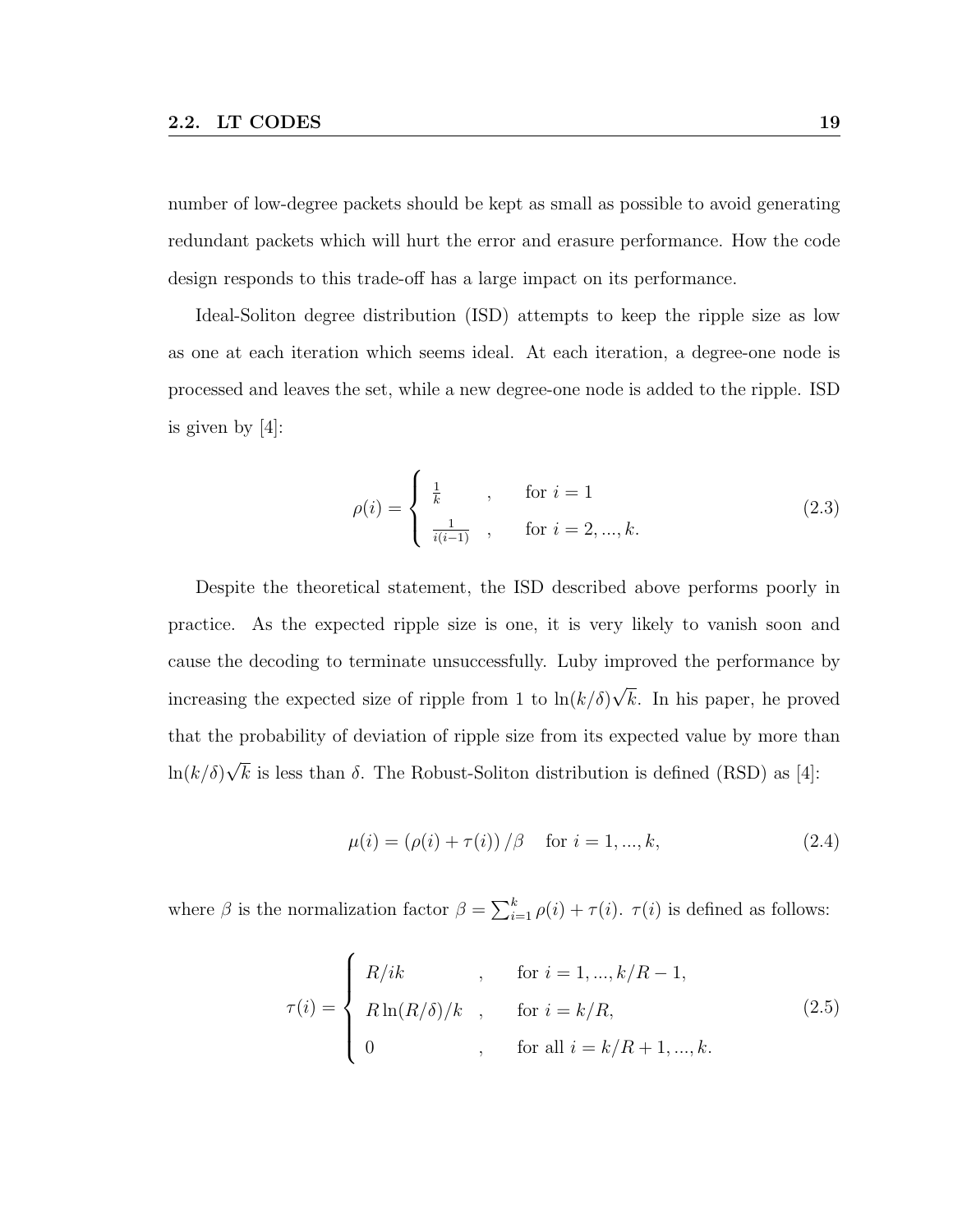number of low-degree packets should be kept as small as possible to avoid generating redundant packets which will hurt the error and erasure performance. How the code design responds to this trade-off has a large impact on its performance.

Ideal-Soliton degree distribution (ISD) attempts to keep the ripple size as low as one at each iteration which seems ideal. At each iteration, a degree-one node is processed and leaves the set, while a new degree-one node is added to the ripple. ISD is given by [4]:

$$
\rho(i) = \begin{cases} \frac{1}{k} , & \text{for } i = 1\\ \frac{1}{i(i-1)} , & \text{for } i = 2, ..., k. \end{cases}
$$
 (2.3)

Despite the theoretical statement, the ISD described above performs poorly in practice. As the expected ripple size is one, it is very likely to vanish soon and cause the decoding to terminate unsuccessfully. Luby improved the performance by increasing the expected size of ripple from 1 to  $\ln(k/\delta)$ √ k. In his paper, he proved that the probability of deviation of ripple size from its expected value by more than  $ln(k/\delta)$ √ k is less than  $\delta$ . The Robust-Soliton distribution is defined (RSD) as [4]:

$$
\mu(i) = (\rho(i) + \tau(i)) / \beta \quad \text{for } i = 1, ..., k,
$$
\n(2.4)

where  $\beta$  is the normalization factor  $\beta = \sum_{i=1}^{k} \rho(i) + \tau(i)$ .  $\tau(i)$  is defined as follows:

$$
\tau(i) = \begin{cases}\nR/ik & , & \text{for } i = 1, ..., k/R - 1, \\
R\ln(R/\delta)/k & , & \text{for } i = k/R, \\
0 & , & \text{for all } i = k/R + 1, ..., k.\n\end{cases}
$$
\n(2.5)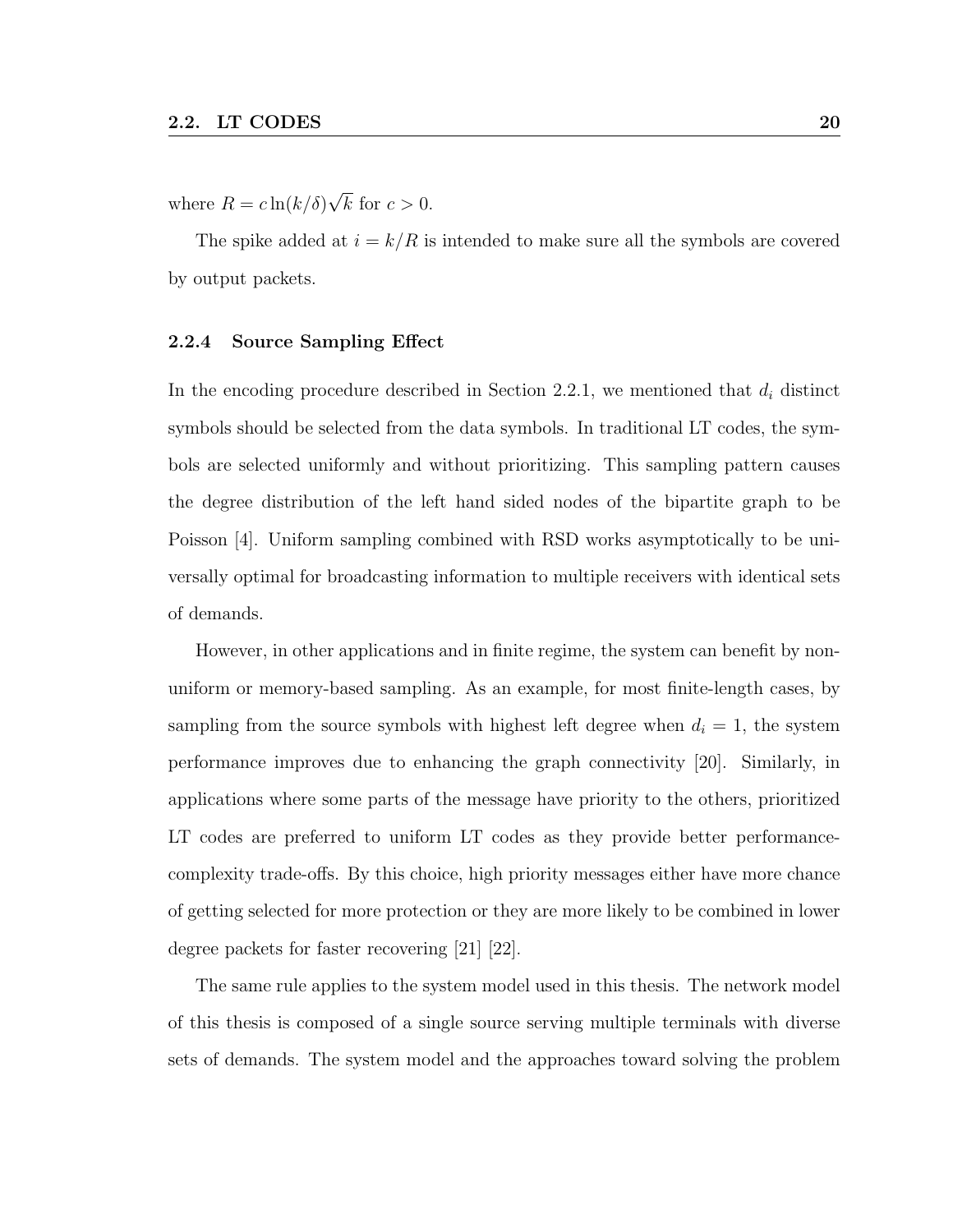where  $R = c \ln(k/\delta)$ √ k for  $c > 0$ .

The spike added at  $i = k/R$  is intended to make sure all the symbols are covered by output packets.

#### 2.2.4 Source Sampling Effect

In the encoding procedure described in Section 2.2.1, we mentioned that  $d_i$  distinct symbols should be selected from the data symbols. In traditional LT codes, the symbols are selected uniformly and without prioritizing. This sampling pattern causes the degree distribution of the left hand sided nodes of the bipartite graph to be Poisson [4]. Uniform sampling combined with RSD works asymptotically to be universally optimal for broadcasting information to multiple receivers with identical sets of demands.

However, in other applications and in finite regime, the system can benefit by nonuniform or memory-based sampling. As an example, for most finite-length cases, by sampling from the source symbols with highest left degree when  $d_i = 1$ , the system performance improves due to enhancing the graph connectivity [20]. Similarly, in applications where some parts of the message have priority to the others, prioritized LT codes are preferred to uniform LT codes as they provide better performancecomplexity trade-offs. By this choice, high priority messages either have more chance of getting selected for more protection or they are more likely to be combined in lower degree packets for faster recovering [21] [22].

The same rule applies to the system model used in this thesis. The network model of this thesis is composed of a single source serving multiple terminals with diverse sets of demands. The system model and the approaches toward solving the problem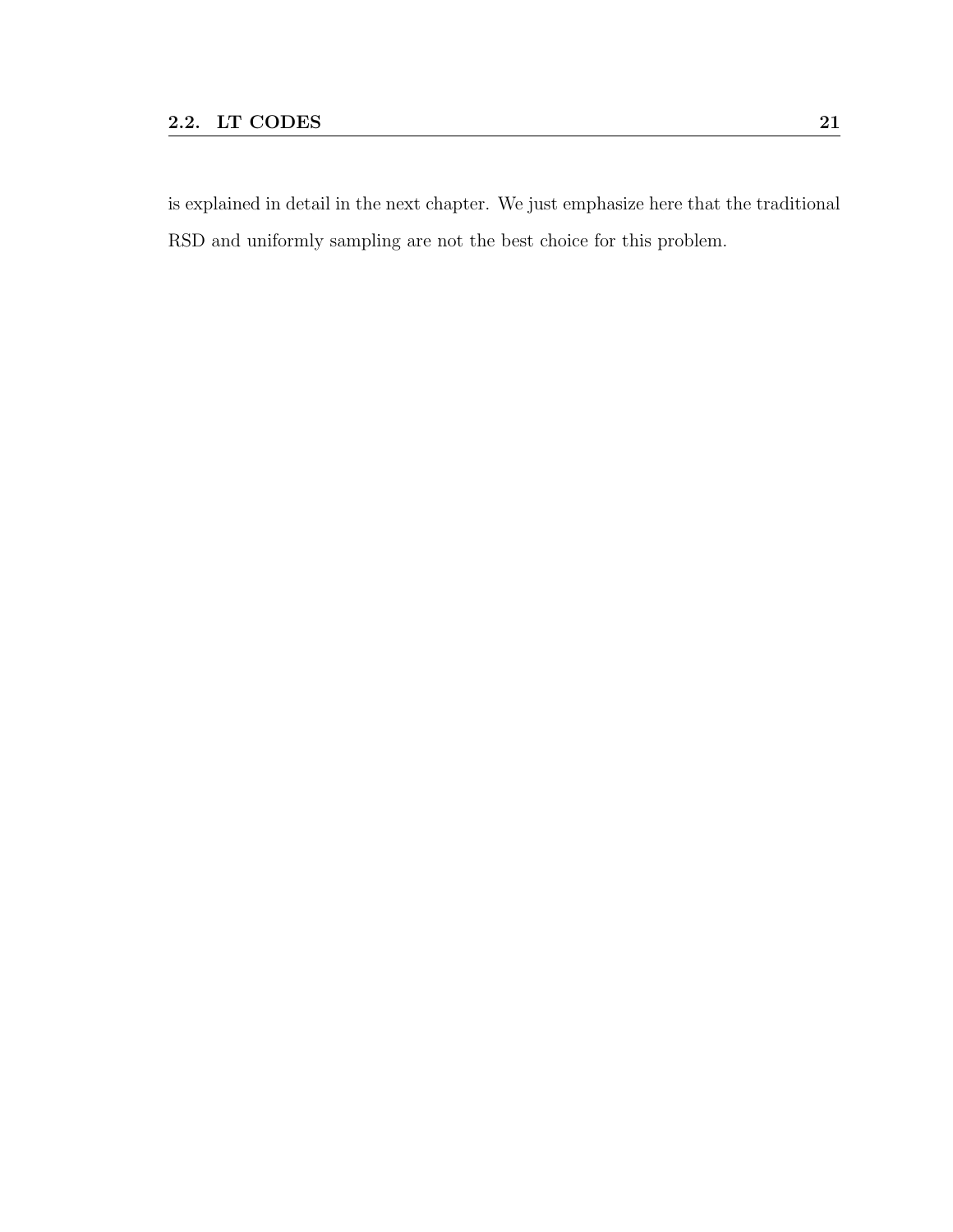is explained in detail in the next chapter. We just emphasize here that the traditional RSD and uniformly sampling are not the best choice for this problem.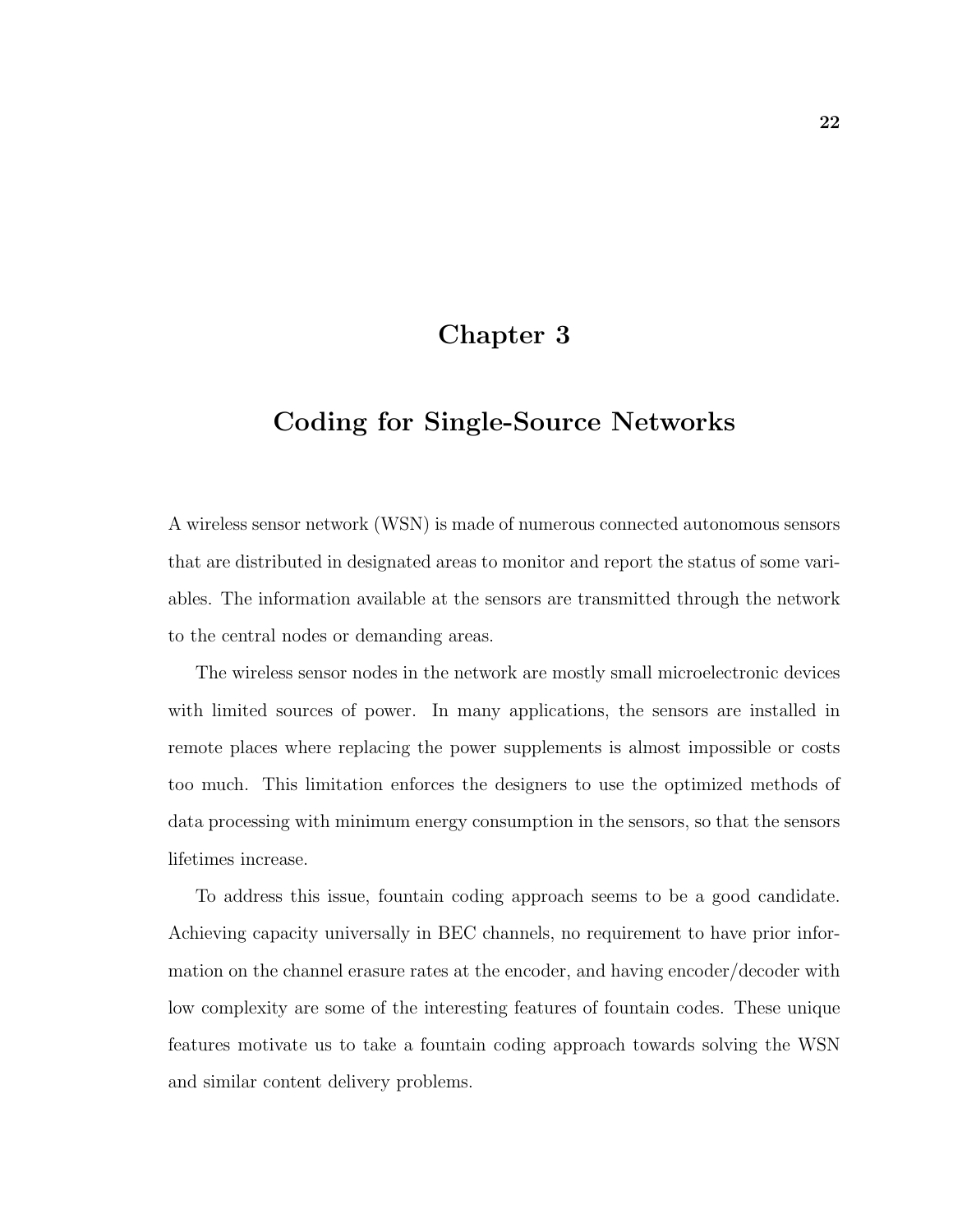## Chapter 3

## Coding for Single-Source Networks

A wireless sensor network (WSN) is made of numerous connected autonomous sensors that are distributed in designated areas to monitor and report the status of some variables. The information available at the sensors are transmitted through the network to the central nodes or demanding areas.

The wireless sensor nodes in the network are mostly small microelectronic devices with limited sources of power. In many applications, the sensors are installed in remote places where replacing the power supplements is almost impossible or costs too much. This limitation enforces the designers to use the optimized methods of data processing with minimum energy consumption in the sensors, so that the sensors lifetimes increase.

To address this issue, fountain coding approach seems to be a good candidate. Achieving capacity universally in BEC channels, no requirement to have prior information on the channel erasure rates at the encoder, and having encoder/decoder with low complexity are some of the interesting features of fountain codes. These unique features motivate us to take a fountain coding approach towards solving the WSN and similar content delivery problems.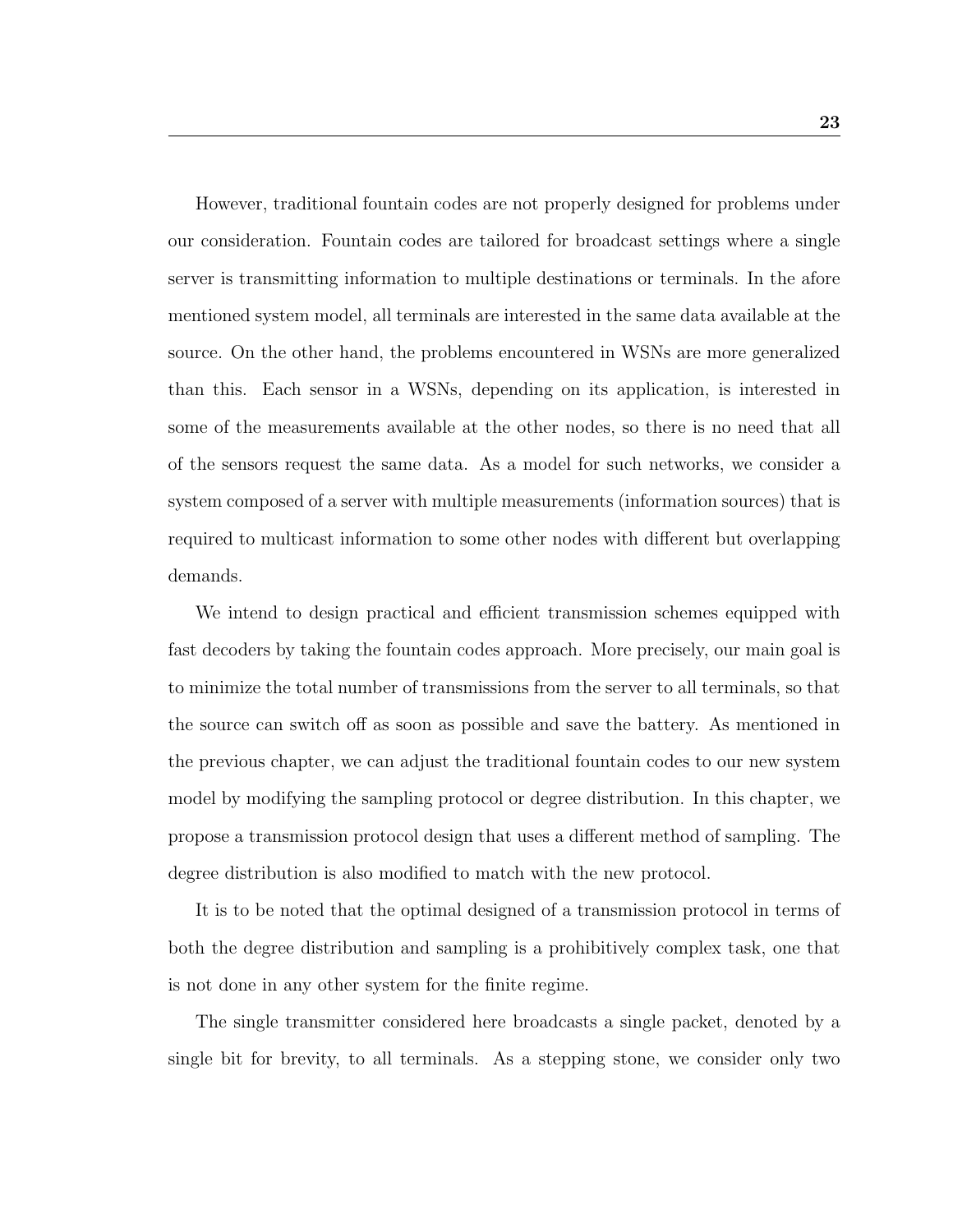However, traditional fountain codes are not properly designed for problems under our consideration. Fountain codes are tailored for broadcast settings where a single server is transmitting information to multiple destinations or terminals. In the afore mentioned system model, all terminals are interested in the same data available at the source. On the other hand, the problems encountered in WSNs are more generalized than this. Each sensor in a WSNs, depending on its application, is interested in some of the measurements available at the other nodes, so there is no need that all of the sensors request the same data. As a model for such networks, we consider a system composed of a server with multiple measurements (information sources) that is required to multicast information to some other nodes with different but overlapping demands.

We intend to design practical and efficient transmission schemes equipped with fast decoders by taking the fountain codes approach. More precisely, our main goal is to minimize the total number of transmissions from the server to all terminals, so that the source can switch off as soon as possible and save the battery. As mentioned in the previous chapter, we can adjust the traditional fountain codes to our new system model by modifying the sampling protocol or degree distribution. In this chapter, we propose a transmission protocol design that uses a different method of sampling. The degree distribution is also modified to match with the new protocol.

It is to be noted that the optimal designed of a transmission protocol in terms of both the degree distribution and sampling is a prohibitively complex task, one that is not done in any other system for the finite regime.

The single transmitter considered here broadcasts a single packet, denoted by a single bit for brevity, to all terminals. As a stepping stone, we consider only two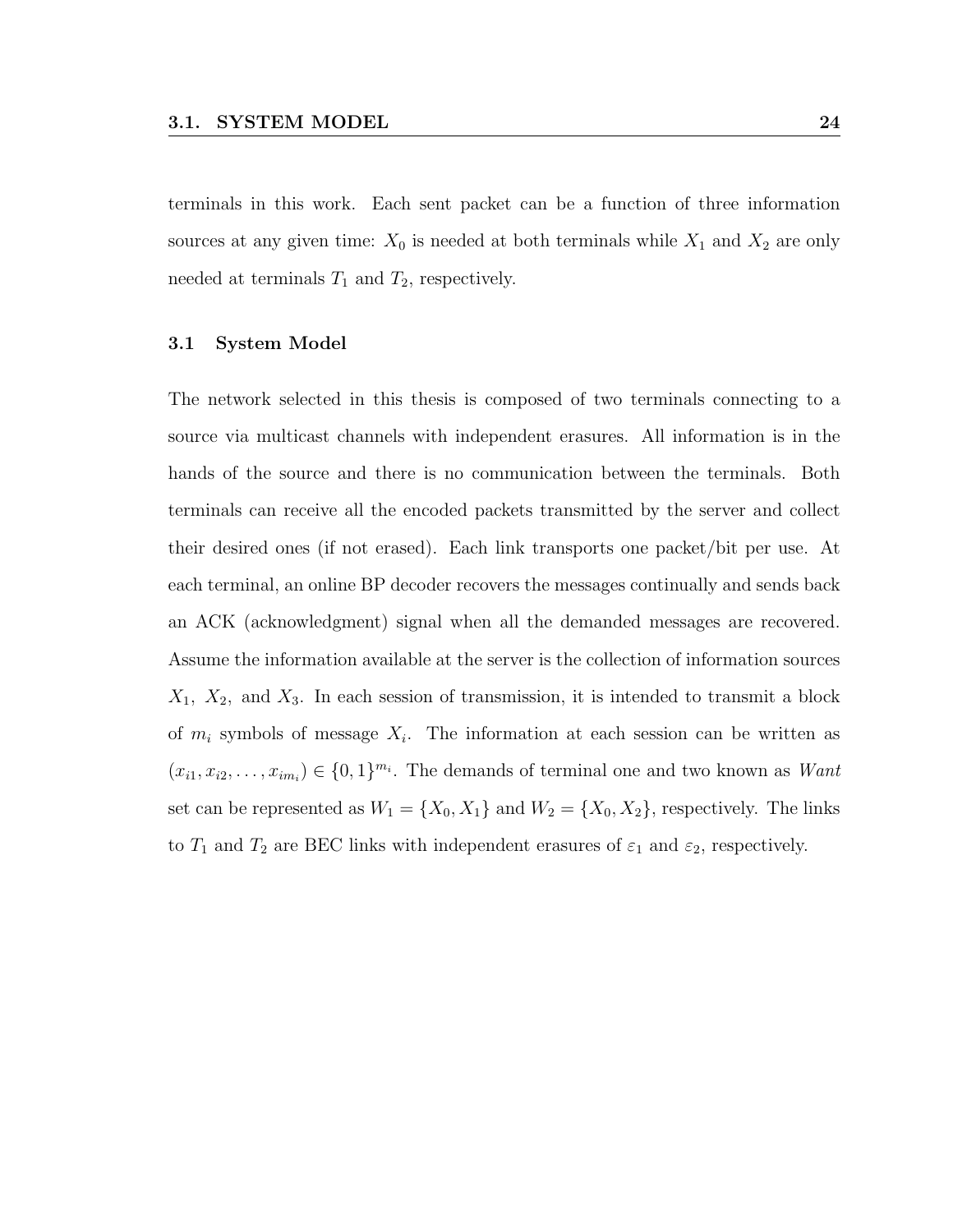terminals in this work. Each sent packet can be a function of three information sources at any given time:  $X_0$  is needed at both terminals while  $X_1$  and  $X_2$  are only needed at terminals  $T_1$  and  $T_2$ , respectively.

#### 3.1 System Model

The network selected in this thesis is composed of two terminals connecting to a source via multicast channels with independent erasures. All information is in the hands of the source and there is no communication between the terminals. Both terminals can receive all the encoded packets transmitted by the server and collect their desired ones (if not erased). Each link transports one packet/bit per use. At each terminal, an online BP decoder recovers the messages continually and sends back an ACK (acknowledgment) signal when all the demanded messages are recovered. Assume the information available at the server is the collection of information sources  $X_1$ ,  $X_2$ , and  $X_3$ . In each session of transmission, it is intended to transmit a block of  $m_i$  symbols of message  $X_i$ . The information at each session can be written as  $(x_{i1}, x_{i2}, \ldots, x_{im_i}) \in \{0,1\}^{m_i}$ . The demands of terminal one and two known as *Want* set can be represented as  $W_1 = \{X_0, X_1\}$  and  $W_2 = \{X_0, X_2\}$ , respectively. The links to  $T_1$  and  $T_2$  are BEC links with independent erasures of  $\varepsilon_1$  and  $\varepsilon_2$ , respectively.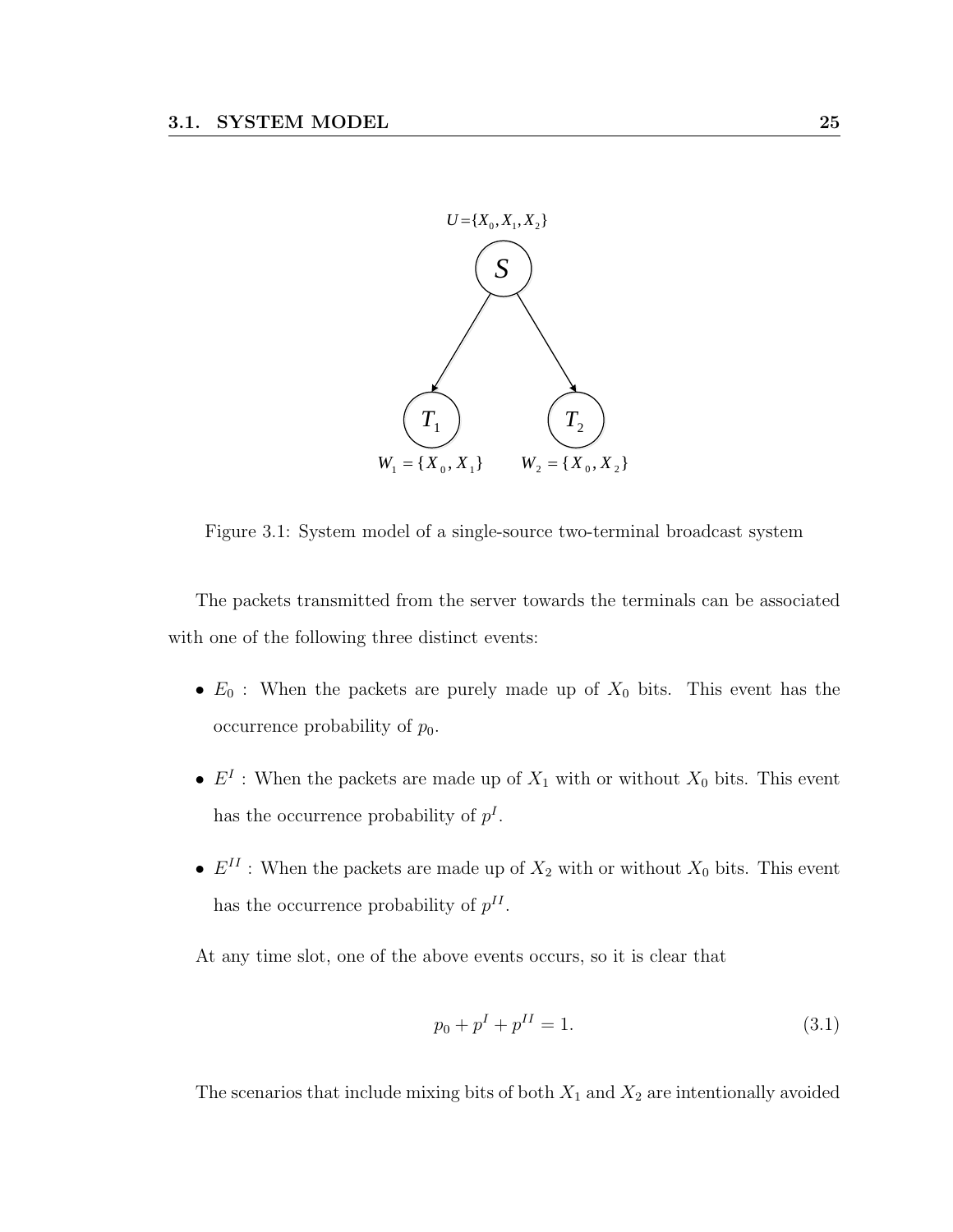

Figure 3.1: System model of a single-source two-terminal broadcast system

The packets transmitted from the server towards the terminals can be associated with one of the following three distinct events:

- $E_0$ : When the packets are purely made up of  $X_0$  bits. This event has the occurrence probability of  $p_0$ .
- $E^I$ : When the packets are made up of  $X_1$  with or without  $X_0$  bits. This event has the occurrence probability of  $p<sup>I</sup>$ .
- $E^{II}$ : When the packets are made up of  $X_2$  with or without  $X_0$  bits. This event has the occurrence probability of  $p^{II}$ .

At any time slot, one of the above events occurs, so it is clear that

$$
p_0 + p^I + p^{II} = 1.
$$
\n(3.1)

The scenarios that include mixing bits of both  $X_1$  and  $X_2$  are intentionally avoided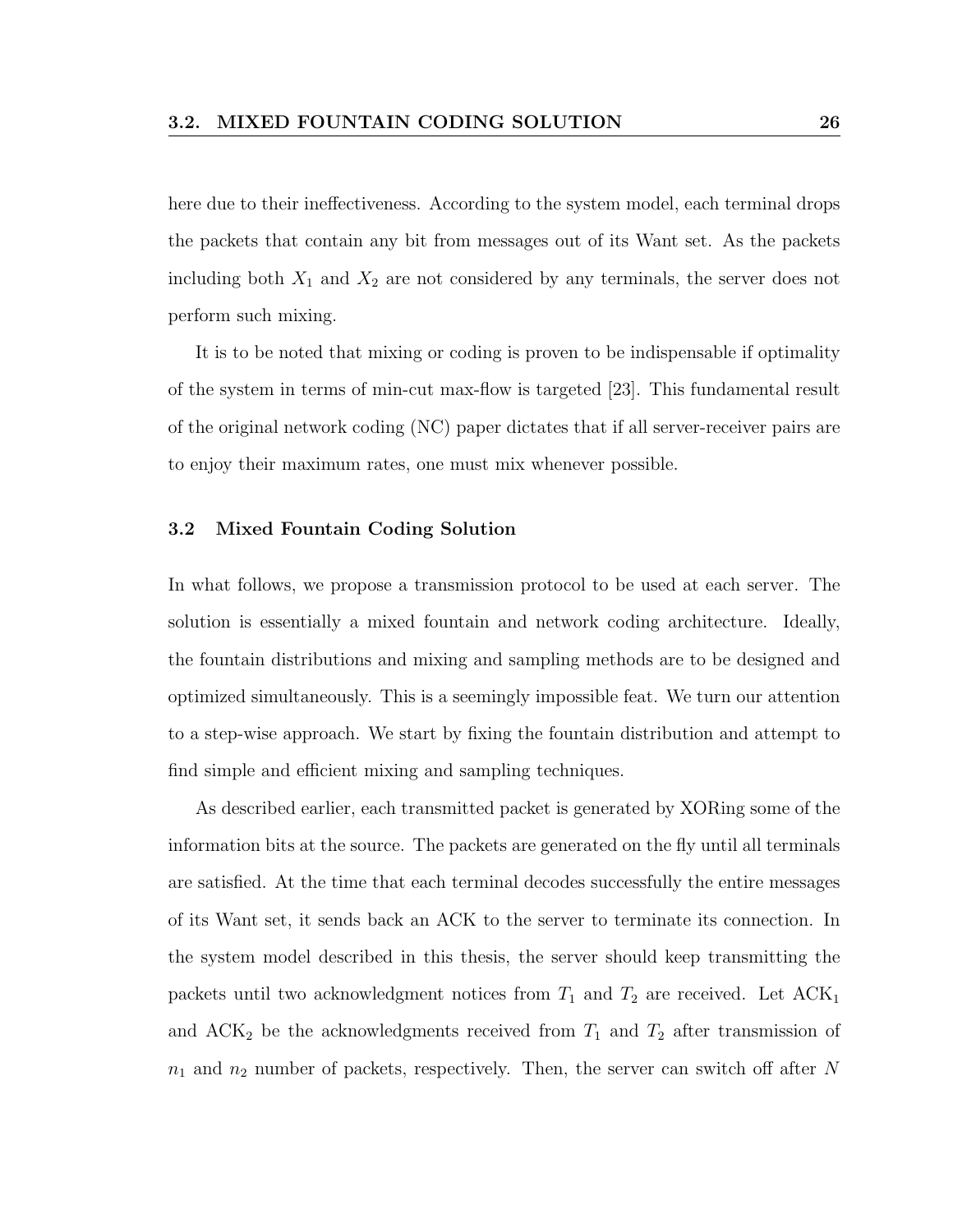here due to their ineffectiveness. According to the system model, each terminal drops the packets that contain any bit from messages out of its Want set. As the packets including both  $X_1$  and  $X_2$  are not considered by any terminals, the server does not perform such mixing.

It is to be noted that mixing or coding is proven to be indispensable if optimality of the system in terms of min-cut max-flow is targeted [23]. This fundamental result of the original network coding (NC) paper dictates that if all server-receiver pairs are to enjoy their maximum rates, one must mix whenever possible.

#### 3.2 Mixed Fountain Coding Solution

In what follows, we propose a transmission protocol to be used at each server. The solution is essentially a mixed fountain and network coding architecture. Ideally, the fountain distributions and mixing and sampling methods are to be designed and optimized simultaneously. This is a seemingly impossible feat. We turn our attention to a step-wise approach. We start by fixing the fountain distribution and attempt to find simple and efficient mixing and sampling techniques.

As described earlier, each transmitted packet is generated by XORing some of the information bits at the source. The packets are generated on the fly until all terminals are satisfied. At the time that each terminal decodes successfully the entire messages of its Want set, it sends back an ACK to the server to terminate its connection. In the system model described in this thesis, the server should keep transmitting the packets until two acknowledgment notices from  $T_1$  and  $T_2$  are received. Let ACK<sub>1</sub> and  $ACK_2$  be the acknowledgments received from  $T_1$  and  $T_2$  after transmission of  $n_1$  and  $n_2$  number of packets, respectively. Then, the server can switch off after N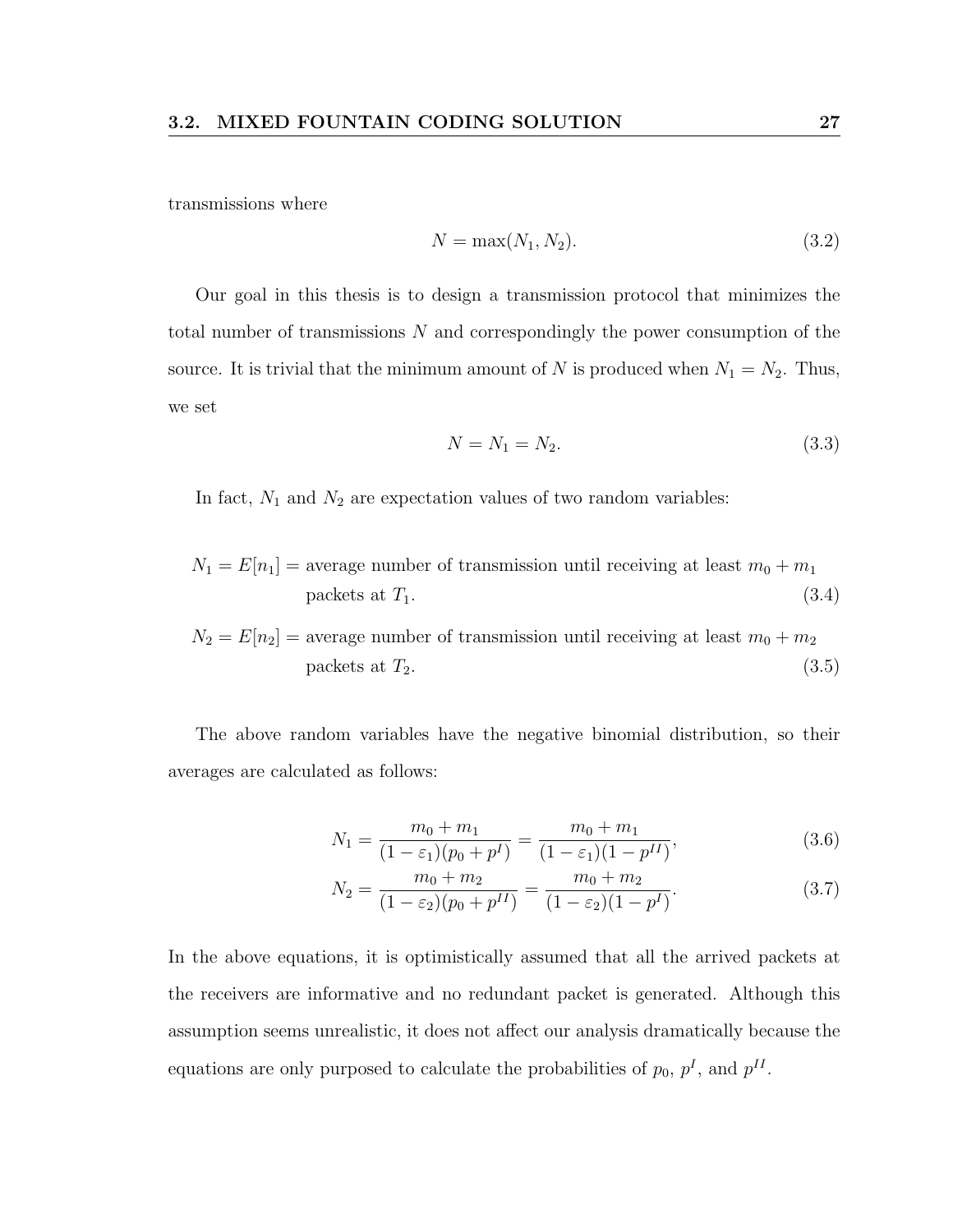transmissions where

$$
N = \max(N_1, N_2). \tag{3.2}
$$

Our goal in this thesis is to design a transmission protocol that minimizes the total number of transmissions N and correspondingly the power consumption of the source. It is trivial that the minimum amount of N is produced when  $N_1 = N_2$ . Thus, we set

$$
N = N_1 = N_2. \t\t(3.3)
$$

In fact,  $N_1$  and  $N_2$  are expectation values of two random variables:

$$
N_1 = E[n_1] = \text{average number of transmission until receiving at least } m_0 + m_1
$$
  
packets at  $T_1$ . (3.4)

$$
N_2 = E[n_2] = \text{average number of transmission until receiving at least } m_0 + m_2
$$
  
packets at  $T_2$ . (3.5)

The above random variables have the negative binomial distribution, so their averages are calculated as follows:

$$
N_1 = \frac{m_0 + m_1}{(1 - \varepsilon_1)(p_0 + p^I)} = \frac{m_0 + m_1}{(1 - \varepsilon_1)(1 - p^{II})},
$$
\n(3.6)

$$
N_2 = \frac{m_0 + m_2}{(1 - \varepsilon_2)(p_0 + p^{II})} = \frac{m_0 + m_2}{(1 - \varepsilon_2)(1 - p^I)}.
$$
\n(3.7)

In the above equations, it is optimistically assumed that all the arrived packets at the receivers are informative and no redundant packet is generated. Although this assumption seems unrealistic, it does not affect our analysis dramatically because the equations are only purposed to calculate the probabilities of  $p_0$ ,  $p<sup>I</sup>$ , and  $p<sup>II</sup>$ .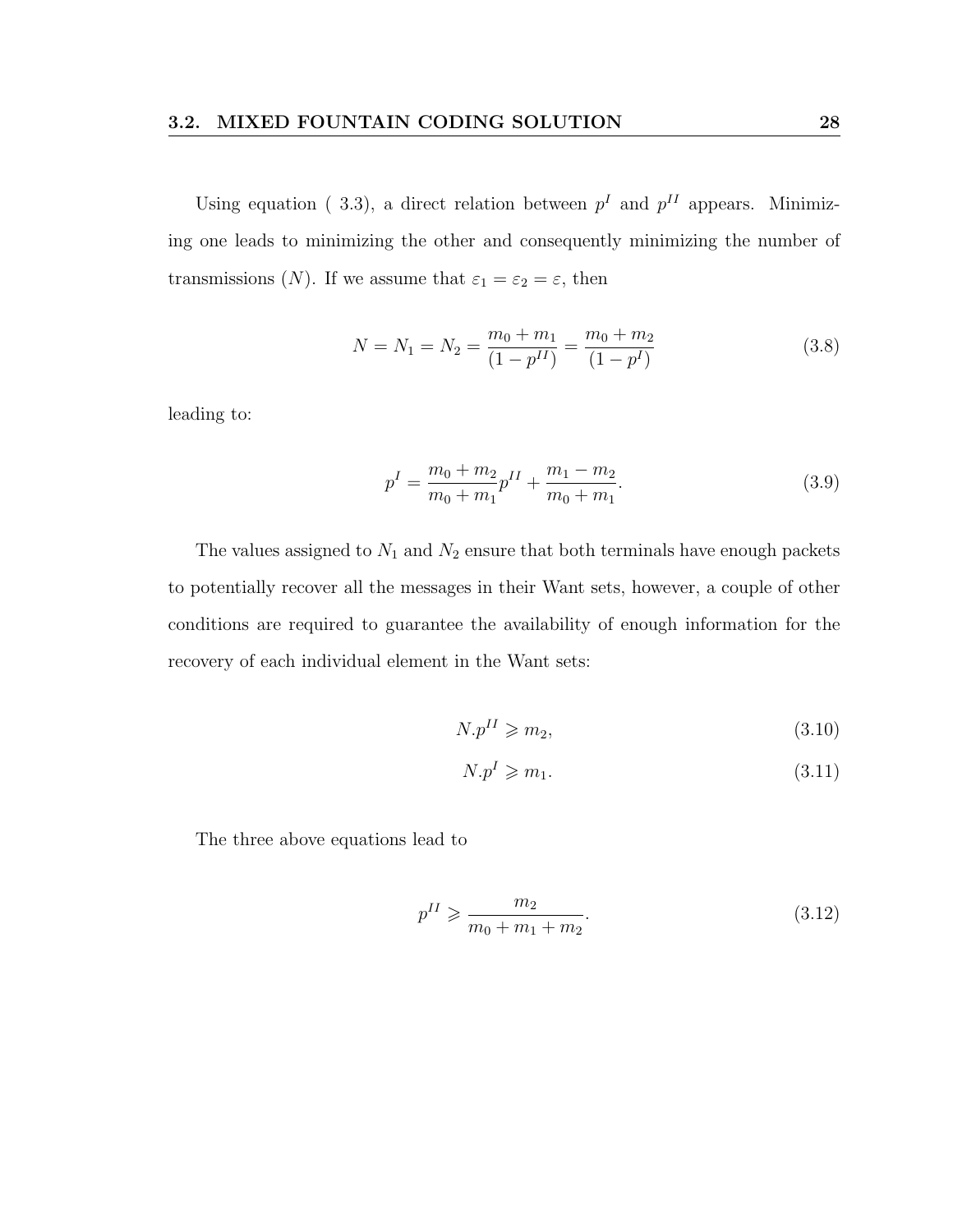Using equation (3.3), a direct relation between  $p<sup>I</sup>$  and  $p<sup>II</sup>$  appears. Minimizing one leads to minimizing the other and consequently minimizing the number of transmissions (N). If we assume that  $\varepsilon_1 = \varepsilon_2 = \varepsilon$ , then

$$
N = N_1 = N_2 = \frac{m_0 + m_1}{(1 - p^{II})} = \frac{m_0 + m_2}{(1 - p^I)}
$$
\n(3.8)

leading to:

$$
p^{I} = \frac{m_0 + m_2}{m_0 + m_1} p^{II} + \frac{m_1 - m_2}{m_0 + m_1}.
$$
\n(3.9)

The values assigned to  $N_1$  and  $N_2$  ensure that both terminals have enough packets to potentially recover all the messages in their Want sets, however, a couple of other conditions are required to guarantee the availability of enough information for the recovery of each individual element in the Want sets:

$$
N.p^{II} \geqslant m_2,\tag{3.10}
$$

$$
N.p^I \geqslant m_1. \tag{3.11}
$$

The three above equations lead to

$$
p^{II} \geqslant \frac{m_2}{m_0 + m_1 + m_2}.\tag{3.12}
$$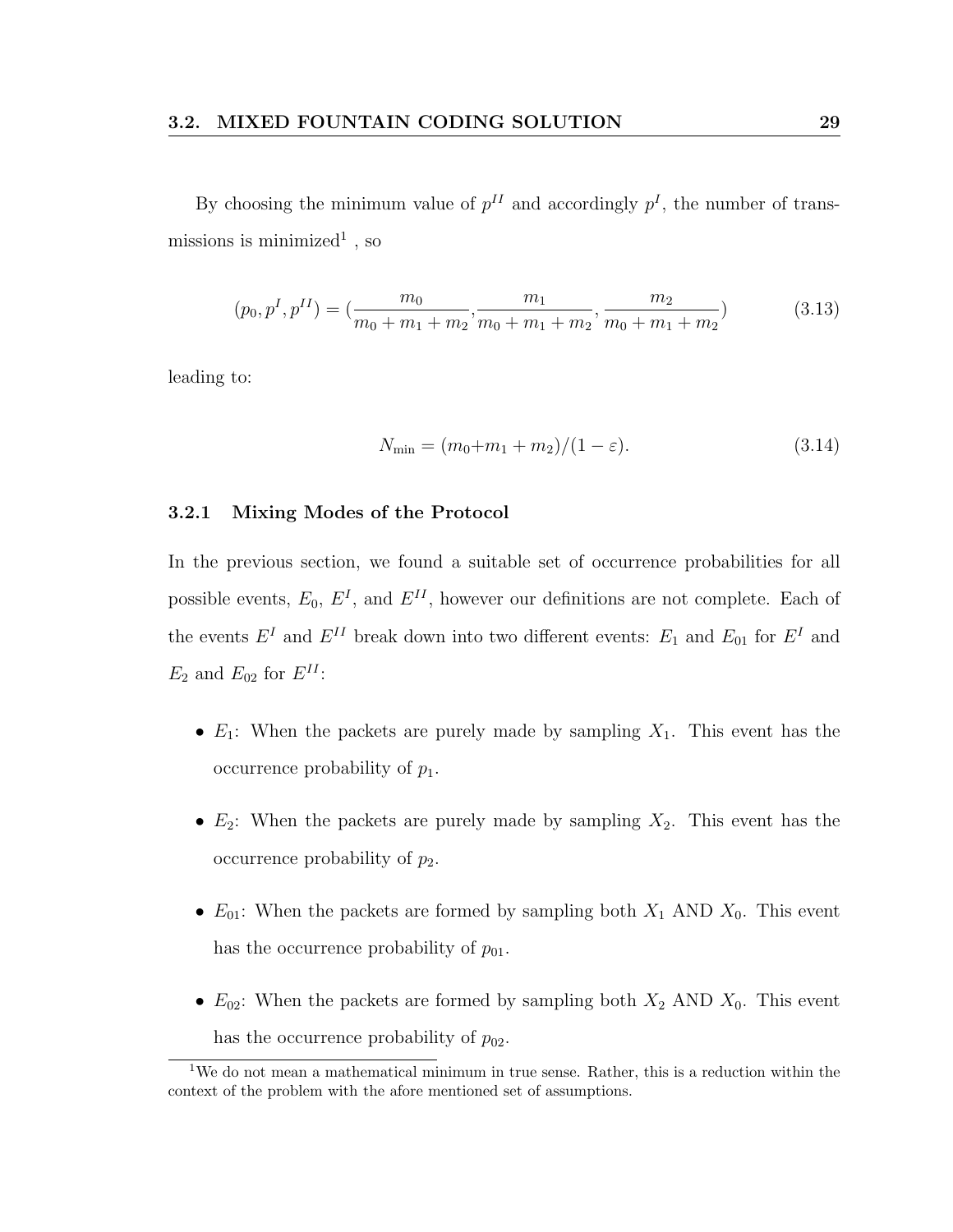By choosing the minimum value of  $p<sup>II</sup>$  and accordingly  $p<sup>I</sup>$ , the number of transmissions is minimized<sup>1</sup>, so

$$
(p_0, p^I, p^{II}) = \left(\frac{m_0}{m_0 + m_1 + m_2}, \frac{m_1}{m_0 + m_1 + m_2}, \frac{m_2}{m_0 + m_1 + m_2}\right)
$$
(3.13)

leading to:

$$
N_{\min} = (m_0 + m_1 + m_2)/(1 - \varepsilon). \tag{3.14}
$$

#### 3.2.1 Mixing Modes of the Protocol

In the previous section, we found a suitable set of occurrence probabilities for all possible events,  $E_0$ ,  $E^I$ , and  $E^{II}$ , however our definitions are not complete. Each of the events  $E^I$  and  $E^{II}$  break down into two different events:  $E_1$  and  $E_{01}$  for  $E^I$  and  $E_2$  and  $E_{02}$  for  $E^{II}$ :

- $E_1$ : When the packets are purely made by sampling  $X_1$ . This event has the occurrence probability of  $p_1$ .
- $E_2$ : When the packets are purely made by sampling  $X_2$ . This event has the occurrence probability of  $p_2$ .
- $E_{01}$ : When the packets are formed by sampling both  $X_1$  AND  $X_0$ . This event has the occurrence probability of  $p_{01}$ .
- $E_{02}$ : When the packets are formed by sampling both  $X_2$  AND  $X_0$ . This event has the occurrence probability of  $p_{02}$ .

<sup>&</sup>lt;sup>1</sup>We do not mean a mathematical minimum in true sense. Rather, this is a reduction within the context of the problem with the afore mentioned set of assumptions.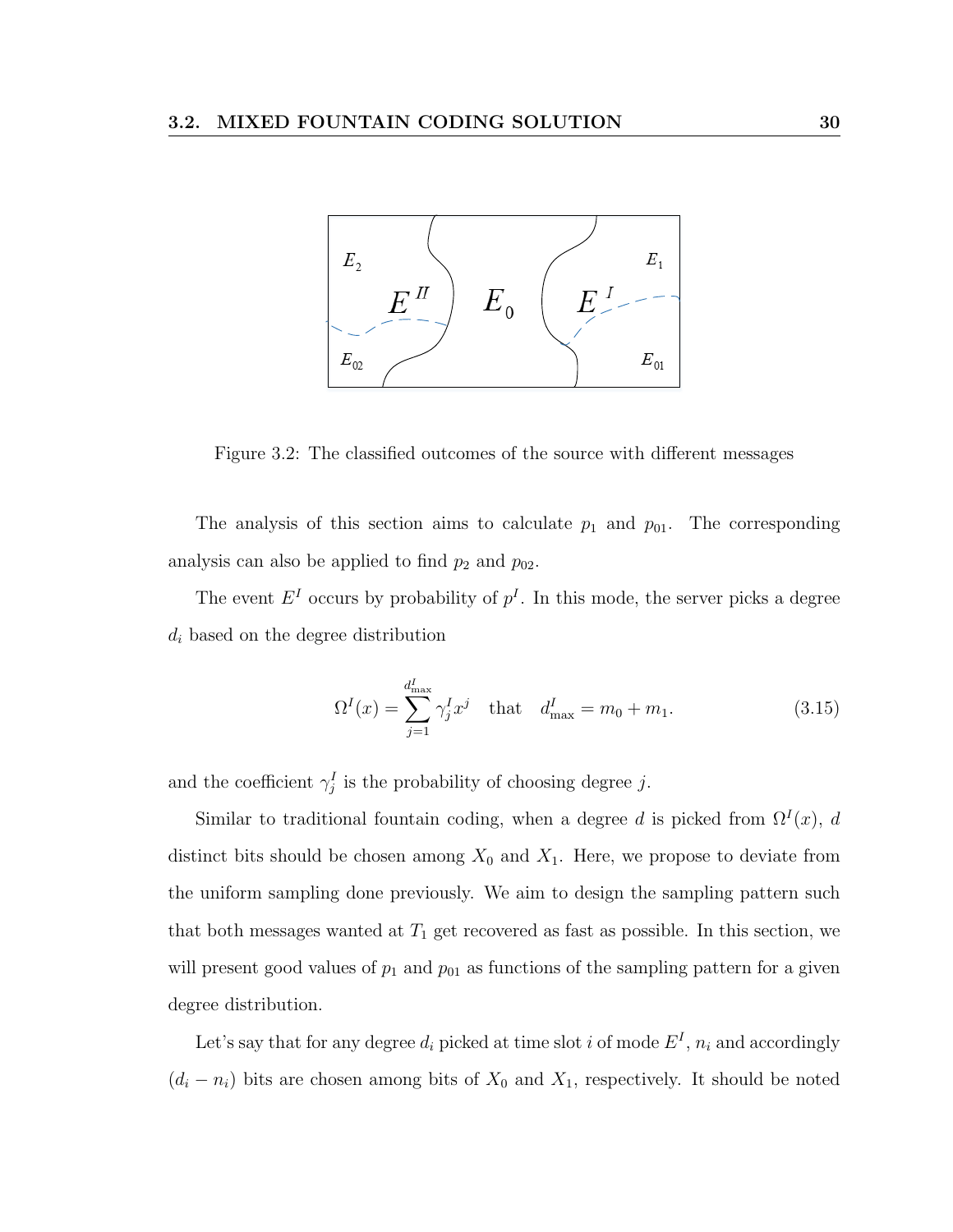

Figure 3.2: The classified outcomes of the source with different messages

The analysis of this section aims to calculate  $p_1$  and  $p_{01}$ . The corresponding analysis can also be applied to find  $p_2$  and  $p_{02}$ .

The event  $E^I$  occurs by probability of  $p^I$ . In this mode, the server picks a degree  $d_i$  based on the degree distribution

$$
\Omega^{I}(x) = \sum_{j=1}^{d_{\max}^{I}} \gamma_{j}^{I} x^{j} \text{ that } d_{\max}^{I} = m_{0} + m_{1}.
$$
 (3.15)

and the coefficient  $\gamma_j^I$  is the probability of choosing degree j.

Similar to traditional fountain coding, when a degree d is picked from  $\Omega^{I}(x)$ , d distinct bits should be chosen among  $X_0$  and  $X_1$ . Here, we propose to deviate from the uniform sampling done previously. We aim to design the sampling pattern such that both messages wanted at  $T_1$  get recovered as fast as possible. In this section, we will present good values of  $p_1$  and  $p_{01}$  as functions of the sampling pattern for a given degree distribution.

Let's say that for any degree  $d_i$  picked at time slot i of mode  $E^I$ ,  $n_i$  and accordingly  $(d_i - n_i)$  bits are chosen among bits of  $X_0$  and  $X_1$ , respectively. It should be noted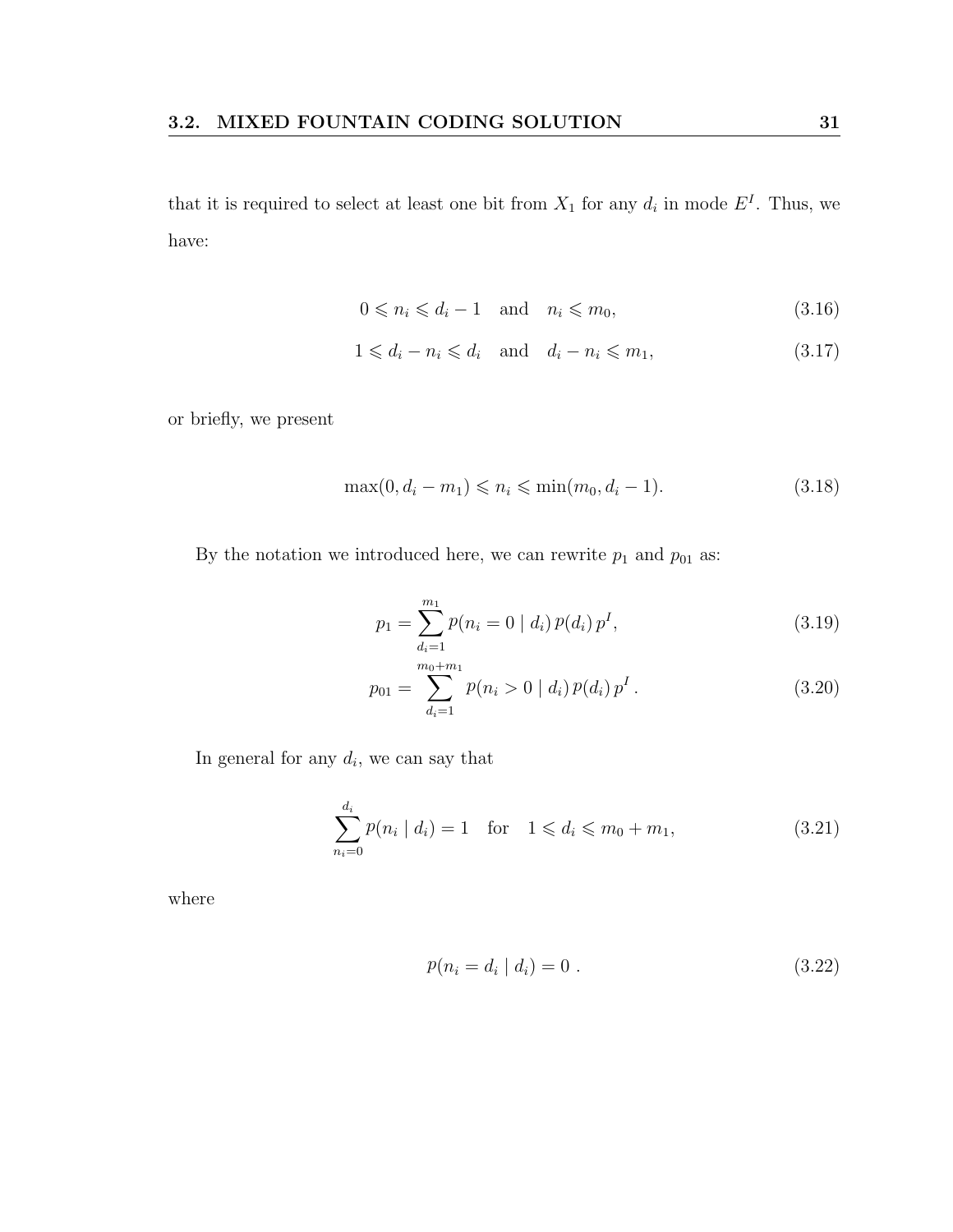that it is required to select at least one bit from  $X_1$  for any  $d_i$  in mode  $E^I$ . Thus, we have:

$$
0 \leqslant n_i \leqslant d_i - 1 \quad \text{and} \quad n_i \leqslant m_0,\tag{3.16}
$$

$$
1 \leq d_i - n_i \leq d_i \quad \text{and} \quad d_i - n_i \leq m_1,\tag{3.17}
$$

or briefly, we present

$$
\max(0, d_i - m_1) \leqslant n_i \leqslant \min(m_0, d_i - 1). \tag{3.18}
$$

By the notation we introduced here, we can rewrite  $p_1$  and  $p_{01}$  as:

$$
p_1 = \sum_{d_i=1}^{m_1} p(n_i = 0 \mid d_i) \, p(d_i) \, p^I,\tag{3.19}
$$

$$
p_{01} = \sum_{d_i=1}^{m_0+m_1} p(n_i > 0 \mid d_i) p(d_i) p^I.
$$
 (3.20)

In general for any  $d_i$ , we can say that

$$
\sum_{n_i=0}^{d_i} p(n_i | d_i) = 1 \quad \text{for} \quad 1 \leqslant d_i \leqslant m_0 + m_1,\tag{3.21}
$$

where

$$
p(n_i = d_i \mid d_i) = 0.
$$
\n(3.22)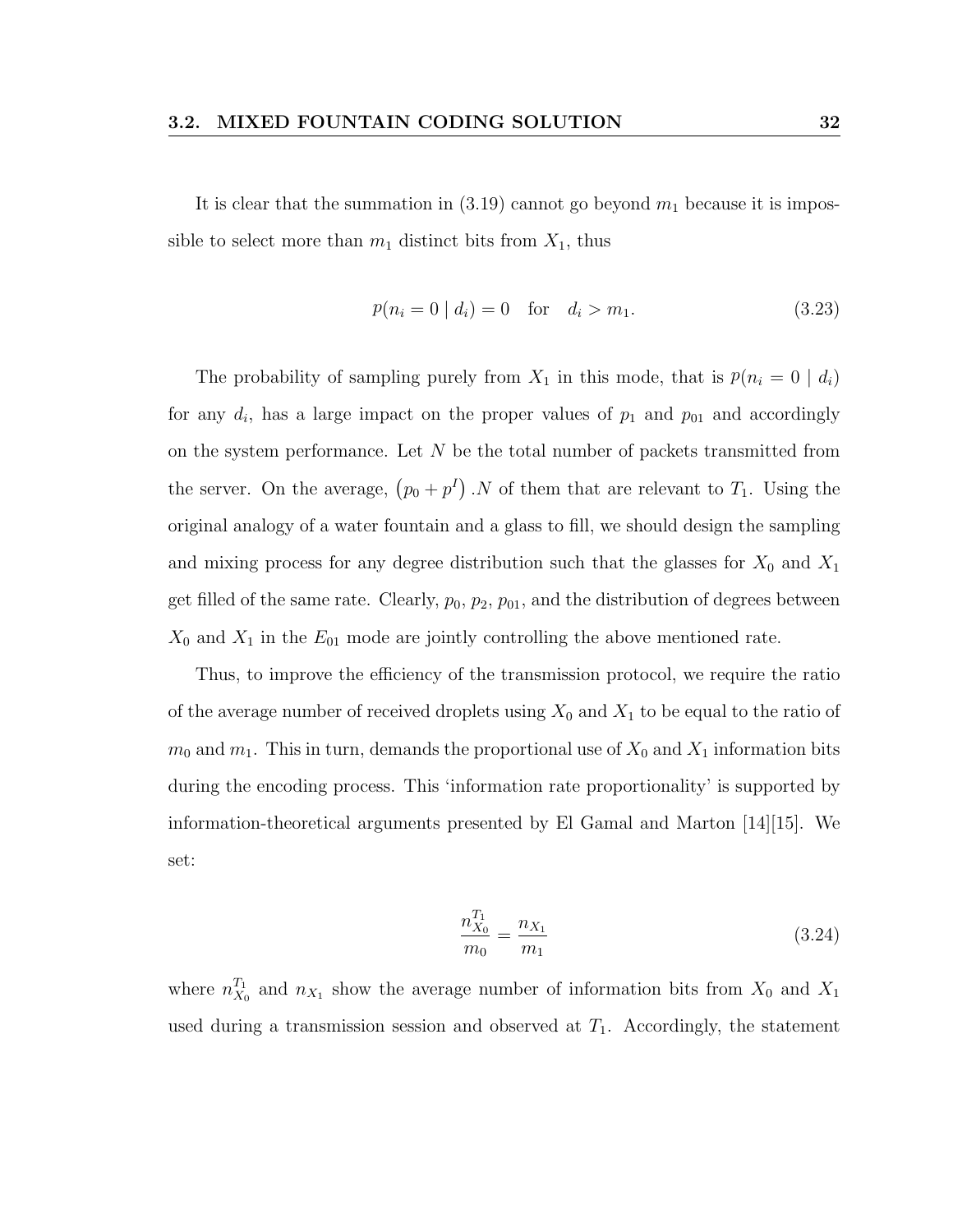It is clear that the summation in  $(3.19)$  cannot go beyond  $m_1$  because it is impossible to select more than  $m_1$  distinct bits from  $X_1$ , thus

$$
p(n_i = 0 | d_i) = 0 \quad \text{for} \quad d_i > m_1. \tag{3.23}
$$

The probability of sampling purely from  $X_1$  in this mode, that is  $p(n_i = 0 \mid d_i)$ for any  $d_i$ , has a large impact on the proper values of  $p_1$  and  $p_{01}$  and accordingly on the system performance. Let  $N$  be the total number of packets transmitted from the server. On the average,  $(p_0 + p^I)$ . N of them that are relevant to  $T_1$ . Using the original analogy of a water fountain and a glass to fill, we should design the sampling and mixing process for any degree distribution such that the glasses for  $X_0$  and  $X_1$ get filled of the same rate. Clearly,  $p_0$ ,  $p_2$ ,  $p_{01}$ , and the distribution of degrees between  $X_0$  and  $X_1$  in the  $E_{01}$  mode are jointly controlling the above mentioned rate.

Thus, to improve the efficiency of the transmission protocol, we require the ratio of the average number of received droplets using  $X_0$  and  $X_1$  to be equal to the ratio of  $m_0$  and  $m_1$ . This in turn, demands the proportional use of  $X_0$  and  $X_1$  information bits during the encoding process. This 'information rate proportionality' is supported by information-theoretical arguments presented by El Gamal and Marton [14][15]. We set:

$$
\frac{n_{X_0}^{T_1}}{m_0} = \frac{n_{X_1}}{m_1} \tag{3.24}
$$

where  $n_{X_d}^{T_1}$  $X_0$  and  $n_{X_1}$  show the average number of information bits from  $X_0$  and  $X_1$ used during a transmission session and observed at  $T_1$ . Accordingly, the statement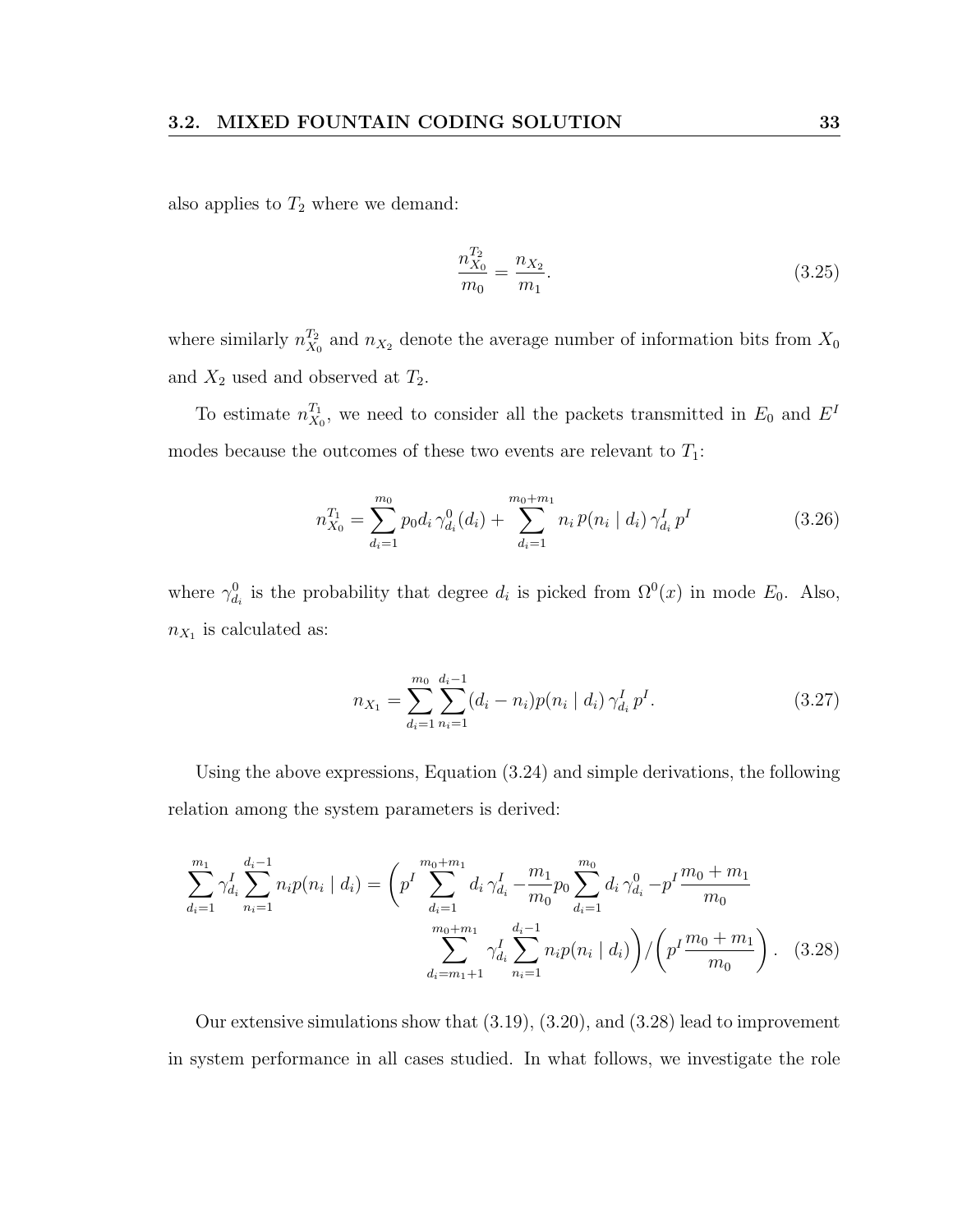also applies to  $T_2$  where we demand:

$$
\frac{n_{X_0}^{T_2}}{m_0} = \frac{n_{X_2}}{m_1}.\tag{3.25}
$$

where similarly  $n_{X_d}^{T_2}$  $X_0^{T_2}$  and  $n_{X_2}$  denote the average number of information bits from  $X_0$ and  $X_2$  used and observed at  $T_2$ .

To estimate  $n_{X_d}^{T_1}$  $X_0^{T_1}$ , we need to consider all the packets transmitted in  $E_0$  and  $E^I$ modes because the outcomes of these two events are relevant to  $T_1$ :

$$
n_{X_0}^{T_1} = \sum_{d_i=1}^{m_0} p_0 d_i \gamma_{d_i}^0(d_i) + \sum_{d_i=1}^{m_0+m_1} n_i p(n_i \mid d_i) \gamma_{d_i}^I p^I
$$
 (3.26)

where  $\gamma_{d_i}^0$  is the probability that degree  $d_i$  is picked from  $\Omega^0(x)$  in mode  $E_0$ . Also,  $n_{X_1}$  is calculated as:

$$
n_{X_1} = \sum_{d_i=1}^{m_0} \sum_{n_i=1}^{d_i-1} (d_i - n_i) p(n_i \mid d_i) \, \gamma_{d_i}^I \, p^I. \tag{3.27}
$$

Using the above expressions, Equation (3.24) and simple derivations, the following relation among the system parameters is derived:

$$
\sum_{d_i=1}^{m_1} \gamma_{d_i}^I \sum_{n_i=1}^{d_i-1} n_i p(n_i \mid d_i) = \left( p^I \sum_{d_i=1}^{m_0+m_1} d_i \gamma_{d_i}^I - \frac{m_1}{m_0} p_0 \sum_{d_i=1}^{m_0} d_i \gamma_{d_i}^0 - p^I \frac{m_0+m_1}{m_0} \sum_{d_i=m_1+1}^{m_0+m_1} \gamma_{d_i}^I \sum_{n_i=1}^{d_i-1} n_i p(n_i \mid d_i) \right) / \left( p^I \frac{m_0+m_1}{m_0} \right). \tag{3.28}
$$

Our extensive simulations show that (3.19), (3.20), and (3.28) lead to improvement in system performance in all cases studied. In what follows, we investigate the role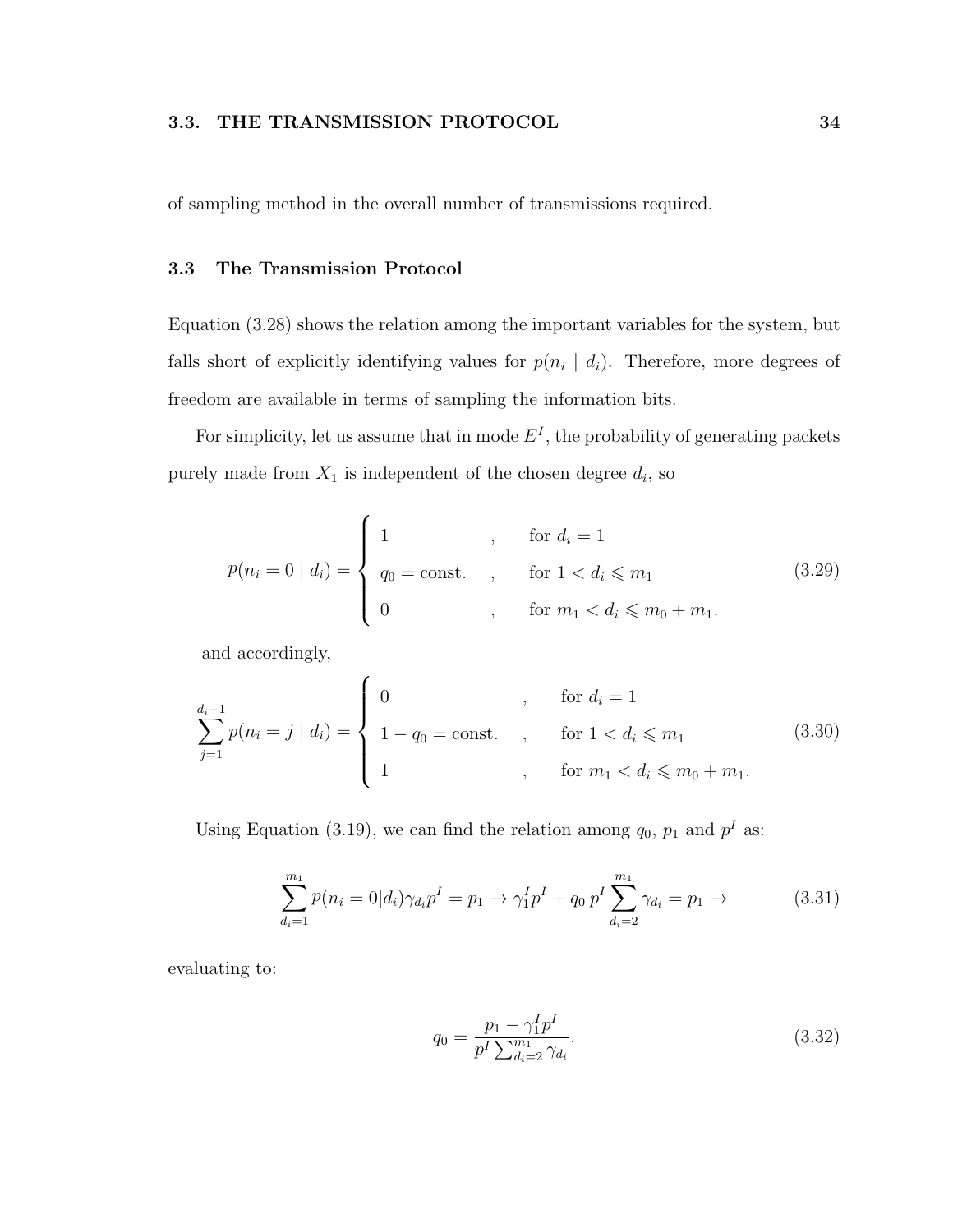of sampling method in the overall number of transmissions required.

#### 3.3 The Transmission Protocol

Equation (3.28) shows the relation among the important variables for the system, but falls short of explicitly identifying values for  $p(n_i | d_i)$ . Therefore, more degrees of freedom are available in terms of sampling the information bits.

For simplicity, let us assume that in mode  $E<sup>I</sup>$ , the probability of generating packets purely made from  $X_1$  is independent of the chosen degree  $d_i$ , so

$$
p(n_i = 0 | d_i) = \begin{cases} 1, & \text{for } d_i = 1 \\ q_0 = \text{const.} \\ 0, & \text{for } n_i < d_i \le m_0 + m_1. \end{cases} \tag{3.29}
$$

and accordingly,

$$
\sum_{j=1}^{d_i-1} p(n_i = j \mid d_i) = \begin{cases} 0 & , \text{ for } d_i = 1 \\ 1 - q_0 = \text{const.} \\ 1 & , \text{ for } 1 < d_i \leq m_1 \\ 1 & , \text{ for } m_1 < d_i \leq m_0 + m_1. \end{cases} \tag{3.30}
$$

Using Equation (3.19), we can find the relation among  $q_0$ ,  $p_1$  and  $p^I$  as:

$$
\sum_{d_i=1}^{m_1} p(n_i = 0|d_i)\gamma_{d_i} p^I = p_1 \to \gamma_1^I p^I + q_0 p^I \sum_{d_i=2}^{m_1} \gamma_{d_i} = p_1 \to \tag{3.31}
$$

evaluating to:

$$
q_0 = \frac{p_1 - \gamma_1^I p^I}{p^I \sum_{d_i=2}^{m_1} \gamma_{d_i}}.\tag{3.32}
$$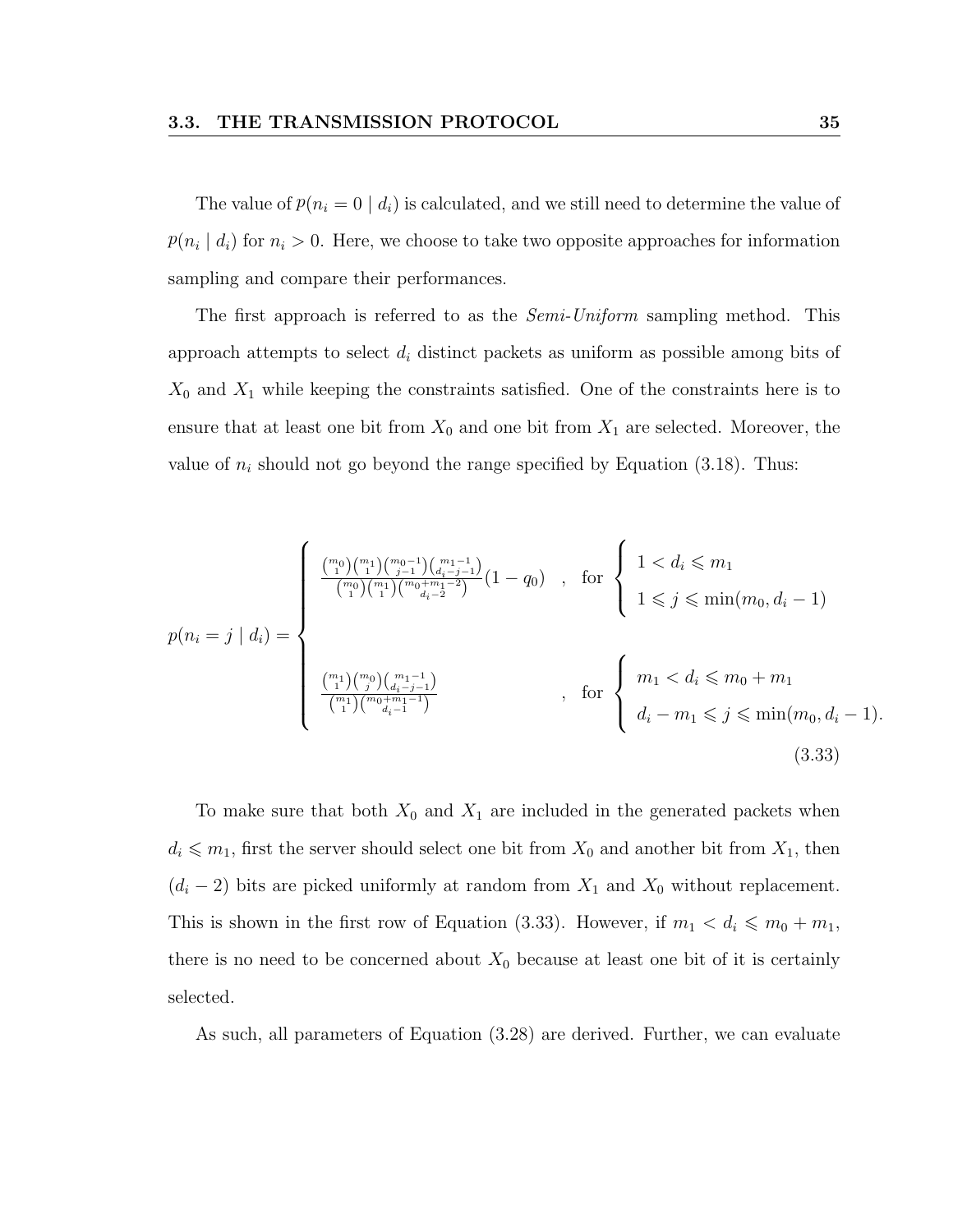The value of  $p(n_i = 0 \mid d_i)$  is calculated, and we still need to determine the value of  $p(n_i | d_i)$  for  $n_i > 0$ . Here, we choose to take two opposite approaches for information sampling and compare their performances.

The first approach is referred to as the *Semi-Uniform* sampling method. This approach attempts to select  $d_i$  distinct packets as uniform as possible among bits of  $X_0$  and  $X_1$  while keeping the constraints satisfied. One of the constraints here is to ensure that at least one bit from  $X_0$  and one bit from  $X_1$  are selected. Moreover, the value of  $n_i$  should not go beyond the range specified by Equation (3.18). Thus:

$$
p(n_i = j | d_i) = \begin{cases} \frac{\binom{m_0}{1} \binom{m_1}{1} \binom{m_0 - 1}{j-1} \binom{m_1 - 1}{d_i - j - 1}}{\binom{m_0}{1} \binom{m_1 + m_1 - 2}{d_i - 2}} (1 - q_0) & , \text{ for } \begin{cases} 1 < d_i \leq m_1 \\ 1 \leq j \leq \min(m_0, d_i - 1) \end{cases} \\ \frac{\binom{m_1}{1} \binom{m_0}{j} \binom{m_1 - 1}{d_i - j - 1}}{\binom{m_1}{1} \binom{m_0 + m_1 - 1}{d_i - 1}} & , \text{ for } \begin{cases} m_1 < d_i \leq m_0 + m_1 \\ d_i - m_1 \leq j \leq \min(m_0, d_i - 1). \end{cases} \end{cases} \tag{3.33}
$$

To make sure that both  $X_0$  and  $X_1$  are included in the generated packets when  $d_i \leq m_1$ , first the server should select one bit from  $X_0$  and another bit from  $X_1$ , then  $(d_i - 2)$  bits are picked uniformly at random from  $X_1$  and  $X_0$  without replacement. This is shown in the first row of Equation (3.33). However, if  $m_1 < d_i \leq m_0 + m_1$ , there is no need to be concerned about  $X_0$  because at least one bit of it is certainly selected.

As such, all parameters of Equation (3.28) are derived. Further, we can evaluate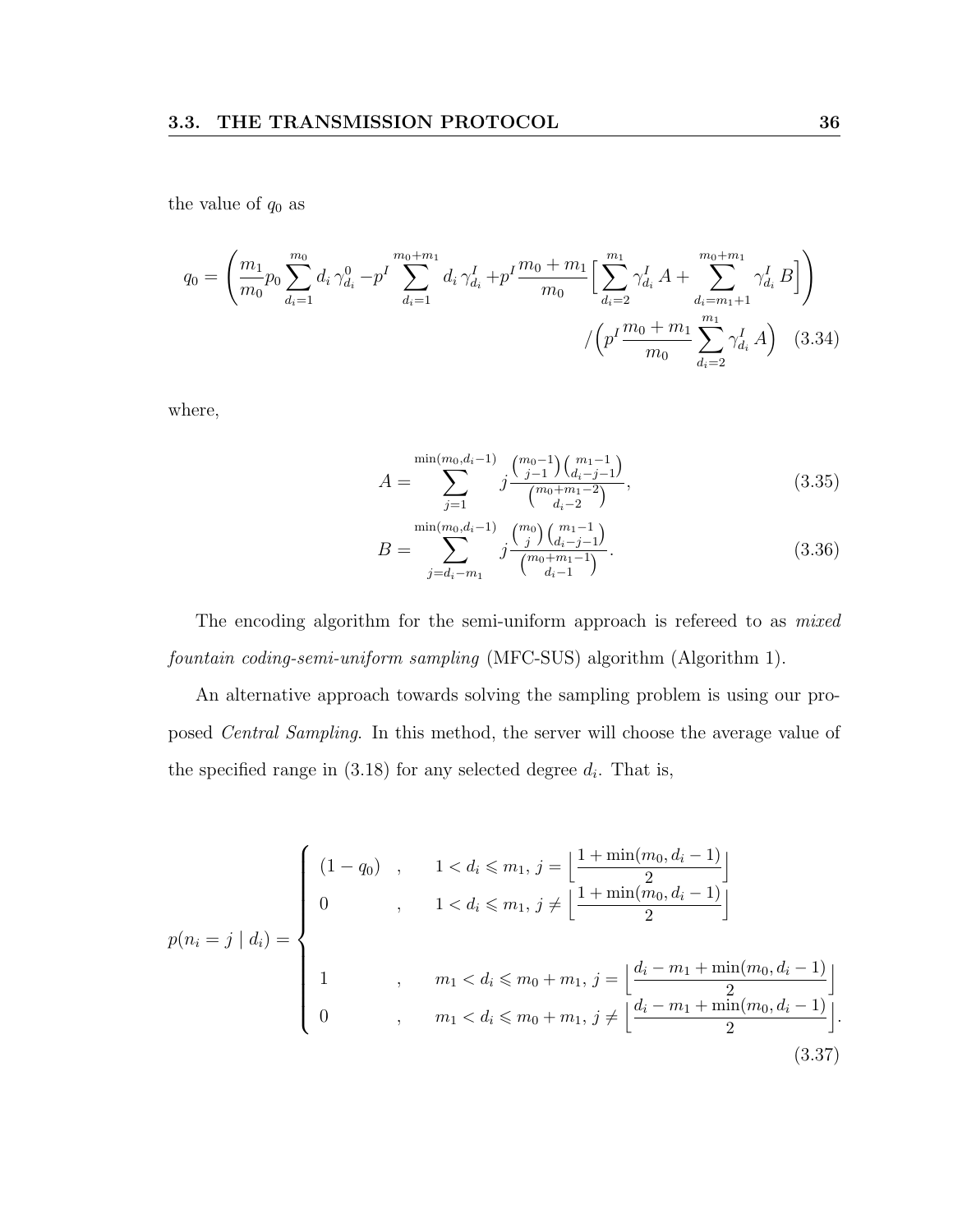the value of  $q_0$  as

$$
q_0 = \left(\frac{m_1}{m_0} p_0 \sum_{d_i=1}^{m_0} d_i \gamma_{d_i}^0 - p^I \sum_{d_i=1}^{m_0+m_1} d_i \gamma_{d_i}^I + p^I \frac{m_0+m_1}{m_0} \Big[ \sum_{d_i=2}^{m_1} \gamma_{d_i}^I A + \sum_{d_i=m_1+1}^{m_0+m_1} \gamma_{d_i}^I B \Big] \right)
$$

$$
/ \left( p^I \frac{m_0+m_1}{m_0} \sum_{d_i=2}^{m_1} \gamma_{d_i}^I A \right) \quad (3.34)
$$

where,

$$
A = \sum_{j=1}^{\min(m_0, d_i - 1)} j \frac{\binom{m_0 - 1}{j-1} \binom{m_1 - 1}{d_i - j - 1}}{\binom{m_0 + m_1 - 2}{d_i - 2}},
$$
\n(3.35)

$$
B = \sum_{j=d_i-m_1}^{\min(m_0, d_i-1)} j \frac{\binom{m_0}{j} \binom{m_1-1}{d_i-j-1}}{\binom{m_0+m_1-1}{d_i-1}}.
$$
(3.36)

The encoding algorithm for the semi-uniform approach is refereed to as *mixed* fountain coding-semi-uniform sampling (MFC-SUS) algorithm (Algorithm 1).

An alternative approach towards solving the sampling problem is using our proposed Central Sampling. In this method, the server will choose the average value of the specified range in  $(3.18)$  for any selected degree  $d_i$ . That is,

$$
p(n_i = j | d_i) = \begin{cases} (1 - q_0) , & 1 < d_i \le m_1, j = \left\lfloor \frac{1 + \min(m_0, d_i - 1)}{2} \right\rfloor \\ 0 , & 1 < d_i \le m_1, j \neq \left\lfloor \frac{1 + \min(m_0, d_i - 1)}{2} \right\rfloor \\ 1 , & m_1 < d_i \le m_0 + m_1, j = \left\lfloor \frac{d_i - m_1 + \min(m_0, d_i - 1)}{2} \right\rfloor \\ 0 , & m_1 < d_i \le m_0 + m_1, j \neq \left\lfloor \frac{d_i - m_1 + \min(m_0, d_i - 1)}{2} \right\rfloor. \end{cases} \tag{3.37}
$$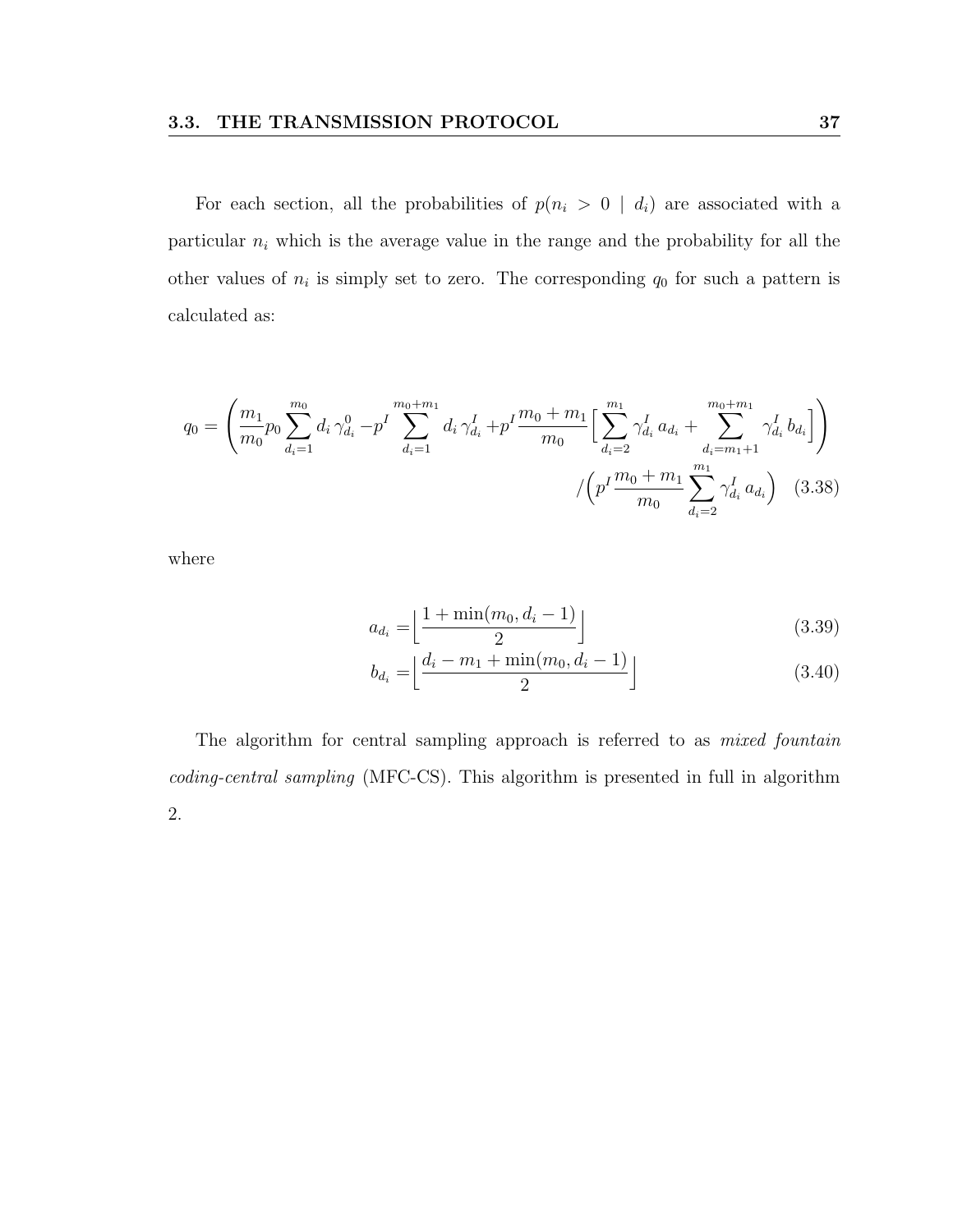For each section, all the probabilities of  $p(n_i > 0 \mid d_i)$  are associated with a particular  $n_i$  which is the average value in the range and the probability for all the other values of  $n_i$  is simply set to zero. The corresponding  $q_0$  for such a pattern is calculated as:

$$
q_0 = \left(\frac{m_1}{m_0} p_0 \sum_{d_i=1}^{m_0} d_i \gamma_{d_i}^0 - p^I \sum_{d_i=1}^{m_0+m_1} d_i \gamma_{d_i}^I + p^I \frac{m_0+m_1}{m_0} \Big[ \sum_{d_i=2}^{m_1} \gamma_{d_i}^I a_{d_i} + \sum_{d_i=m_1+1}^{m_0+m_1} \gamma_{d_i}^I b_{d_i} \Big] \right)
$$

$$
/ \left( p^I \frac{m_0+m_1}{m_0} \sum_{d_i=2}^{m_1} \gamma_{d_i}^I a_{d_i} \right) \quad (3.38)
$$

where

$$
a_{d_i} = \left\lfloor \frac{1 + \min(m_0, d_i - 1)}{2} \right\rfloor \tag{3.39}
$$

$$
b_{d_i} = \left\lfloor \frac{d_i - m_1 + \min(m_0, d_i - 1)}{2} \right\rfloor \tag{3.40}
$$

The algorithm for central sampling approach is referred to as *mixed fountain* coding-central sampling (MFC-CS). This algorithm is presented in full in algorithm 2.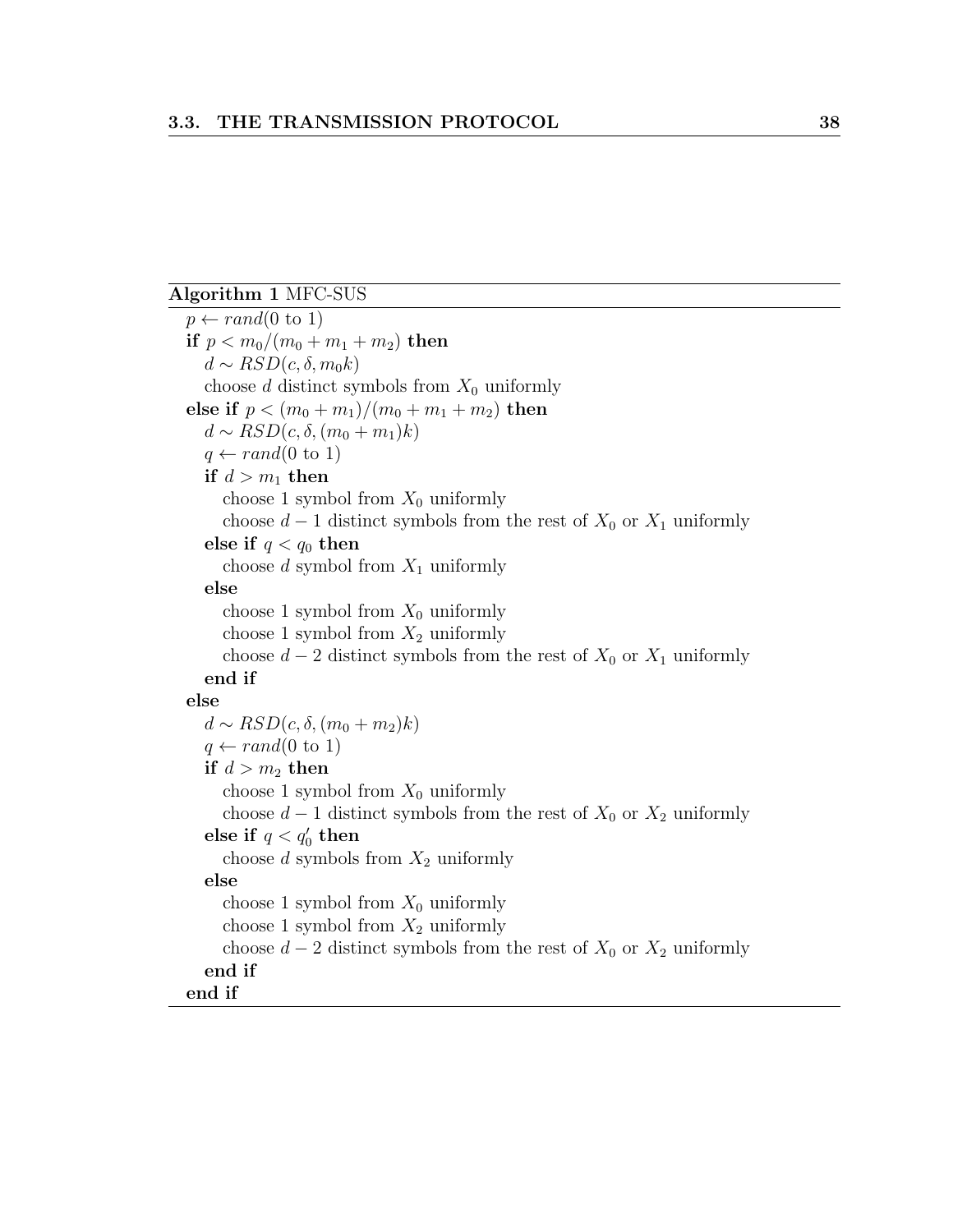#### Algorithm 1 MFC-SUS

 $p \leftarrow rand(0 \text{ to } 1)$ if  $p < m_0/(m_0 + m_1 + m_2)$  then  $d \sim RSD(c, \delta, m_0k)$ choose  $d$  distinct symbols from  $X_0$  uniformly else if  $p < (m_0 + m_1)/(m_0 + m_1 + m_2)$  then  $d \sim RSD(c, \delta, (m_0 + m_1)k)$  $q \leftarrow rand(0 \text{ to } 1)$ if  $d > m_1$  then choose 1 symbol from  $X_0$  uniformly choose  $d-1$  distinct symbols from the rest of  $X_0$  or  $X_1$  uniformly else if  $q < q_0$  then choose d symbol from  $X_1$  uniformly else choose 1 symbol from  $X_0$  uniformly choose 1 symbol from  $X_2$  uniformly choose  $d-2$  distinct symbols from the rest of  $X_0$  or  $X_1$  uniformly end if else  $d \sim RSD(c, \delta, (m_0 + m_2)k)$  $q \leftarrow rand(0 \text{ to } 1)$ if  $d > m_2$  then choose 1 symbol from  $X_0$  uniformly choose  $d-1$  distinct symbols from the rest of  $X_0$  or  $X_2$  uniformly else if  $q < q'_0$  then choose  $d$  symbols from  $X_2$  uniformly else choose 1 symbol from  $X_0$  uniformly choose 1 symbol from  $X_2$  uniformly choose  $d-2$  distinct symbols from the rest of  $X_0$  or  $X_2$  uniformly end if end if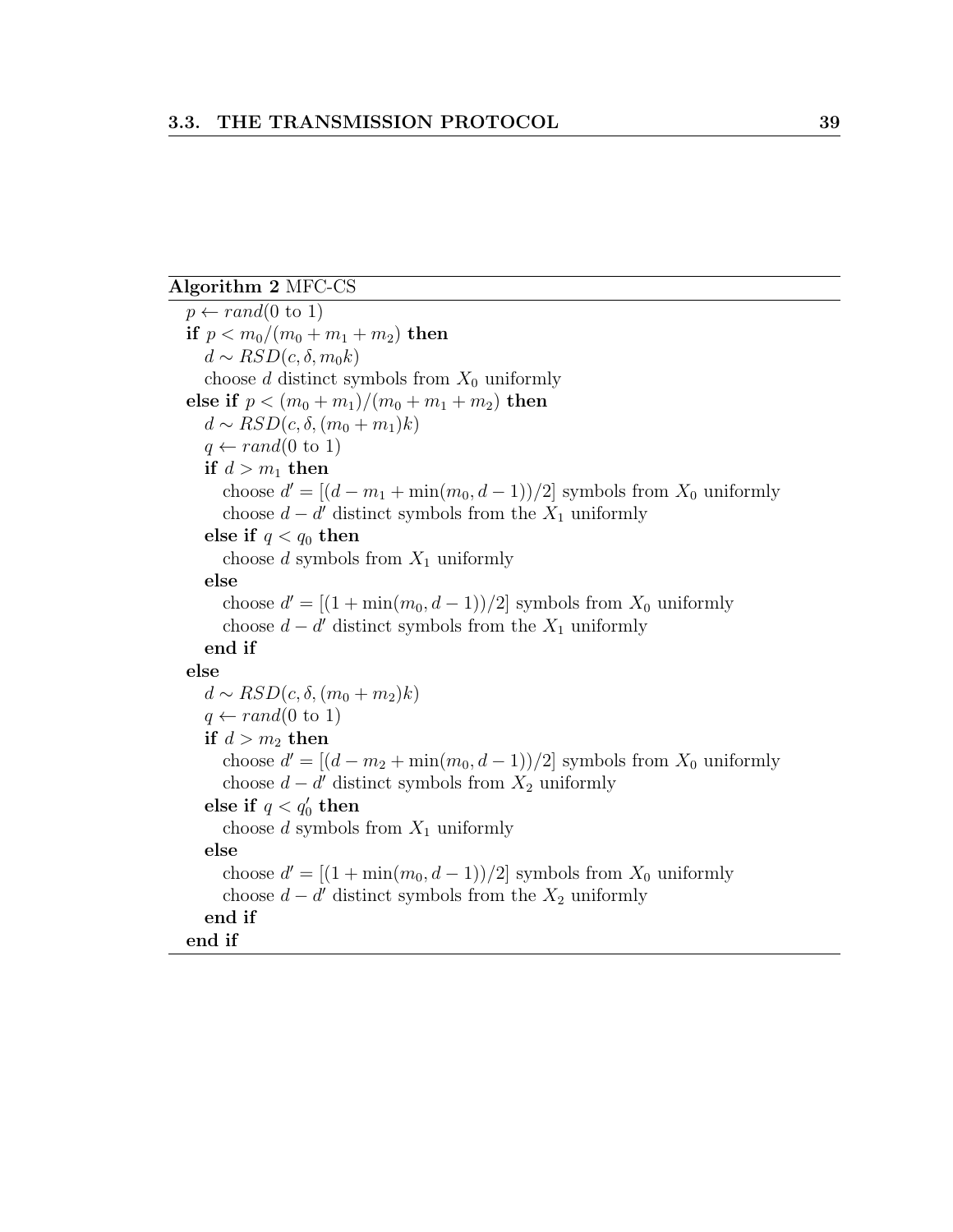#### Algorithm 2 MFC-CS

 $p \leftarrow rand(0 \text{ to } 1)$ if  $p < m_0/(m_0 + m_1 + m_2)$  then  $d \sim RSD(c, \delta, m_0k)$ choose d distinct symbols from  $X_0$  uniformly else if  $p < (m_0 + m_1)/(m_0 + m_1 + m_2)$  then  $d \sim RSD(c, \delta, (m_0 + m_1)k)$  $q \leftarrow rand(0 \text{ to } 1)$ if  $d > m_1$  then choose  $d' = [(d - m_1 + \min(m_0, d - 1))/2]$  symbols from  $X_0$  uniformly choose  $d - d'$  distinct symbols from the  $X_1$  uniformly else if  $q < q_0$  then choose  $d$  symbols from  $X_1$  uniformly else choose  $d' = [(1 + min(m_0, d - 1))/2]$  symbols from  $X_0$  uniformly choose  $d - d'$  distinct symbols from the  $X_1$  uniformly end if else  $d \sim RSD(c, \delta, (m_0 + m_2)k)$  $q \leftarrow rand(0 \text{ to } 1)$ if  $d > m_2$  then choose  $d' = [(d - m_2 + \min(m_0, d - 1))/2]$  symbols from  $X_0$  uniformly choose  $d - d'$  distinct symbols from  $X_2$  uniformly else if  $q < q'_0$  then choose d symbols from  $X_1$  uniformly else choose  $d' = [(1 + min(m_0, d - 1))/2]$  symbols from  $X_0$  uniformly choose  $d - d'$  distinct symbols from the  $X_2$  uniformly end if end if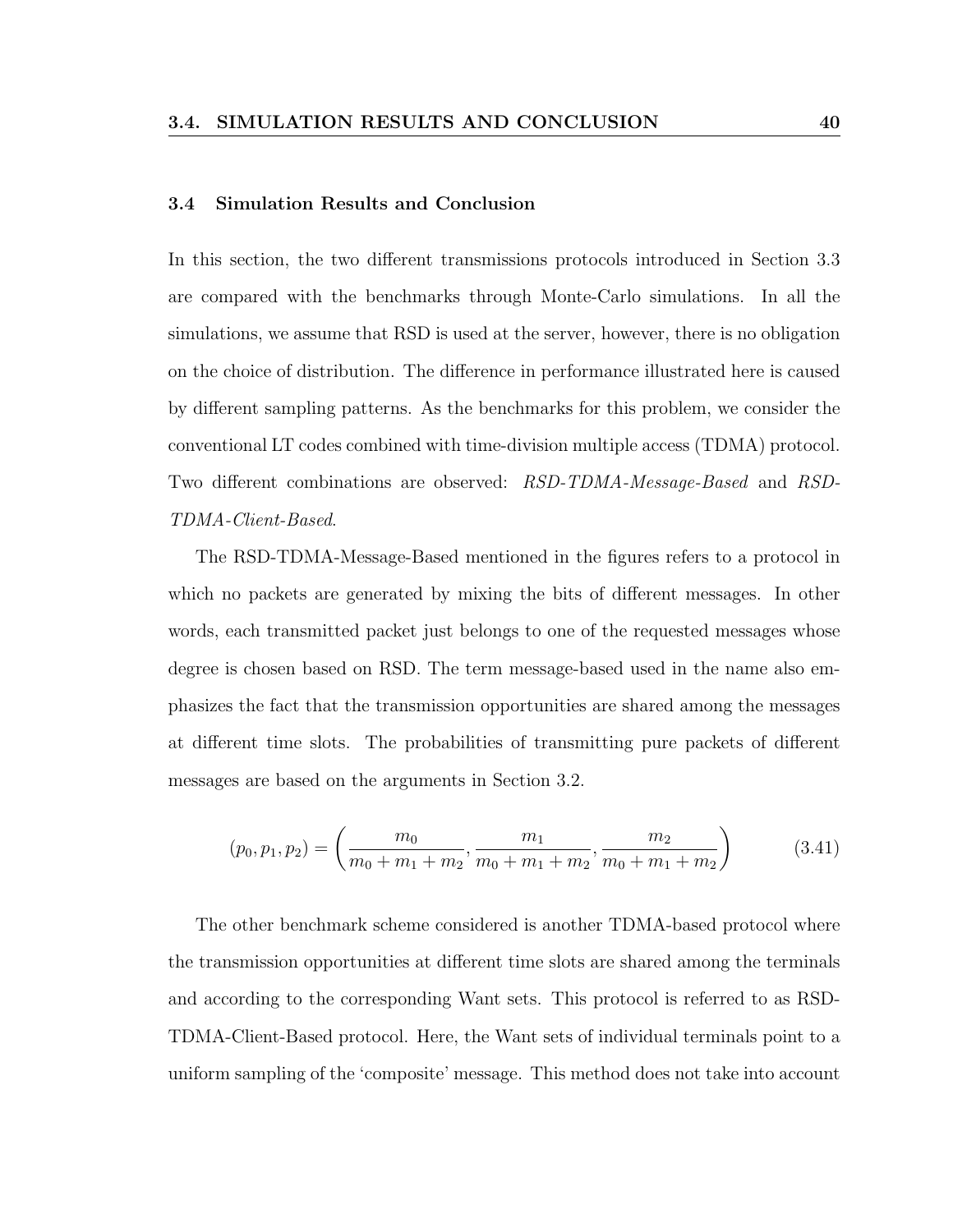#### 3.4 Simulation Results and Conclusion

In this section, the two different transmissions protocols introduced in Section 3.3 are compared with the benchmarks through Monte-Carlo simulations. In all the simulations, we assume that RSD is used at the server, however, there is no obligation on the choice of distribution. The difference in performance illustrated here is caused by different sampling patterns. As the benchmarks for this problem, we consider the conventional LT codes combined with time-division multiple access (TDMA) protocol. Two different combinations are observed: RSD-TDMA-Message-Based and RSD-TDMA-Client-Based.

The RSD-TDMA-Message-Based mentioned in the figures refers to a protocol in which no packets are generated by mixing the bits of different messages. In other words, each transmitted packet just belongs to one of the requested messages whose degree is chosen based on RSD. The term message-based used in the name also emphasizes the fact that the transmission opportunities are shared among the messages at different time slots. The probabilities of transmitting pure packets of different messages are based on the arguments in Section 3.2.

$$
(p_0, p_1, p_2) = \left(\frac{m_0}{m_0 + m_1 + m_2}, \frac{m_1}{m_0 + m_1 + m_2}, \frac{m_2}{m_0 + m_1 + m_2}\right)
$$
(3.41)

The other benchmark scheme considered is another TDMA-based protocol where the transmission opportunities at different time slots are shared among the terminals and according to the corresponding Want sets. This protocol is referred to as RSD-TDMA-Client-Based protocol. Here, the Want sets of individual terminals point to a uniform sampling of the 'composite' message. This method does not take into account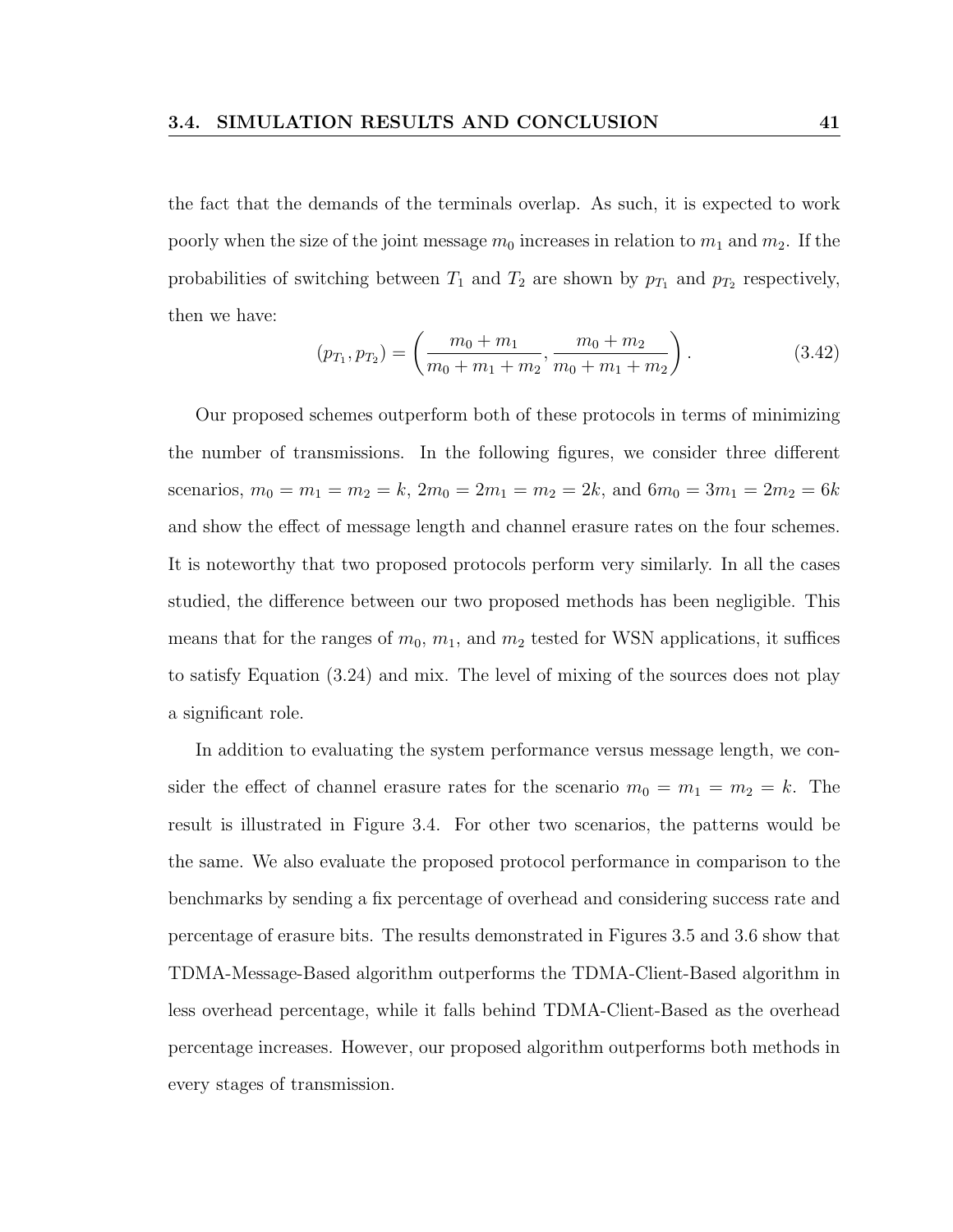the fact that the demands of the terminals overlap. As such, it is expected to work poorly when the size of the joint message  $m_0$  increases in relation to  $m_1$  and  $m_2$ . If the probabilities of switching between  $T_1$  and  $T_2$  are shown by  $p_{T_1}$  and  $p_{T_2}$  respectively, then we have:

$$
(p_{T_1}, p_{T_2}) = \left(\frac{m_0 + m_1}{m_0 + m_1 + m_2}, \frac{m_0 + m_2}{m_0 + m_1 + m_2}\right). \tag{3.42}
$$

Our proposed schemes outperform both of these protocols in terms of minimizing the number of transmissions. In the following figures, we consider three different scenarios,  $m_0 = m_1 = m_2 = k$ ,  $2m_0 = 2m_1 = m_2 = 2k$ , and  $6m_0 = 3m_1 = 2m_2 = 6k$ and show the effect of message length and channel erasure rates on the four schemes. It is noteworthy that two proposed protocols perform very similarly. In all the cases studied, the difference between our two proposed methods has been negligible. This means that for the ranges of  $m_0$ ,  $m_1$ , and  $m_2$  tested for WSN applications, it suffices to satisfy Equation (3.24) and mix. The level of mixing of the sources does not play a significant role.

In addition to evaluating the system performance versus message length, we consider the effect of channel erasure rates for the scenario  $m_0 = m_1 = m_2 = k$ . The result is illustrated in Figure 3.4. For other two scenarios, the patterns would be the same. We also evaluate the proposed protocol performance in comparison to the benchmarks by sending a fix percentage of overhead and considering success rate and percentage of erasure bits. The results demonstrated in Figures 3.5 and 3.6 show that TDMA-Message-Based algorithm outperforms the TDMA-Client-Based algorithm in less overhead percentage, while it falls behind TDMA-Client-Based as the overhead percentage increases. However, our proposed algorithm outperforms both methods in every stages of transmission.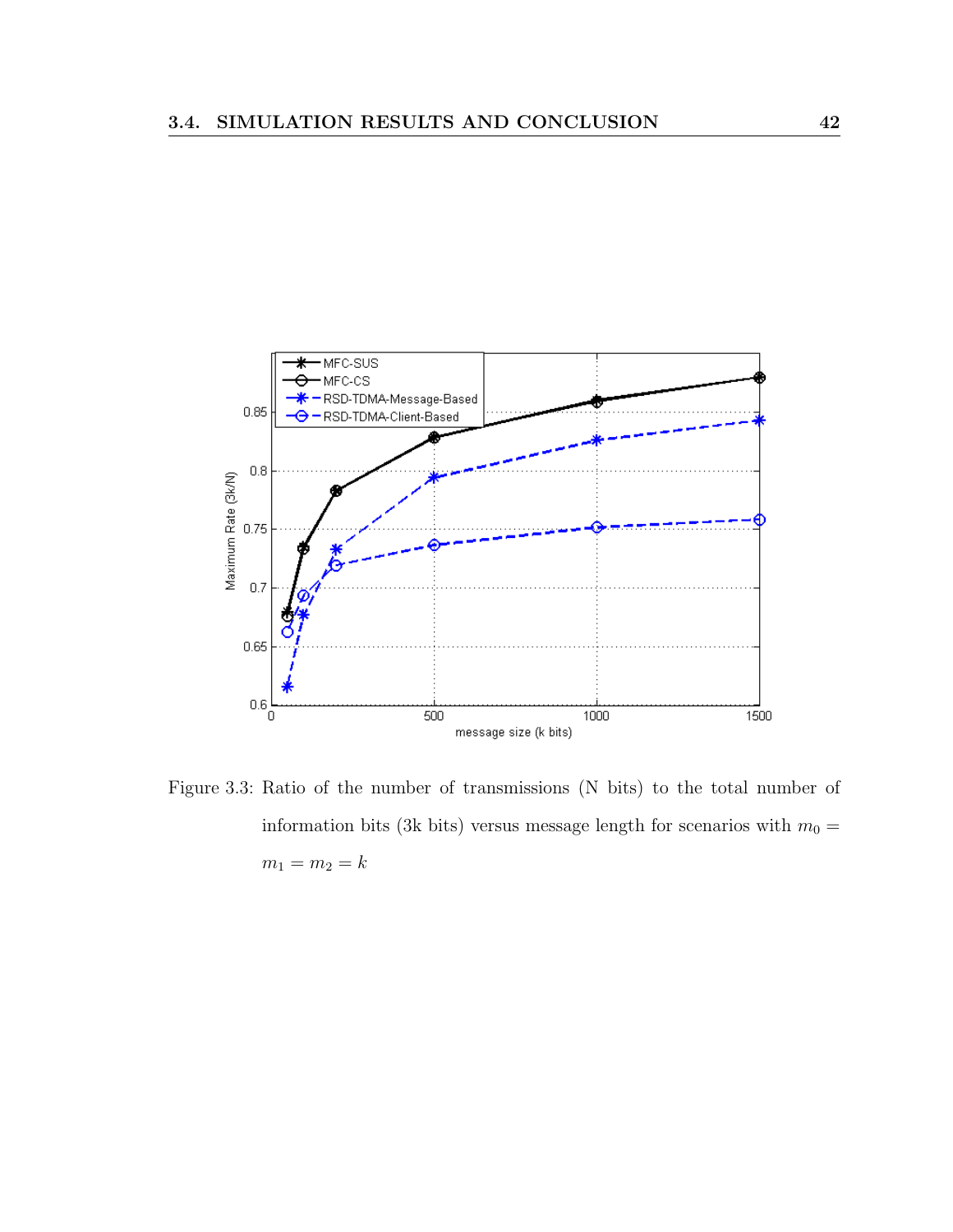

Figure 3.3: Ratio of the number of transmissions (N bits) to the total number of information bits (3k bits) versus message length for scenarios with  $m_0 =$  $m_1 = m_2 = k$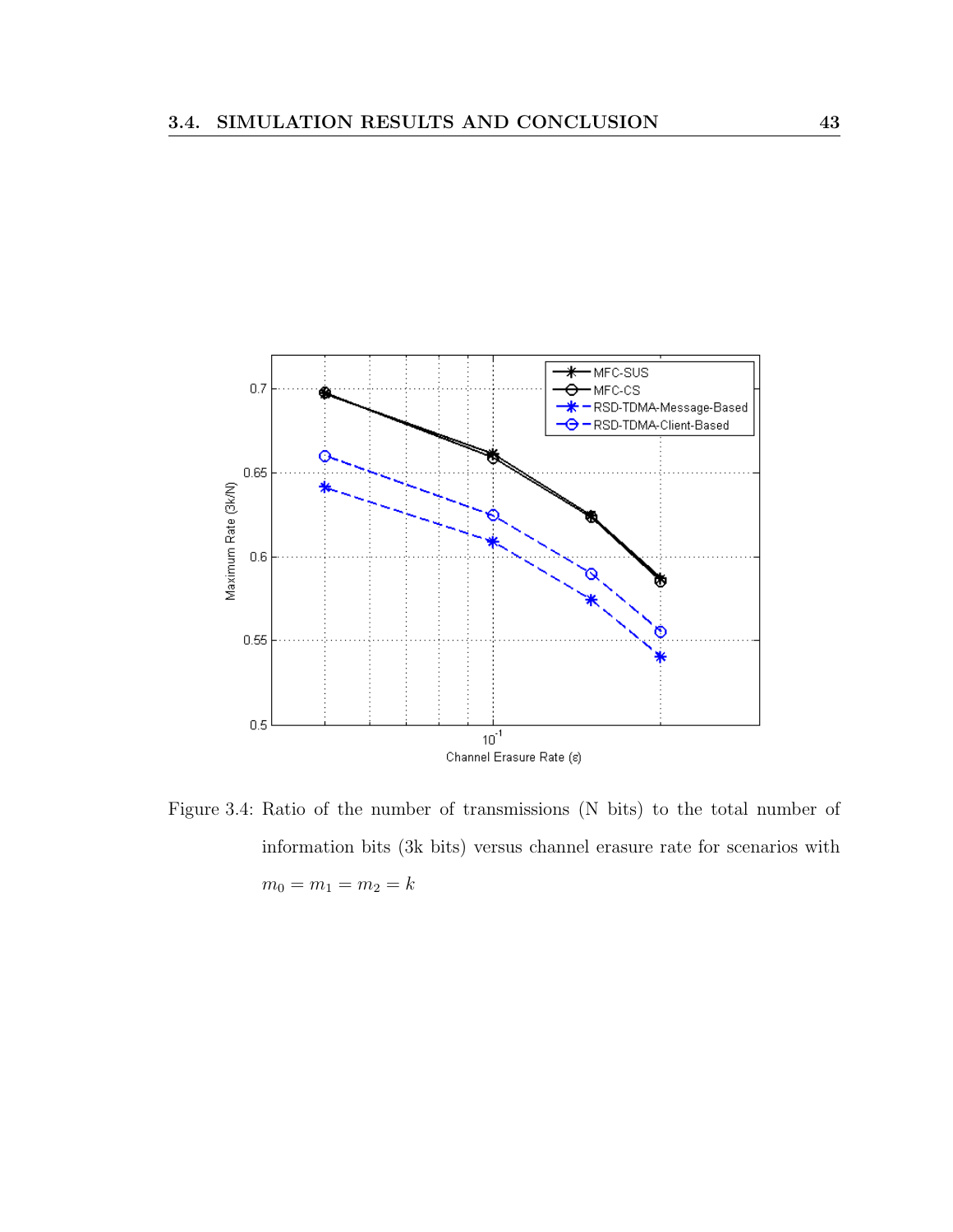

Figure 3.4: Ratio of the number of transmissions (N bits) to the total number of information bits (3k bits) versus channel erasure rate for scenarios with  $m_0 = m_1 = m_2 = k$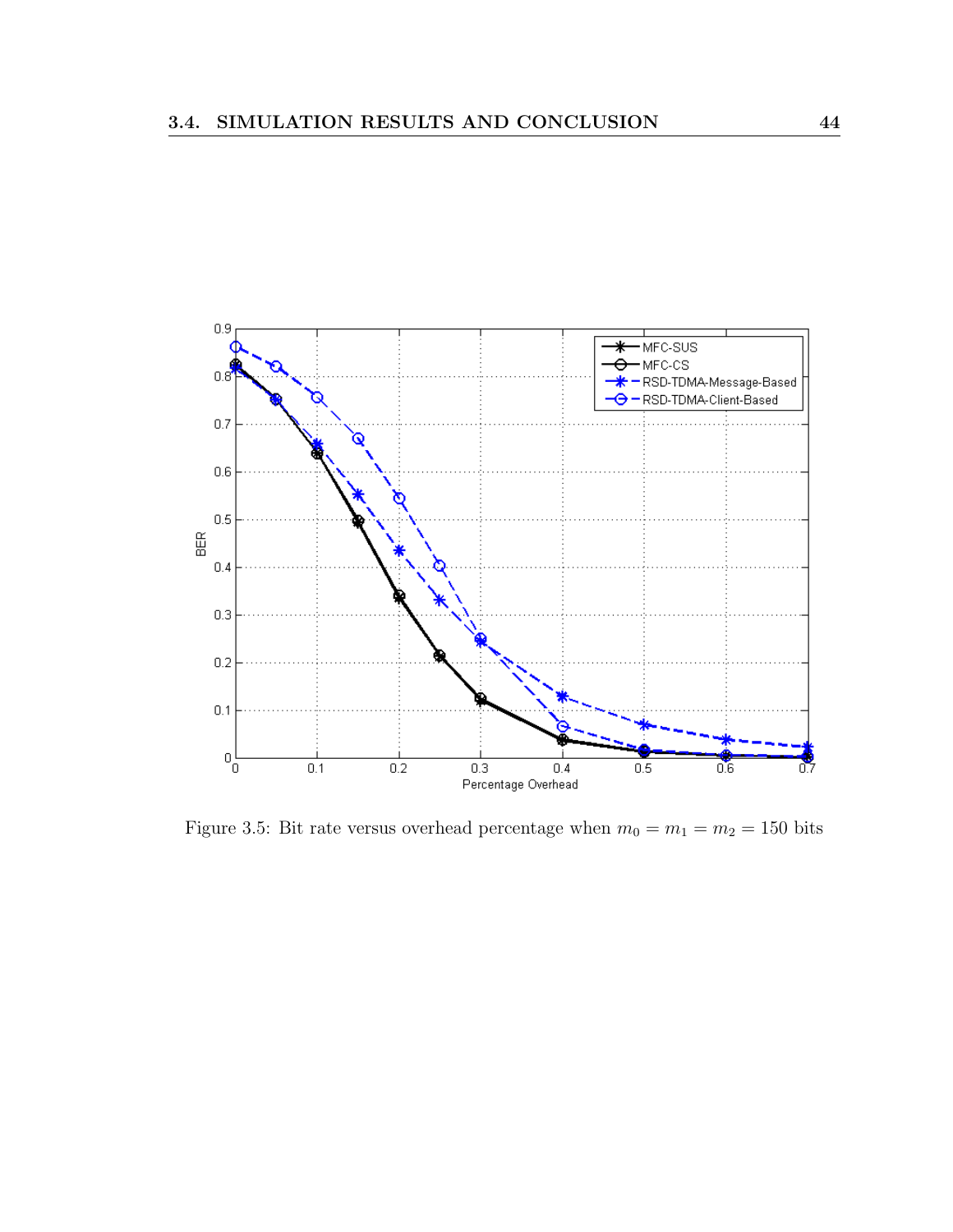

Figure 3.5: Bit rate versus overhead percentage when  $m_0 = m_1 = m_2 = 150$  bits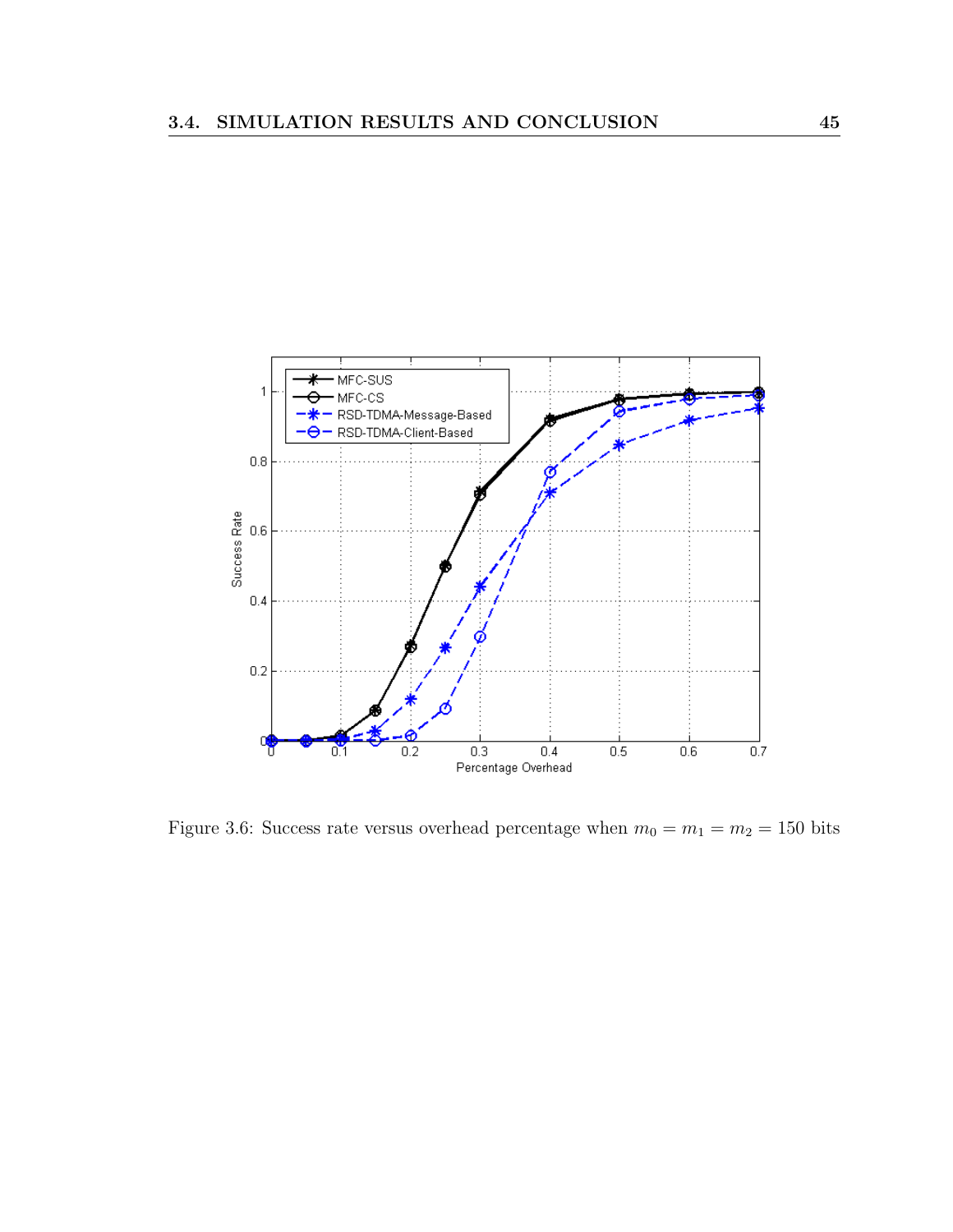

Figure 3.6: Success rate versus overhead percentage when  $m_0 = m_1 = m_2 = 150$  bits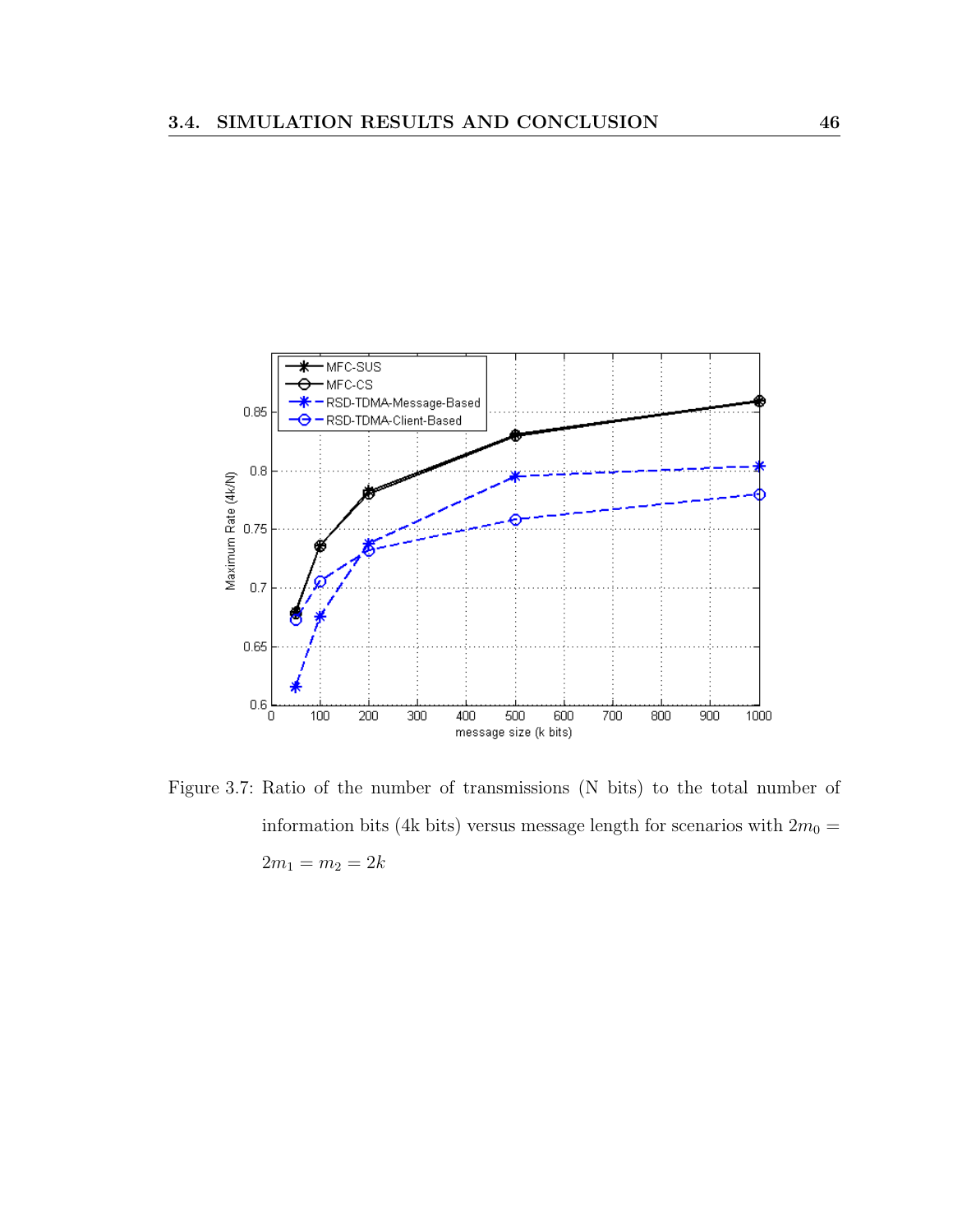

Figure 3.7: Ratio of the number of transmissions (N bits) to the total number of information bits (4k bits) versus message length for scenarios with  $2m_0 =$  $2m_1 = m_2 = 2k$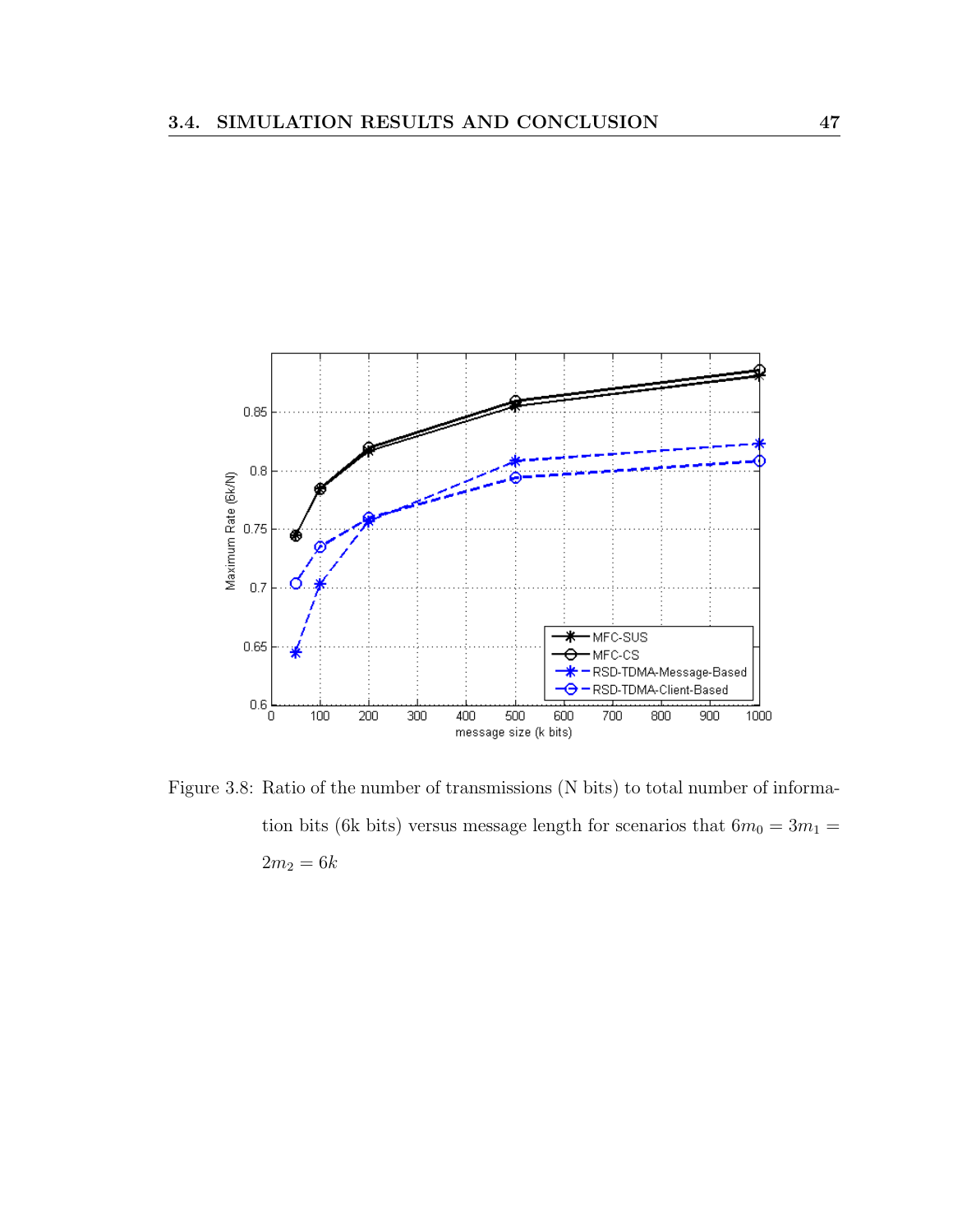

Figure 3.8: Ratio of the number of transmissions (N bits) to total number of information bits (6k bits) versus message length for scenarios that  $6m_0=3m_1=\,$  $2m_2 = 6k$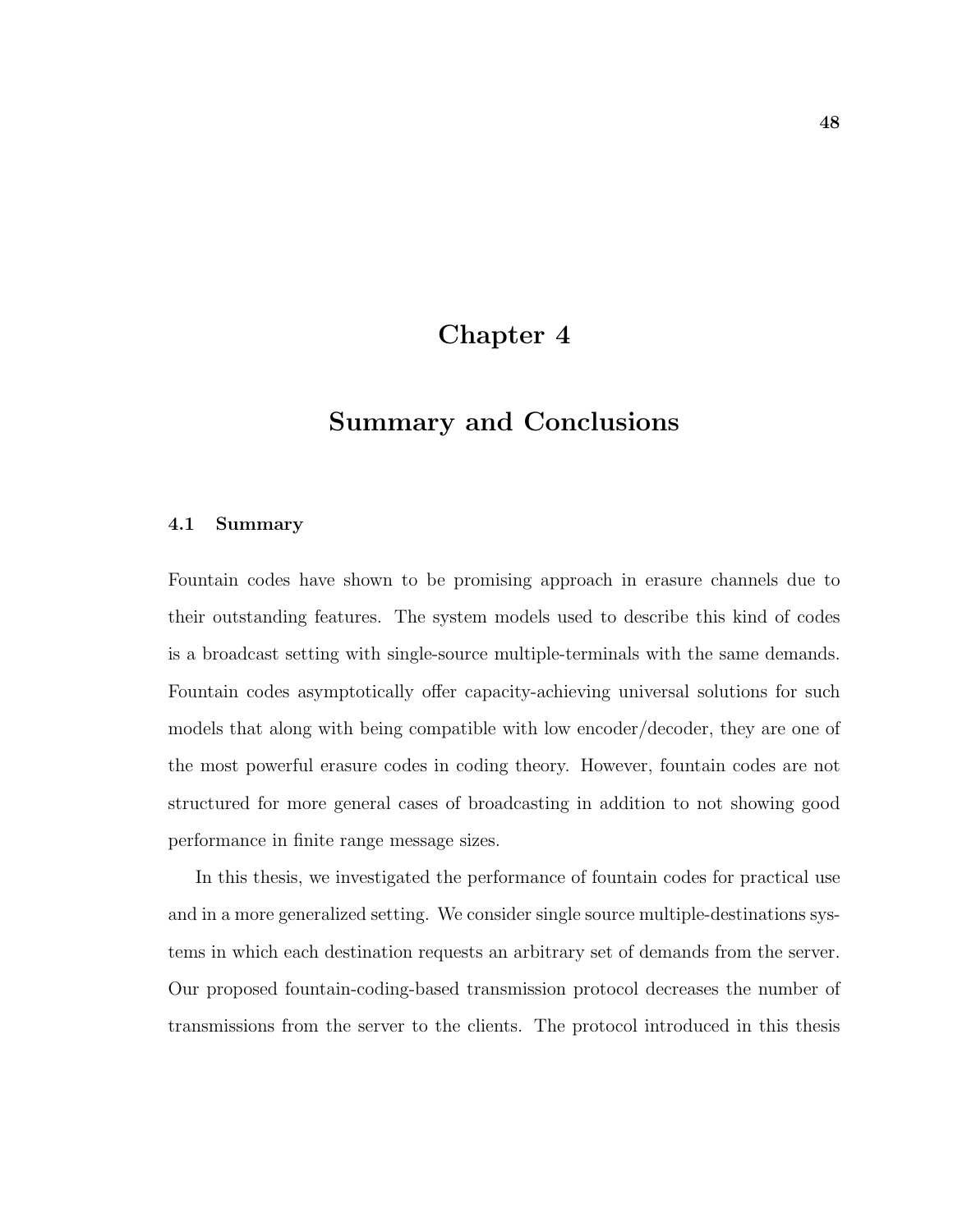## Chapter 4

## Summary and Conclusions

#### 4.1 Summary

Fountain codes have shown to be promising approach in erasure channels due to their outstanding features. The system models used to describe this kind of codes is a broadcast setting with single-source multiple-terminals with the same demands. Fountain codes asymptotically offer capacity-achieving universal solutions for such models that along with being compatible with low encoder/decoder, they are one of the most powerful erasure codes in coding theory. However, fountain codes are not structured for more general cases of broadcasting in addition to not showing good performance in finite range message sizes.

In this thesis, we investigated the performance of fountain codes for practical use and in a more generalized setting. We consider single source multiple-destinations systems in which each destination requests an arbitrary set of demands from the server. Our proposed fountain-coding-based transmission protocol decreases the number of transmissions from the server to the clients. The protocol introduced in this thesis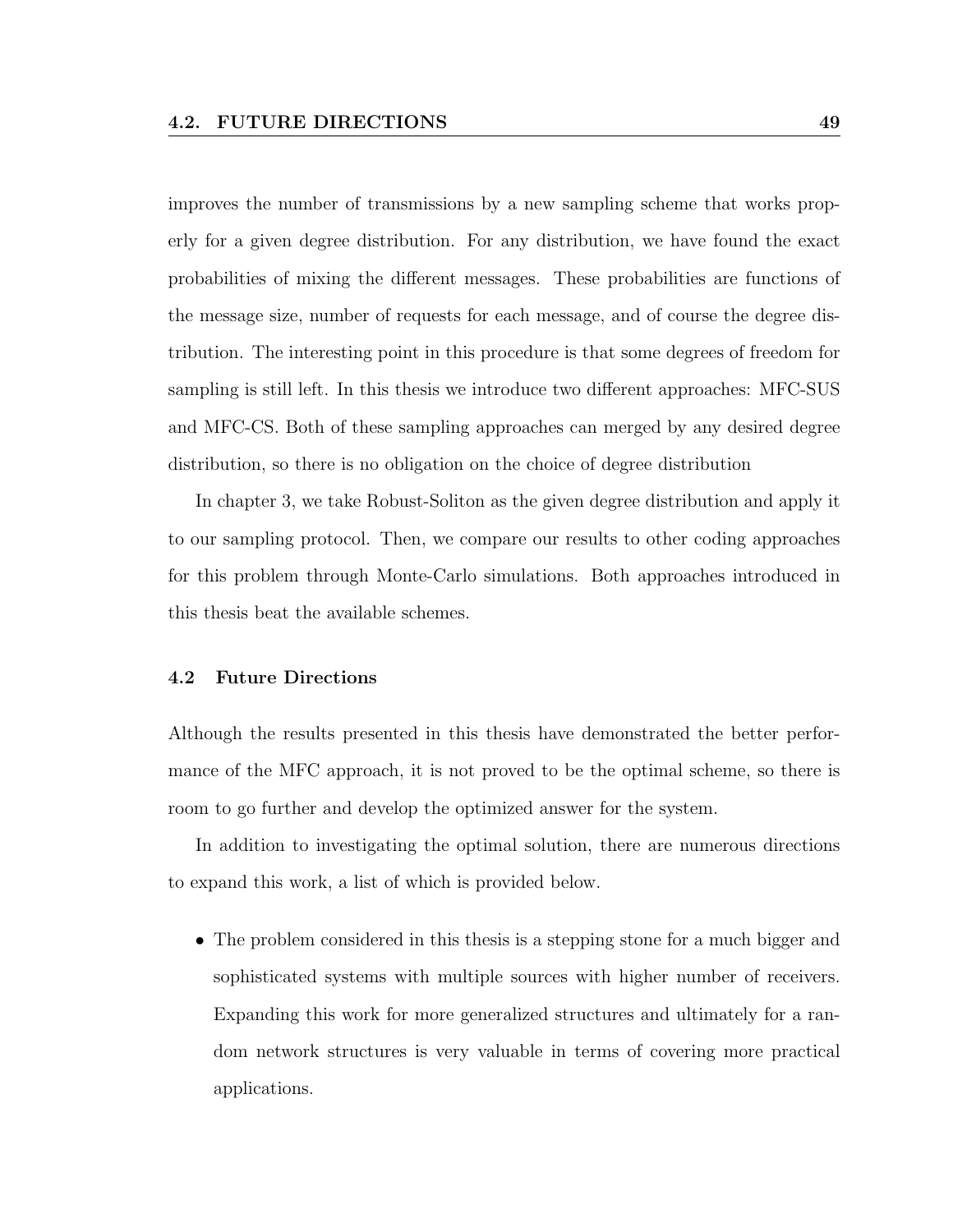improves the number of transmissions by a new sampling scheme that works properly for a given degree distribution. For any distribution, we have found the exact probabilities of mixing the different messages. These probabilities are functions of the message size, number of requests for each message, and of course the degree distribution. The interesting point in this procedure is that some degrees of freedom for sampling is still left. In this thesis we introduce two different approaches: MFC-SUS and MFC-CS. Both of these sampling approaches can merged by any desired degree distribution, so there is no obligation on the choice of degree distribution

In chapter 3, we take Robust-Soliton as the given degree distribution and apply it to our sampling protocol. Then, we compare our results to other coding approaches for this problem through Monte-Carlo simulations. Both approaches introduced in this thesis beat the available schemes.

#### 4.2 Future Directions

Although the results presented in this thesis have demonstrated the better performance of the MFC approach, it is not proved to be the optimal scheme, so there is room to go further and develop the optimized answer for the system.

In addition to investigating the optimal solution, there are numerous directions to expand this work, a list of which is provided below.

• The problem considered in this thesis is a stepping stone for a much bigger and sophisticated systems with multiple sources with higher number of receivers. Expanding this work for more generalized structures and ultimately for a random network structures is very valuable in terms of covering more practical applications.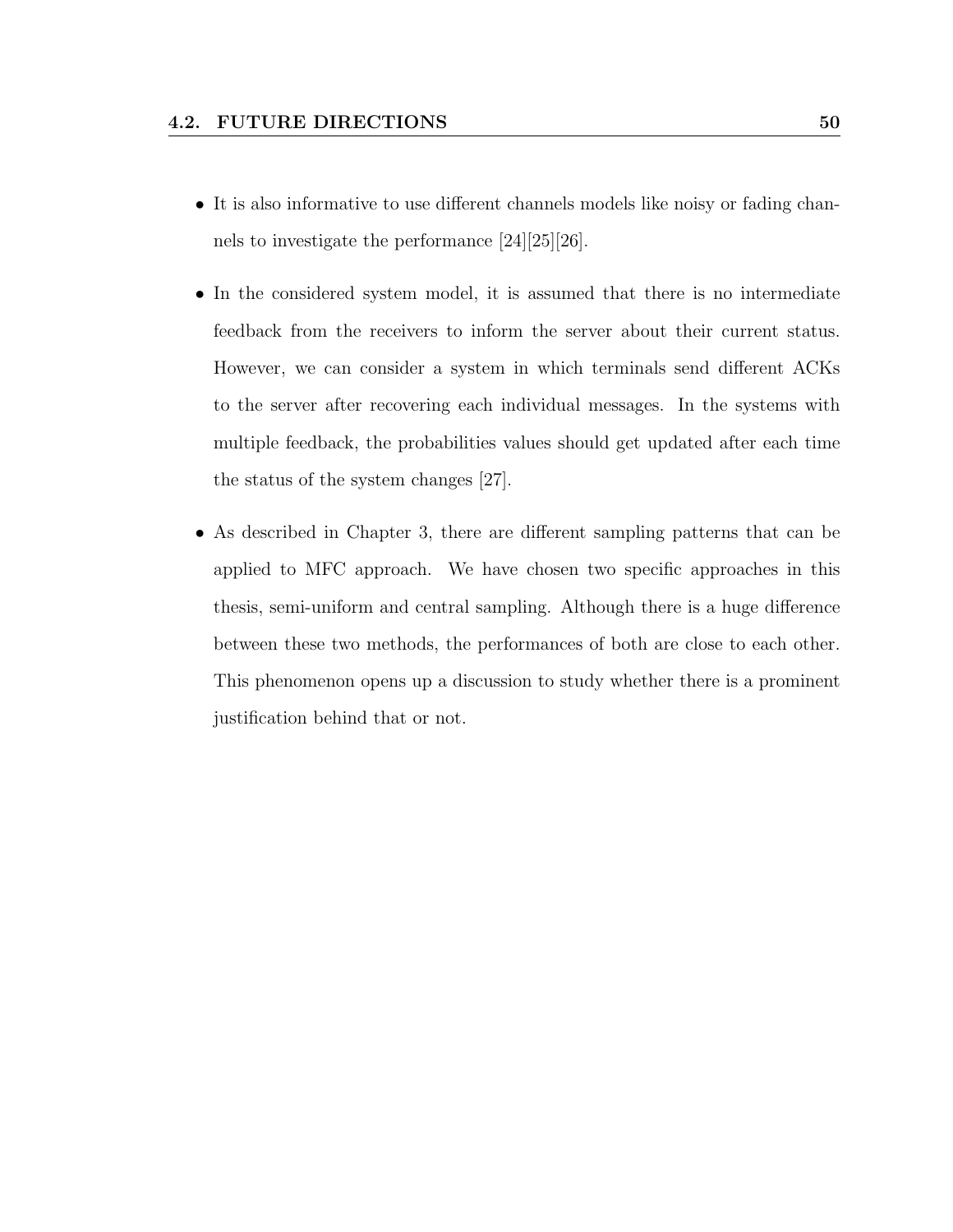- It is also informative to use different channels models like noisy or fading channels to investigate the performance [24][25][26].
- In the considered system model, it is assumed that there is no intermediate feedback from the receivers to inform the server about their current status. However, we can consider a system in which terminals send different ACKs to the server after recovering each individual messages. In the systems with multiple feedback, the probabilities values should get updated after each time the status of the system changes [27].
- As described in Chapter 3, there are different sampling patterns that can be applied to MFC approach. We have chosen two specific approaches in this thesis, semi-uniform and central sampling. Although there is a huge difference between these two methods, the performances of both are close to each other. This phenomenon opens up a discussion to study whether there is a prominent justification behind that or not.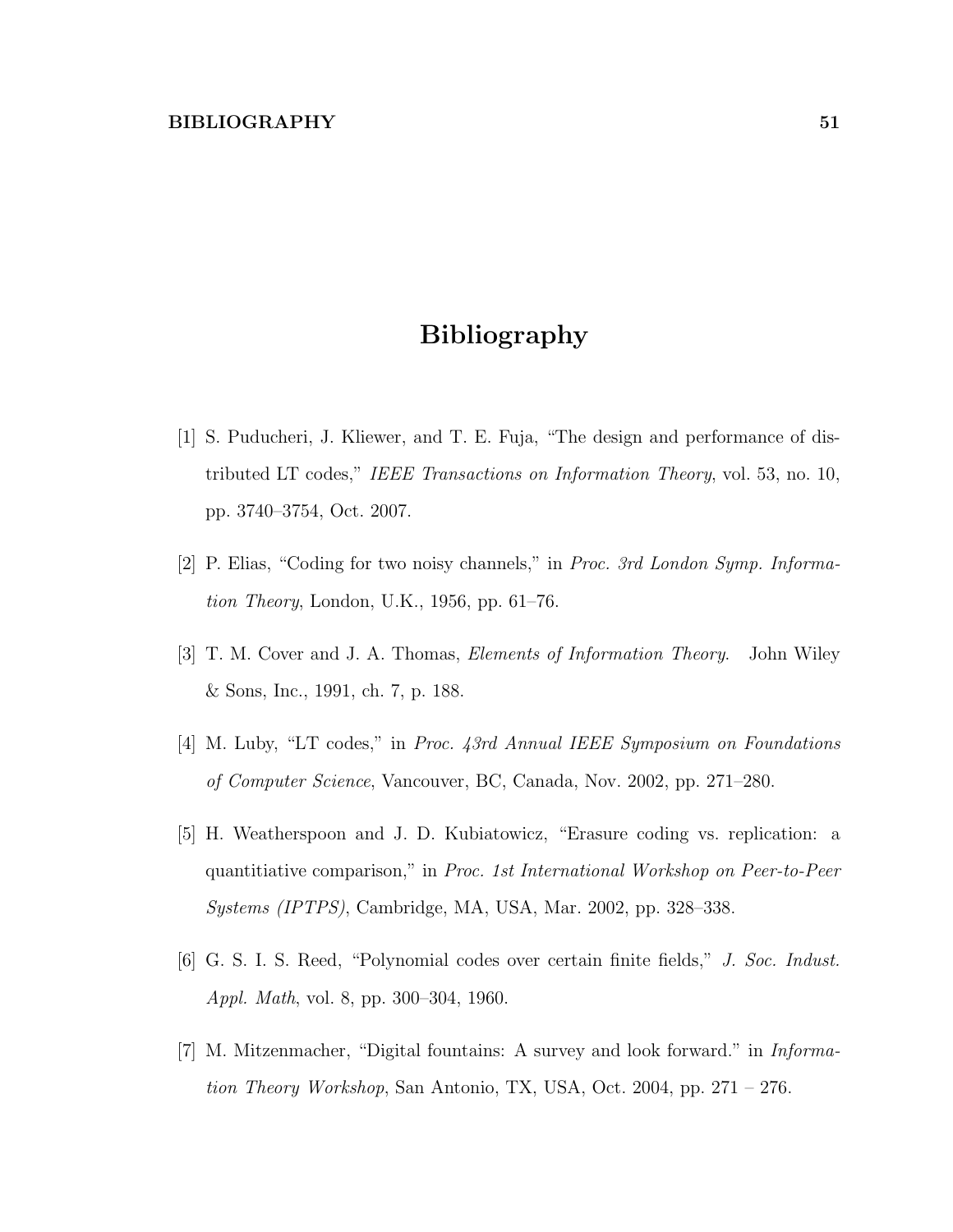## Bibliography

- [1] S. Puducheri, J. Kliewer, and T. E. Fuja, "The design and performance of distributed LT codes," IEEE Transactions on Information Theory, vol. 53, no. 10, pp. 3740–3754, Oct. 2007.
- [2] P. Elias, "Coding for two noisy channels," in Proc. 3rd London Symp. Information Theory, London, U.K., 1956, pp. 61–76.
- [3] T. M. Cover and J. A. Thomas, Elements of Information Theory. John Wiley & Sons, Inc., 1991, ch. 7, p. 188.
- [4] M. Luby, "LT codes," in Proc. 43rd Annual IEEE Symposium on Foundations of Computer Science, Vancouver, BC, Canada, Nov. 2002, pp. 271–280.
- [5] H. Weatherspoon and J. D. Kubiatowicz, "Erasure coding vs. replication: a quantitiative comparison," in Proc. 1st International Workshop on Peer-to-Peer Systems (IPTPS), Cambridge, MA, USA, Mar. 2002, pp. 328–338.
- [6] G. S. I. S. Reed, "Polynomial codes over certain finite fields," J. Soc. Indust. Appl. Math, vol. 8, pp. 300–304, 1960.
- [7] M. Mitzenmacher, "Digital fountains: A survey and look forward." in Information Theory Workshop, San Antonio, TX, USA, Oct. 2004, pp.  $271 - 276$ .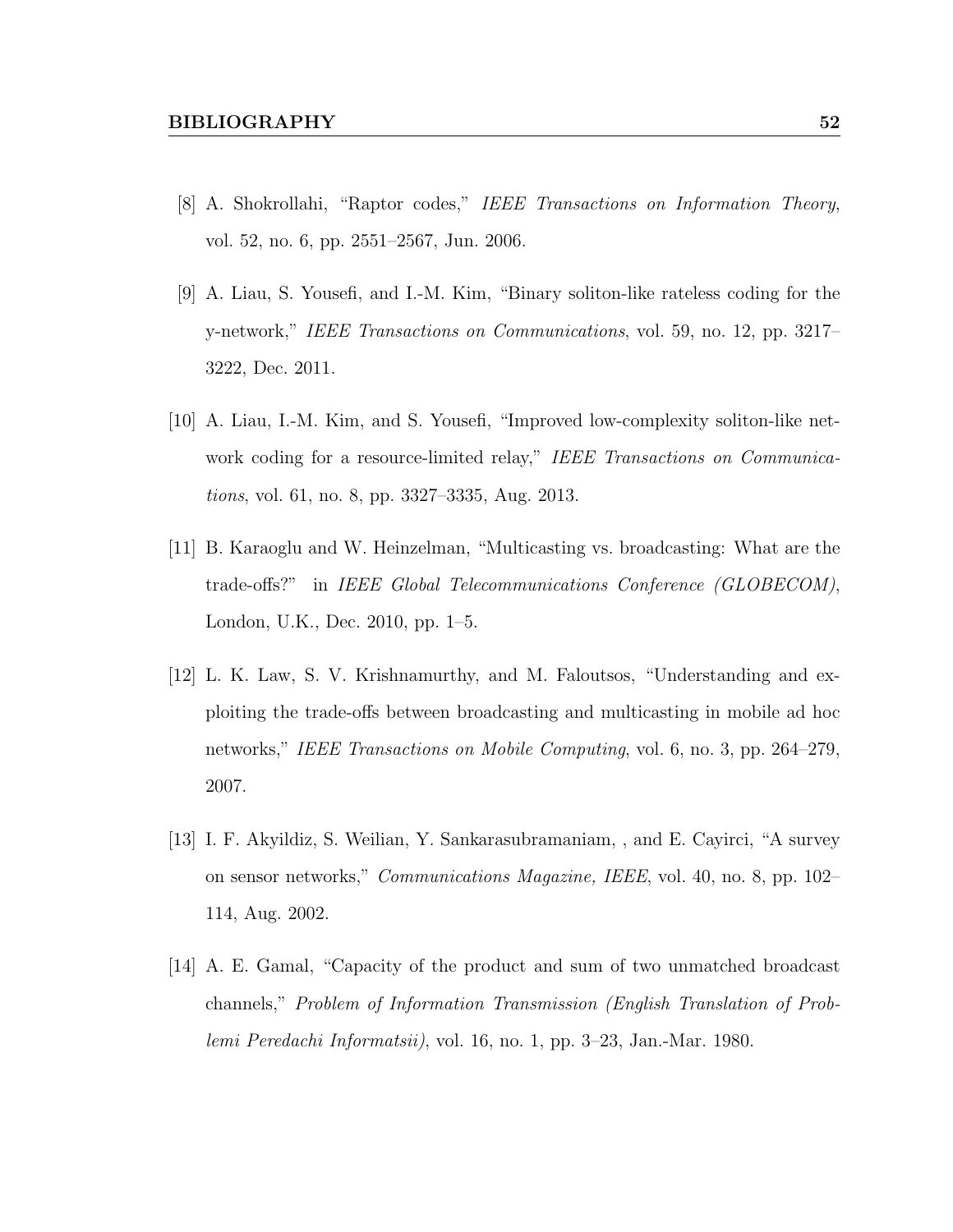- [8] A. Shokrollahi, "Raptor codes," IEEE Transactions on Information Theory, vol. 52, no. 6, pp. 2551–2567, Jun. 2006.
- [9] A. Liau, S. Yousefi, and I.-M. Kim, "Binary soliton-like rateless coding for the y-network," IEEE Transactions on Communications, vol. 59, no. 12, pp. 3217– 3222, Dec. 2011.
- [10] A. Liau, I.-M. Kim, and S. Yousefi, "Improved low-complexity soliton-like network coding for a resource-limited relay," IEEE Transactions on Communications, vol. 61, no. 8, pp. 3327–3335, Aug. 2013.
- [11] B. Karaoglu and W. Heinzelman, "Multicasting vs. broadcasting: What are the trade-offs?" in IEEE Global Telecommunications Conference (GLOBECOM), London, U.K., Dec. 2010, pp. 1–5.
- [12] L. K. Law, S. V. Krishnamurthy, and M. Faloutsos, "Understanding and exploiting the trade-offs between broadcasting and multicasting in mobile ad hoc networks," IEEE Transactions on Mobile Computing, vol. 6, no. 3, pp. 264–279, 2007.
- [13] I. F. Akyildiz, S. Weilian, Y. Sankarasubramaniam, , and E. Cayirci, "A survey on sensor networks," Communications Magazine, IEEE, vol. 40, no. 8, pp. 102– 114, Aug. 2002.
- [14] A. E. Gamal, "Capacity of the product and sum of two unmatched broadcast channels," Problem of Information Transmission (English Translation of Problemi Peredachi Informatsii), vol. 16, no. 1, pp. 3–23, Jan.-Mar. 1980.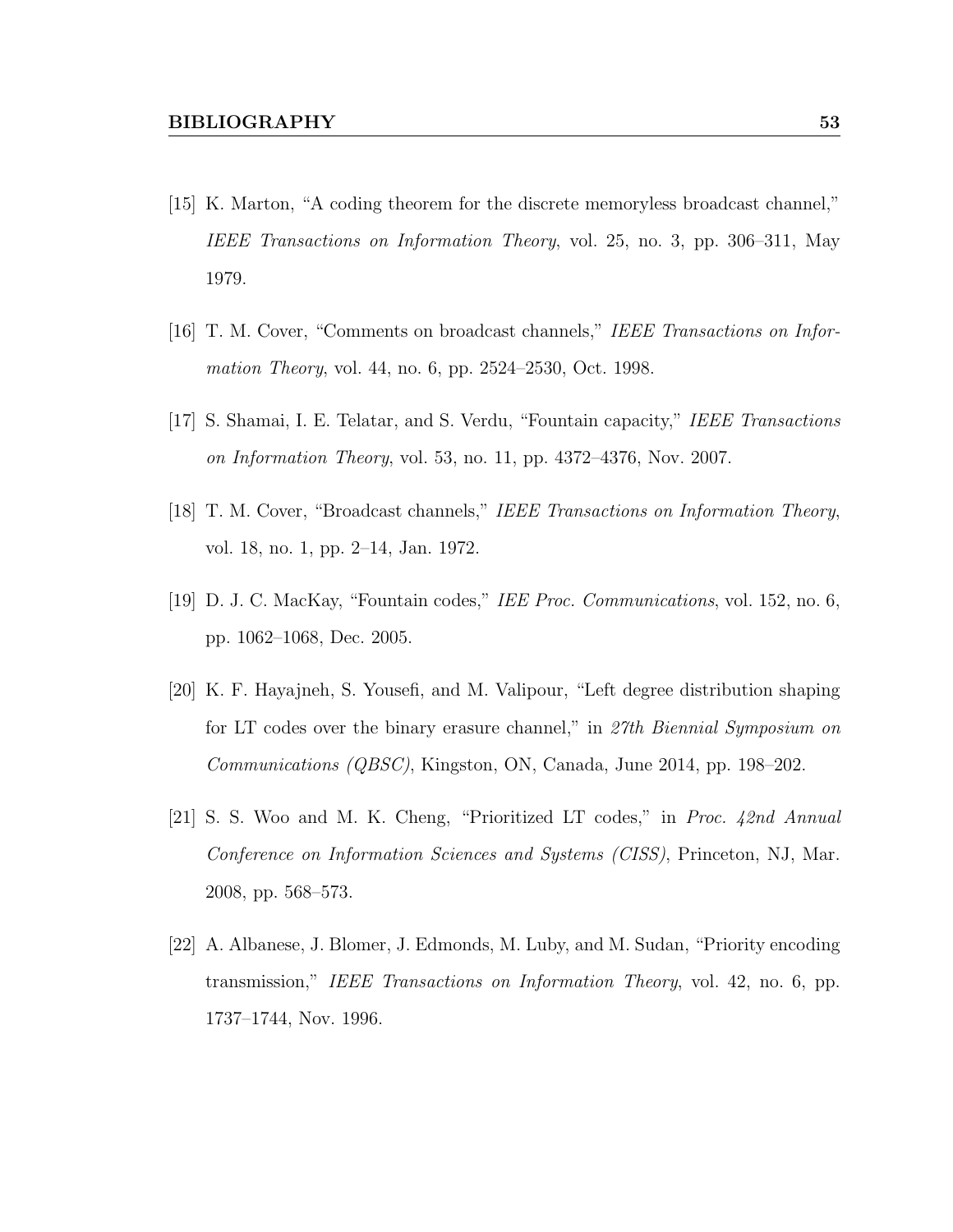- [15] K. Marton, "A coding theorem for the discrete memoryless broadcast channel," IEEE Transactions on Information Theory, vol. 25, no. 3, pp. 306–311, May 1979.
- [16] T. M. Cover, "Comments on broadcast channels," IEEE Transactions on Information Theory, vol. 44, no. 6, pp. 2524–2530, Oct. 1998.
- [17] S. Shamai, I. E. Telatar, and S. Verdu, "Fountain capacity," IEEE Transactions on Information Theory, vol. 53, no. 11, pp. 4372–4376, Nov. 2007.
- [18] T. M. Cover, "Broadcast channels," IEEE Transactions on Information Theory, vol. 18, no. 1, pp. 2–14, Jan. 1972.
- [19] D. J. C. MacKay, "Fountain codes," IEE Proc. Communications, vol. 152, no. 6, pp. 1062–1068, Dec. 2005.
- [20] K. F. Hayajneh, S. Yousefi, and M. Valipour, "Left degree distribution shaping for LT codes over the binary erasure channel," in 27th Biennial Symposium on Communications (QBSC), Kingston, ON, Canada, June 2014, pp. 198–202.
- [21] S. S. Woo and M. K. Cheng, "Prioritized LT codes," in Proc. 42nd Annual Conference on Information Sciences and Systems (CISS), Princeton, NJ, Mar. 2008, pp. 568–573.
- [22] A. Albanese, J. Blomer, J. Edmonds, M. Luby, and M. Sudan, "Priority encoding transmission," IEEE Transactions on Information Theory, vol. 42, no. 6, pp. 1737–1744, Nov. 1996.